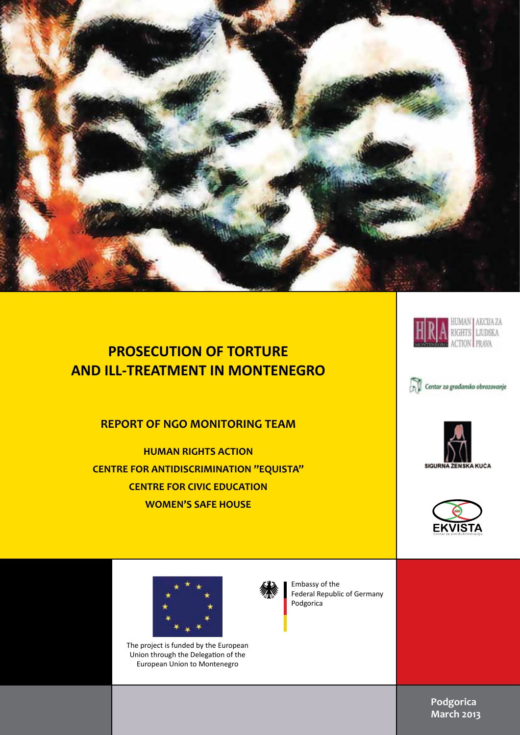

## **PROSECUTION OF TORTURE AND ILL-TREATMENT IN MONTENEGRO**

#### **REPORT OF NGO MONITORING TEAM**

**HUMAN RIGHTS ACTION CENTRE FOR ANTIDISCRIMINATION "EQUISTA" CENTRE FOR CIVIC EDUCATION WOMEN'S SAFE HOUSE**



**HRA HUMAN AKCUAZA** 









The project is funded by the European Union through the Delegation of the European Union to Montenegro



Embassy of the Federal Republic of Germany Podgorica

> **Podgorica March 2013**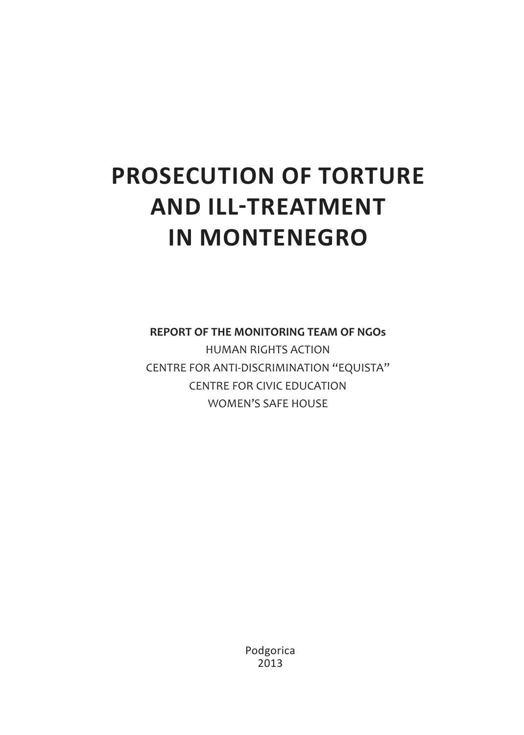# **PROSECUTION OF TORTURE AND ILL-TREATMENT IN MONTENEGRO**

**REPORT OF THE MONITORING TEAM OF NGOs**

HUMAN RIGHTS ACTION CENTRE FOR ANTI-DISCRIMINATION "EQUISTA" CENTRE FOR CIVIC EDUCATION WOMEN'S SAFE HOUSE

> Podgorica 2013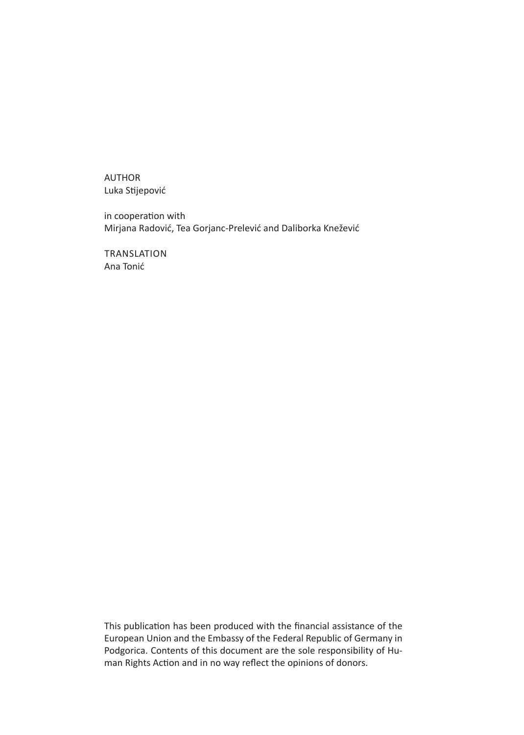AUTHOR Luka Stijepović

in cooperation with Mirjana Radović, Tea Gorjanc-Prelević and Daliborka Knežević

Translation Ana Tonić

This publication has been produced with the financial assistance of the European Union and the Embassy of the Federal Republic of Germany in Podgorica. Contents of this document are the sole responsibility of Human Rights Action and in no way reflect the opinions of donors.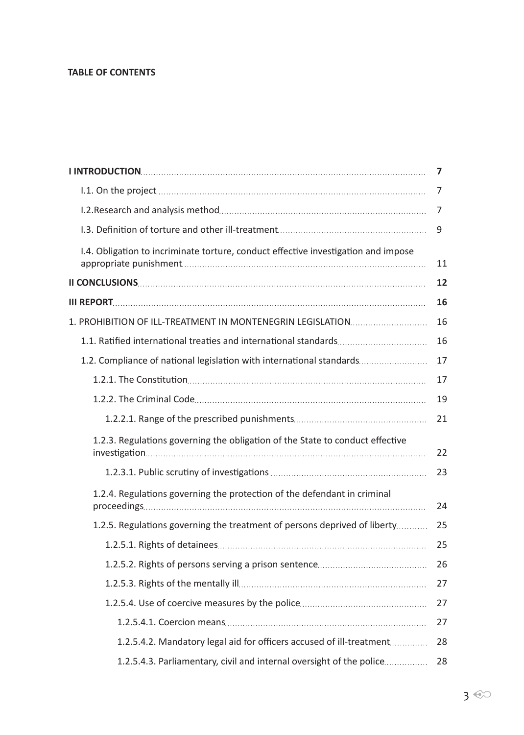#### **TABLE OF CONTENTS**

|                                                                                    | 7  |
|------------------------------------------------------------------------------------|----|
|                                                                                    | 7  |
|                                                                                    | 7  |
|                                                                                    | 9  |
| I.4. Obligation to incriminate torture, conduct effective investigation and impose | 11 |
|                                                                                    | 12 |
|                                                                                    | 16 |
| 1. PROHIBITION OF ILL-TREATMENT IN MONTENEGRIN LEGISLATION                         | 16 |
|                                                                                    | 16 |
| 1.2. Compliance of national legislation with international standards               | 17 |
|                                                                                    | 17 |
|                                                                                    | 19 |
|                                                                                    | 21 |
| 1.2.3. Regulations governing the obligation of the State to conduct effective      | 22 |
|                                                                                    | 23 |
| 1.2.4. Regulations governing the protection of the defendant in criminal           | 24 |
| 1.2.5. Regulations governing the treatment of persons deprived of liberty          | 25 |
|                                                                                    | 25 |
|                                                                                    | 26 |
|                                                                                    | 27 |
|                                                                                    | 27 |
|                                                                                    | 27 |
| 1.2.5.4.2. Mandatory legal aid for officers accused of ill-treatment               | 28 |
| 1.2.5.4.3. Parliamentary, civil and internal oversight of the police               | 28 |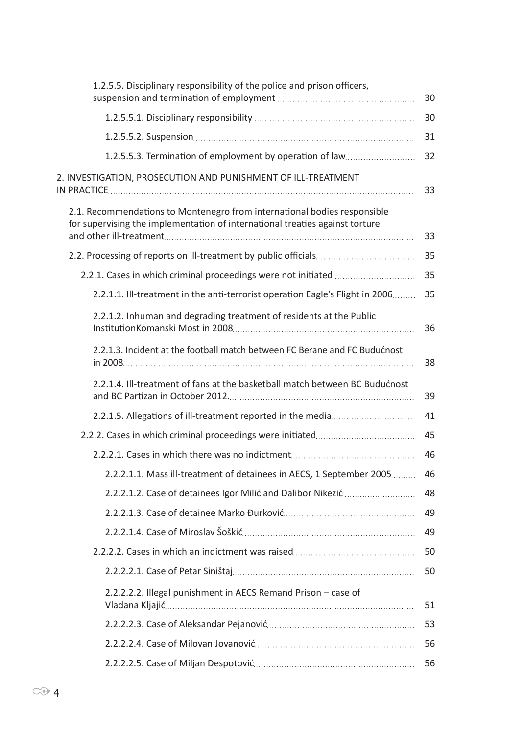| 1.2.5.5. Disciplinary responsibility of the police and prison officers,                                                                                  | 30 |
|----------------------------------------------------------------------------------------------------------------------------------------------------------|----|
|                                                                                                                                                          | 30 |
|                                                                                                                                                          | 31 |
| 1.2.5.5.3. Termination of employment by operation of law                                                                                                 | 32 |
| 2. INVESTIGATION, PROSECUTION AND PUNISHMENT OF ILL-TREATMENT                                                                                            | 33 |
| 2.1. Recommendations to Montenegro from international bodies responsible<br>for supervising the implementation of international treaties against torture | 33 |
|                                                                                                                                                          | 35 |
|                                                                                                                                                          | 35 |
| 2.2.1.1. Ill-treatment in the anti-terrorist operation Eagle's Flight in 2006                                                                            | 35 |
| 2.2.1.2. Inhuman and degrading treatment of residents at the Public                                                                                      | 36 |
| 2.2.1.3. Incident at the football match between FC Berane and FC Budućnost                                                                               | 38 |
| 2.2.1.4. Ill-treatment of fans at the basketball match between BC Budućnost                                                                              | 39 |
| 2.2.1.5. Allegations of ill-treatment reported in the media                                                                                              | 41 |
|                                                                                                                                                          | 45 |
|                                                                                                                                                          | 46 |
| 2.2.2.1.1. Mass ill-treatment of detainees in AECS, 1 September 2005                                                                                     | 46 |
| 2.2.2.1.2. Case of detainees Igor Milić and Dalibor Nikezić                                                                                              | 48 |
|                                                                                                                                                          | 49 |
|                                                                                                                                                          | 49 |
|                                                                                                                                                          | 50 |
|                                                                                                                                                          | 50 |
| 2.2.2.2.2. Illegal punishment in AECS Remand Prison - case of                                                                                            | 51 |
|                                                                                                                                                          | 53 |
|                                                                                                                                                          | 56 |
|                                                                                                                                                          | 56 |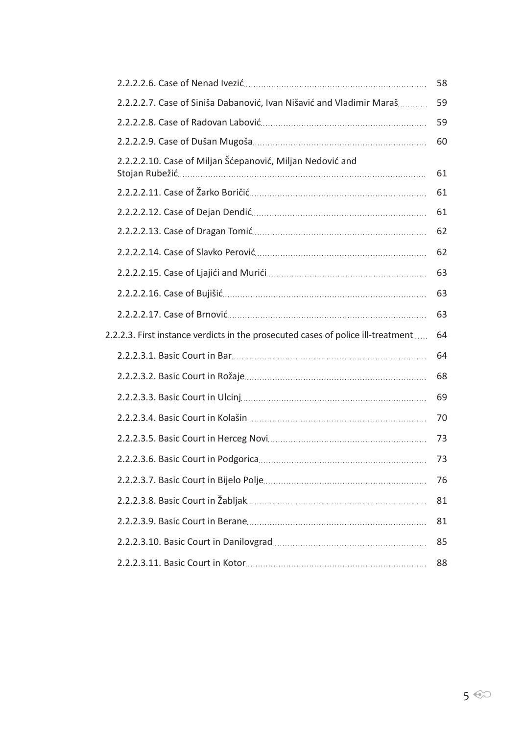|                                                                                  | 58 |
|----------------------------------------------------------------------------------|----|
| 2.2.2.2.7. Case of Siniša Dabanović, Ivan Nišavić and Vladimir Maraš             | 59 |
|                                                                                  | 59 |
|                                                                                  | 60 |
| 2.2.2.2.10. Case of Miljan Šćepanović, Miljan Nedović and                        | 61 |
|                                                                                  | 61 |
|                                                                                  | 61 |
|                                                                                  | 62 |
|                                                                                  | 62 |
|                                                                                  | 63 |
|                                                                                  | 63 |
|                                                                                  | 63 |
| 2.2.2.3. First instance verdicts in the prosecuted cases of police ill-treatment | 64 |
|                                                                                  | 64 |
|                                                                                  | 68 |
|                                                                                  | 69 |
|                                                                                  | 70 |
|                                                                                  |    |
|                                                                                  | 73 |
|                                                                                  | 73 |
|                                                                                  | 76 |
|                                                                                  | 81 |
|                                                                                  | 81 |
|                                                                                  | 85 |
|                                                                                  | 88 |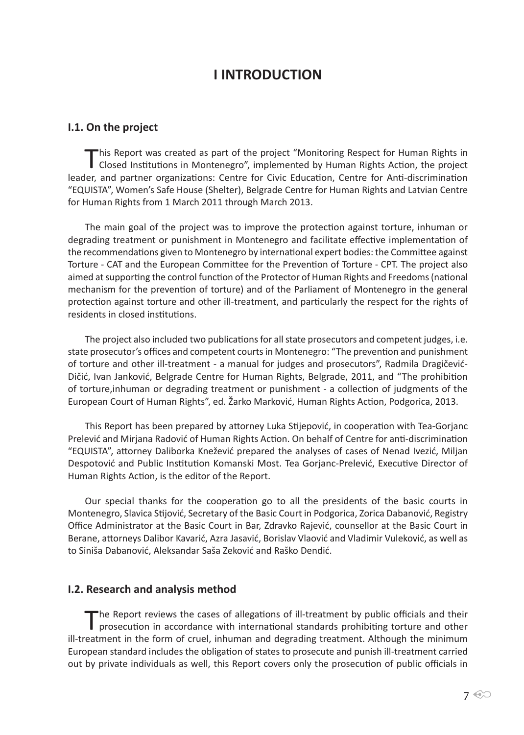## **I INTRODUCTION**

#### **I.1. On the project**

This Report was created as part of the project "Monitoring Respect for Human Rights in Closed Institutions in Montenegro", implemented by Human Rights Action, the project leader, and partner organizations: Centre for Civic Education, Centre for Anti-discrimination "EQUISTA", Women's Safe House (Shelter), Belgrade Centre for Human Rights and Latvian Centre for Human Rights from 1 March 2011 through March 2013.

The main goal of the project was to improve the protection against torture, inhuman or degrading treatment or punishment in Montenegro and facilitate effective implementation of the recommendations given to Montenegro by international expert bodies: the Committee against Torture - CAT and the European Committee for the Prevention of Torture - CPT. The project also aimed at supporting the control function of the Protector of Human Rights and Freedoms (national mechanism for the prevention of torture) and of the Parliament of Montenegro in the general protection against torture and other ill-treatment, and particularly the respect for the rights of residents in closed institutions.

The project also included two publications for all state prosecutors and competent judges, i.e. state prosecutor's offices and competent courts in Montenegro: "The prevention and punishment of torture and other ill-treatment - a manual for judges and prosecutors", Radmila Dragičević-Dičić, Ivan Janković, Belgrade Centre for Human Rights, Belgrade, 2011, and "The prohibition of torture,inhuman or degrading treatment or punishment - a collection of judgments of the European Court of Human Rights", ed. Žarko Marković, Human Rights Action, Podgorica, 2013.

This Report has been prepared by attorney Luka Stijepović, in cooperation with Tea-Gorjanc Prelević and Mirjana Radović of Human Rights Action. On behalf of Centre for anti-discrimination "EQUISTA", attorney Daliborka Knežević prepared the analyses of cases of Nenad Ivezić, Miljan Despotović and Public Institution Komanski Most. Tea Gorjanc-Prelević, Executive Director of Human Rights Action, is the editor of the Report.

Our special thanks for the cooperation go to all the presidents of the basic courts in Montenegro, Slavica Stijović, Secretary of the Basic Court in Podgorica, Zorica Dabanović, Registry Office Administrator at the Basic Court in Bar, Zdravko Rajević, counsellor at the Basic Court in Berane, attorneys Dalibor Kavarić, Azra Jasavić, Borislav Vlaović and Vladimir Vuleković, as well as to Siniša Dabanović, Aleksandar Saša Zeković and Raško Dendić.

#### **I.2. Research and analysis method**

The Report reviews the cases of allegations of ill-treatment by public officials and their prosecution in accordance with international standards prohibiting torture and other ill-treatment in the form of cruel, inhuman and degrading treatment. Although the minimum European standard includes the obligation of states to prosecute and punish ill-treatment carried out by private individuals as well, this Report covers only the prosecution of public officials in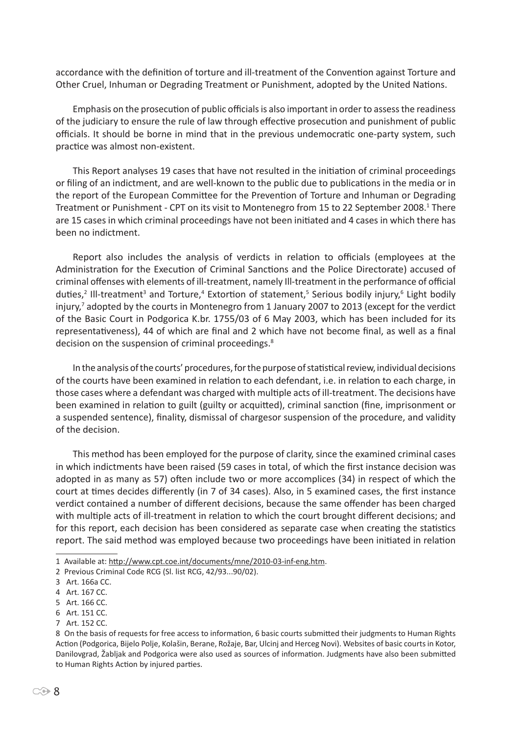accordance with the definition of torture and ill-treatment of the Convention against Torture and Other Cruel, Inhuman or Degrading Treatment or Punishment, adopted by the United Nations.

Emphasis on the prosecution of public officials is also important in order to assess the readiness of the judiciary to ensure the rule of law through effective prosecution and punishment of public officials. It should be borne in mind that in the previous undemocratic one-party system, such practice was almost non-existent.

This Report analyses 19 cases that have not resulted in the initiation of criminal proceedings or filing of an indictment, and are well-known to the public due to publications in the media or in the report of the European Committee for the Prevention of Torture and Inhuman or Degrading Treatment or Punishment - CPT on its visit to Montenegro from 15 to 22 September 2008.<sup>1</sup> There are 15 cases in which criminal proceedings have not been initiated and 4 cases in which there has been no indictment.

Report also includes the analysis of verdicts in relation to officials (employees at the Administration for the Execution of Criminal Sanctions and the Police Directorate) accused of criminal offenses with elements of ill-treatment, namely Ill-treatment in the performance of official duties,<sup>2</sup> Ill-treatment<sup>3</sup> and Torture,<sup>4</sup> Extortion of statement,<sup>5</sup> Serious bodily injury,<sup>6</sup> Light bodily injury,<sup>7</sup> adopted by the courts in Montenegro from 1 January 2007 to 2013 (except for the verdict of the Basic Court in Podgorica K.br. 1755/03 of 6 May 2003, which has been included for its representativeness), 44 of which are final and 2 which have not become final, as well as a final decision on the suspension of criminal proceedings.<sup>8</sup>

In the analysis of the courts' procedures, for the purpose of statistical review, individual decisions of the courts have been examined in relation to each defendant, i.e. in relation to each charge, in those cases where a defendant was charged with multiple acts of ill-treatment. The decisions have been examined in relation to guilt (guilty or acquitted), criminal sanction (fine, imprisonment or a suspended sentence), finality, dismissal of chargesor suspension of the procedure, and validity of the decision.

This method has been employed for the purpose of clarity, since the examined criminal cases in which indictments have been raised (59 cases in total, of which the first instance decision was adopted in as many as 57) often include two or more accomplices (34) in respect of which the court at times decides differently (in 7 of 34 cases). Also, in 5 examined cases, the first instance verdict contained a number of different decisions, because the same offender has been charged with multiple acts of ill-treatment in relation to which the court brought different decisions; and for this report, each decision has been considered as separate case when creating the statistics report. The said method was employed because two proceedings have been initiated in relation

- 6 Art. 151 CC.
- 7 Art. 152 CC.

<sup>1</sup> Available at: http://www.cpt.coe.int/documents/mne/2010-03-inf-eng.htm.

<sup>2</sup> Previous Criminal Code RCG (Sl. list RCG, 42/93...90/02).

<sup>3</sup> Art. 166a CC.

<sup>4</sup> Art. 167 CC.

<sup>5</sup> Art. 166 CC.

<sup>8</sup> On the basis of requests for free access to information, 6 basic courts submitted their judgments to Human Rights Action (Podgorica, Bijelo Polje, Kolašin, Berane, Rožaje, Bar, Ulcinj and Herceg Novi). Websites of basic courts in Kotor, Danilovgrad, Žabljak and Podgorica were also used as sources of information. Judgments have also been submitted to Human Rights Action by injured parties.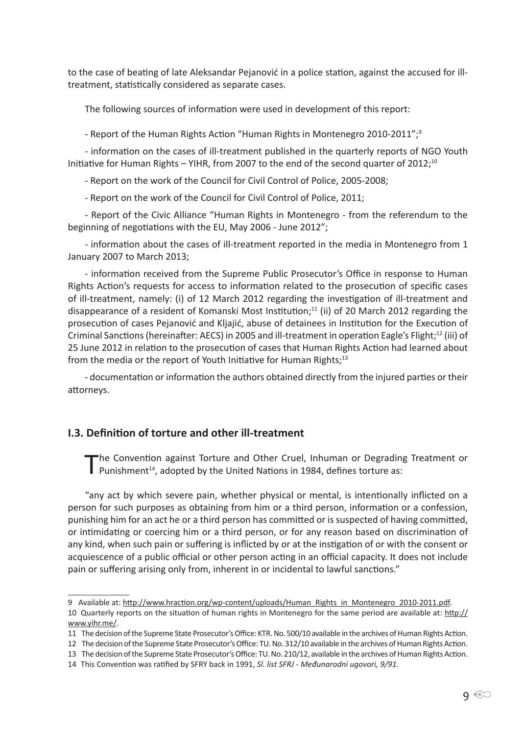to the case of beating of late Aleksandar Pejanović in a police station, against the accused for illtreatment, statistically considered as separate cases.

The following sources of information were used in development of this report:

- Report of the Human Rights Action "Human Rights in Montenegro 2010-2011";<sup>9</sup>

- information on the cases of ill-treatment published in the quarterly reports of NGO Youth Initiative for Human Rights – YIHR, from 2007 to the end of the second quarter of 2012;<sup>10</sup>

- Report on the work of the Council for Civil Control of Police, 2005-2008;

- Report on the work of the Council for Civil Control of Police, 2011;

- Report of the Civic Alliance "Human Rights in Montenegro - from the referendum to the beginning of negotiations with the EU, May 2006 - June 2012";

- information about the cases of ill-treatment reported in the media in Montenegro from 1 January 2007 to March 2013;

- information received from the Supreme Public Prosecutor's Office in response to Human Rights Action's requests for access to information related to the prosecution of specific cases of ill-treatment, namely: (i) of 12 March 2012 regarding the investigation of ill-treatment and disappearance of a resident of Komanski Most Institution;<sup>11</sup> (ii) of 20 March 2012 regarding the prosecution of cases Pejanović and Kljajić, abuse of detainees in Institution for the Execution of Criminal Sanctions (hereinafter: AECS) in 2005 and ill-treatment in operation Eagle's Flight;<sup>12</sup> (iii) of 25 June 2012 in relation to the prosecution of cases that Human Rights Action had learned about from the media or the report of Youth Initiative for Human Rights;<sup>13</sup>

- documentation or information the authors obtained directly from the injured parties or their attorneys.

#### **I.3. Definition of torture and other ill-treatment**

The Convention against Torture and Other Cruel, Inhuman or Degrading Treatment or<br>Punishment<sup>14</sup>, adopted by the United Nations in 1984, defines torture as:

"any act by which severe pain, whether physical or mental, is intentionally inflicted on a person for such purposes as obtaining from him or a third person, information or a confession, punishing him for an act he or a third person has committed or is suspected of having committed, or intimidating or coercing him or a third person, or for any reason based on discrimination of any kind, when such pain or suffering is inflicted by or at the instigation of or with the consent or acquiescence of a public official or other person acting in an official capacity. It does not include pain or suffering arising only from, inherent in or incidental to lawful sanctions."

<sup>9</sup> Available at: http://www.hraction.org/wp-content/uploads/Human\_Rights\_in\_Montenegro\_2010-2011.pdf. 10 Quarterly reports on the situation of human rights in Montenegro for the same period are available at: http:// www.yihr.me/.

<sup>11</sup> The decision of the Supreme State Prosecutor's Office: KTR. No. 500/10 available in the archives of Human Rights Action.

<sup>12</sup> The decision of the Supreme State Prosecutor's Office: TU. No. 312/10 available in the archives of Human Rights Action.

<sup>13</sup> The decision of the Supreme State Prosecutor's Office: TU. No. 210/12, available in the archives of Human Rights Action.

<sup>14</sup> This Convention was ratified by SFRY back in 1991, *Sl. list SFRJ - Međunarodni ugovori, 9/91.*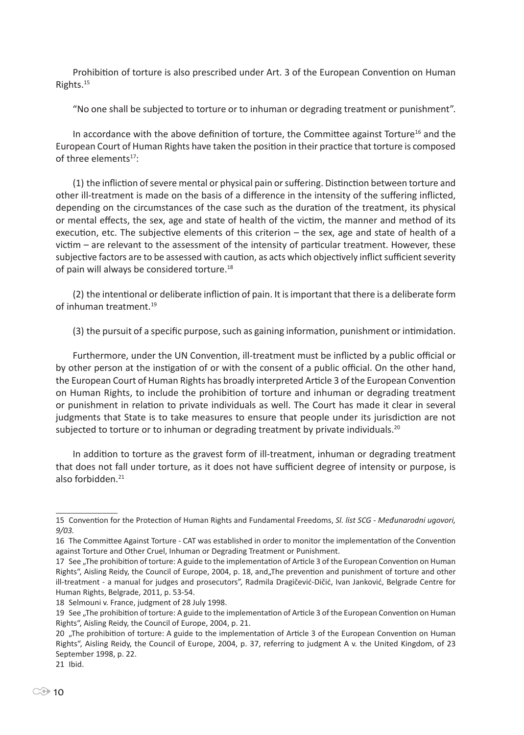Prohibition of torture is also prescribed under Art. 3 of the European Convention on Human Rights.<sup>15</sup>

"No one shall be subjected to torture or to inhuman or degrading treatment or punishment".

In accordance with the above definition of torture, the Committee against Torture<sup>16</sup> and the European Court of Human Rights have taken the position in their practice that torture is composed of three elements $17$ :

(1) the infliction of severe mental or physical pain or suffering. Distinction between torture and other ill-treatment is made on the basis of a difference in the intensity of the suffering inflicted, depending on the circumstances of the case such as the duration of the treatment, its physical or mental effects, the sex, age and state of health of the victim, the manner and method of its execution, etc. The subjective elements of this criterion – the sex, age and state of health of a victim – are relevant to the assessment of the intensity of particular treatment. However, these subjective factors are to be assessed with caution, as acts which objectively inflict sufficient severity of pain will always be considered torture.<sup>18</sup>

(2) the intentional or deliberate infliction of pain. It is important that there is a deliberate form of inhuman treatment.<sup>19</sup>

(3) the pursuit of a specific purpose, such as gaining information, punishment or intimidation.

Furthermore, under the UN Convention, ill-treatment must be inflicted by a public official or by other person at the instigation of or with the consent of a public official. On the other hand, the European Court of Human Rights has broadly interpreted Article 3 of the European Convention on Human Rights, to include the prohibition of torture and inhuman or degrading treatment or punishment in relation to private individuals as well. The Court has made it clear in several judgments that State is to take measures to ensure that people under its jurisdiction are not subjected to torture or to inhuman or degrading treatment by private individuals.<sup>20</sup>

In addition to torture as the gravest form of ill-treatment, inhuman or degrading treatment that does not fall under torture, as it does not have sufficient degree of intensity or purpose, is also forbidden.<sup>21</sup>

<sup>15</sup> Convention for the Protection of Human Rights and Fundamental Freedoms, *Sl. list SCG - Međunarodni ugovori, 9/03.*

<sup>16</sup> The Committee Against Torture - CAT was established in order to monitor the implementation of the Convention against Torture and Other Cruel, Inhuman or Degrading Treatment or Punishment.

<sup>17</sup> See "The prohibition of torture: A guide to the implementation of Article 3 of the European Convention on Human Rights", Aisling Reidy, the Council of Europe, 2004, p. 18, and, The prevention and punishment of torture and other ill-treatment - a manual for judges and prosecutors", Radmila Dragičević-Dičić, Ivan Janković, Belgrade Centre for Human Rights, Belgrade, 2011, p. 53-54.

<sup>18</sup> Selmouni v. France, judgment of 28 July 1998.

<sup>19</sup> See "The prohibition of torture: A guide to the implementation of Article 3 of the European Convention on Human Rights", Aisling Reidy, the Council of Europe, 2004, p. 21.

<sup>20 &</sup>quot;The prohibition of torture: A guide to the implementation of Article 3 of the European Convention on Human Rights", Aisling Reidy, the Council of Europe, 2004, p. 37, referring to judgment A v. the United Kingdom, of 23 September 1998, p. 22.

<sup>21</sup> Ibid.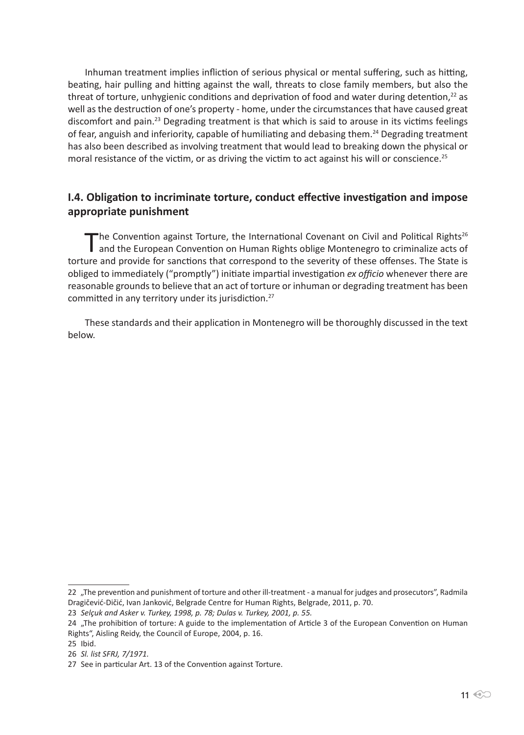Inhuman treatment implies infliction of serious physical or mental suffering, such as hitting, beating, hair pulling and hitting against the wall, threats to close family members, but also the threat of torture, unhygienic conditions and deprivation of food and water during detention,<sup>22</sup> as well as the destruction of one's property - home, under the circumstances that have caused great discomfort and pain.<sup>23</sup> Degrading treatment is that which is said to arouse in its victims feelings of fear, anguish and inferiority, capable of humiliating and debasing them.<sup>24</sup> Degrading treatment has also been described as involving treatment that would lead to breaking down the physical or moral resistance of the victim, or as driving the victim to act against his will or conscience.<sup>25</sup>

#### **I.4. Obligation to incriminate torture, conduct effective investigation and impose appropriate punishment**

The Convention against Torture, the International Covenant on Civil and Political Rights<sup>26</sup><br>and the European Convention on Human Rights oblige Montenegro to criminalize acts of torture and provide for sanctions that correspond to the severity of these offenses. The State is obliged to immediately ("promptly") initiate impartial investigation *ex officio* whenever there are reasonable grounds to believe that an act of torture or inhuman or degrading treatment has been committed in any territory under its jurisdiction.<sup>27</sup>

These standards and their application in Montenegro will be thoroughly discussed in the text below.

<sup>22 &</sup>quot;The prevention and punishment of torture and other ill-treatment - a manual for judges and prosecutors", Radmila Dragičević-Dičić, Ivan Janković, Belgrade Centre for Human Rights, Belgrade, 2011, p. 70.

<sup>23</sup> *Selçuk and Asker v. Turkey, 1998, p. 78; Dulas v. Turkey, 2001, p. 55.*

<sup>24 &</sup>quot;The prohibition of torture: A guide to the implementation of Article 3 of the European Convention on Human Rights", Aisling Reidy, the Council of Europe, 2004, p. 16.

<sup>25</sup> Ibid.

<sup>26</sup> *Sl. list SFRJ, 7/1971.*

<sup>27</sup> See in particular Art. 13 of the Convention against Torture.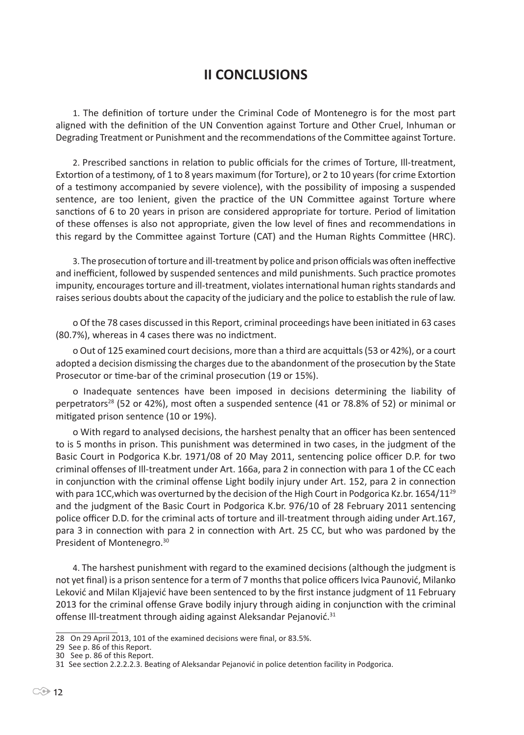## **II CONCLUSIONS**

1. The definition of torture under the Criminal Code of Montenegro is for the most part aligned with the definition of the UN Convention against Torture and Other Cruel, Inhuman or Degrading Treatment or Punishment and the recommendations of the Committee against Torture.

2. Prescribed sanctions in relation to public officials for the crimes of Torture, Ill-treatment, Extortion of a testimony, of 1 to 8 years maximum (for Torture), or 2 to 10 years (for crime Extortion of a testimony accompanied by severe violence), with the possibility of imposing a suspended sentence, are too lenient, given the practice of the UN Committee against Torture where sanctions of 6 to 20 years in prison are considered appropriate for torture. Period of limitation of these offenses is also not appropriate, given the low level of fines and recommendations in this regard by the Committee against Torture (CAT) and the Human Rights Committee (HRC).

3. The prosecution of torture and ill-treatment by police and prison officials was often ineffective and inefficient, followed by suspended sentences and mild punishments. Such practice promotes impunity, encourages torture and ill-treatment, violates international human rights standards and raises serious doubts about the capacity of the judiciary and the police to establish the rule of law.

o Of the 78 cases discussed in this Report, criminal proceedings have been initiated in 63 cases (80.7%), whereas in 4 cases there was no indictment.

o Out of 125 examined court decisions, more than a third are acquittals (53 or 42%), or a court adopted a decision dismissing the charges due to the abandonment of the prosecution by the State Prosecutor or time-bar of the criminal prosecution (19 or 15%).

o Inadequate sentences have been imposed in decisions determining the liability of perpetrators<sup>28</sup> (52 or 42%), most often a suspended sentence (41 or 78.8% of 52) or minimal or mitigated prison sentence (10 or 19%).

o With regard to analysed decisions, the harshest penalty that an officer has been sentenced to is 5 months in prison. This punishment was determined in two cases, in the judgment of the Basic Court in Podgorica K.br. 1971/08 of 20 May 2011, sentencing police officer D.P. for two criminal offenses of Ill-treatment under Art. 166a, para 2 in connection with para 1 of the CC each in conjunction with the criminal offense Light bodily injury under Art. 152, para 2 in connection with para 1CC, which was overturned by the decision of the High Court in Podgorica Kz.br. 1654/11<sup>29</sup> and the judgment of the Basic Court in Podgorica K.br. 976/10 of 28 February 2011 sentencing police officer D.D. for the criminal acts of torture and ill-treatment through aiding under Art.167, para 3 in connection with para 2 in connection with Art. 25 CC, but who was pardoned by the President of Montenegro.<sup>30</sup>

4. The harshest punishment with regard to the examined decisions (although the judgment is not yet final) is a prison sentence for a term of 7 months that police officers Ivica Paunović, Milanko Leković and Milan Kljajević have been sentenced to by the first instance judgment of 11 February 2013 for the criminal offense Grave bodily injury through aiding in conjunction with the criminal offense III-treatment through aiding against Aleksandar Pejanović.<sup>31</sup>

<sup>28</sup> On 29 April 2013, 101 of the examined decisions were final, or 83.5%.

<sup>29</sup> See p. 86 of this Report.

<sup>30</sup> See p. 86 of this Report.

<sup>31</sup> See section 2.2.2.2.3. Beating of Aleksandar Pejanović in police detention facility in Podgorica.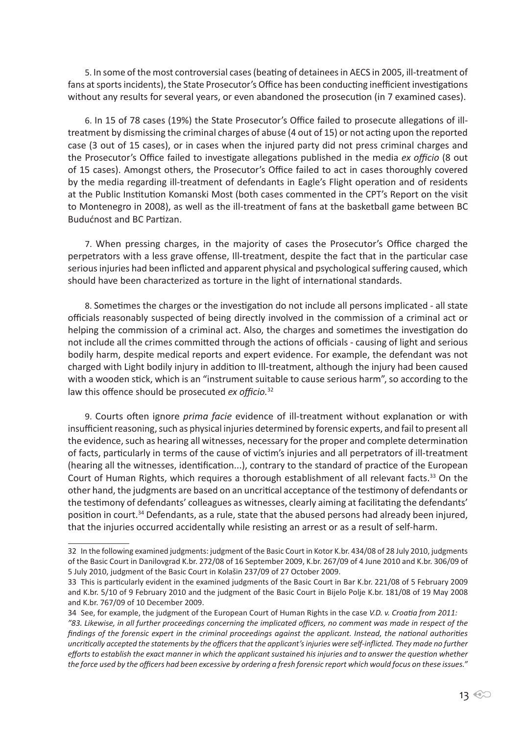5. In some of the most controversial cases (beating of detainees in AECS in 2005, ill-treatment of fans at sports incidents), the State Prosecutor's Office has been conducting inefficient investigations without any results for several years, or even abandoned the prosecution (in 7 examined cases).

6. In 15 of 78 cases (19%) the State Prosecutor's Office failed to prosecute allegations of illtreatment by dismissing the criminal charges of abuse (4 out of 15) or not acting upon the reported case (3 out of 15 cases), or in cases when the injured party did not press criminal charges and the Prosecutor's Office failed to investigate allegations published in the media *ex officio* (8 out of 15 cases). Amongst others, the Prosecutor's Office failed to act in cases thoroughly covered by the media regarding ill-treatment of defendants in Eagle's Flight operation and of residents at the Public Institution Komanski Most (both cases commented in the CPT's Report on the visit to Montenegro in 2008), as well as the ill-treatment of fans at the basketball game between BC Budućnost and BC Partizan.

7. When pressing charges, in the majority of cases the Prosecutor's Office charged the perpetrators with a less grave offense, Ill-treatment, despite the fact that in the particular case serious injuries had been inflicted and apparent physical and psychological suffering caused, which should have been characterized as torture in the light of international standards.

8. Sometimes the charges or the investigation do not include all persons implicated - all state officials reasonably suspected of being directly involved in the commission of a criminal act or helping the commission of a criminal act. Also, the charges and sometimes the investigation do not include all the crimes committed through the actions of officials - causing of light and serious bodily harm, despite medical reports and expert evidence. For example, the defendant was not charged with Light bodily injury in addition to Ill-treatment, although the injury had been caused with a wooden stick, which is an "instrument suitable to cause serious harm", so according to the law this offence should be prosecuted *ex officio.*<sup>32</sup>

9. Courts often ignore *prima facie* evidence of ill-treatment without explanation or with insufficient reasoning, such as physical injuries determined by forensic experts, and fail to present all the evidence, such as hearing all witnesses, necessary for the proper and complete determination of facts, particularly in terms of the cause of victim's injuries and all perpetrators of ill-treatment (hearing all the witnesses, identification...), contrary to the standard of practice of the European Court of Human Rights, which requires a thorough establishment of all relevant facts.<sup>33</sup> On the other hand, the judgments are based on an uncritical acceptance of the testimony of defendants or the testimony of defendants' colleagues as witnesses, clearly aiming at facilitating the defendants' position in court.<sup>34</sup> Defendants, as a rule, state that the abused persons had already been injured, that the injuries occurred accidentally while resisting an arrest or as a result of self-harm.

<sup>32</sup> In the following examined judgments: judgment of the Basic Court in Kotor K.br. 434/08 of 28 July 2010, judgments of the Basic Court in Danilovgrad K.br. 272/08 of 16 September 2009, K.br. 267/09 of 4 June 2010 and K.br. 306/09 of 5 July 2010, judgment of the Basic Court in Kolašin 237/09 of 27 October 2009.

<sup>33</sup> This is particularly evident in the examined judgments of the Basic Court in Bar K.br. 221/08 of 5 February 2009 and K.br. 5/10 of 9 February 2010 and the judgment of the Basic Court in Bijelo Polje K.br. 181/08 of 19 May 2008 and K.br. 767/09 of 10 December 2009.

<sup>34</sup> See, for example, the judgment of the European Court of Human Rights in the case *V.D. v. Croatia from 2011: "83. Likewise, in all further proceedings concerning the implicated officers, no comment was made in respect of the findings of the forensic expert in the criminal proceedings against the applicant. Instead, the national authorities uncritically accepted the statements by the officers that the applicant's injuries were self-inflicted. They made no further efforts to establish the exact manner in which the applicant sustained his injuries and to answer the question whether the force used by the officers had been excessive by ordering a fresh forensic report which would focus on these issues."*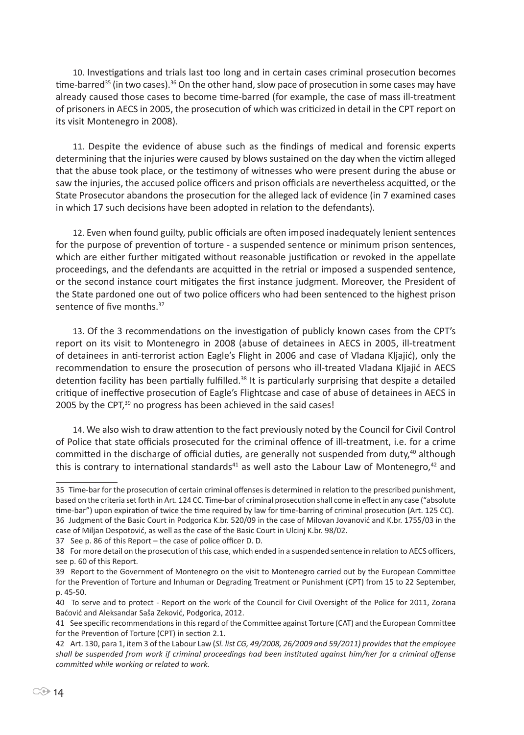10. Investigations and trials last too long and in certain cases criminal prosecution becomes time-barred<sup>35</sup> (in two cases).<sup>36</sup> On the other hand, slow pace of prosecution in some cases may have already caused those cases to become time-barred (for example, the case of mass ill-treatment of prisoners in AECS in 2005, the prosecution of which was criticized in detail in the CPT report on its visit Montenegro in 2008).

11. Despite the evidence of abuse such as the findings of medical and forensic experts determining that the injuries were caused by blows sustained on the day when the victim alleged that the abuse took place, or the testimony of witnesses who were present during the abuse or saw the injuries, the accused police officers and prison officials are nevertheless acquitted, or the State Prosecutor abandons the prosecution for the alleged lack of evidence (in 7 examined cases in which 17 such decisions have been adopted in relation to the defendants).

12. Even when found guilty, public officials are often imposed inadequately lenient sentences for the purpose of prevention of torture - a suspended sentence or minimum prison sentences, which are either further mitigated without reasonable justification or revoked in the appellate proceedings, and the defendants are acquitted in the retrial or imposed a suspended sentence, or the second instance court mitigates the first instance judgment. Moreover, the President of the State pardoned one out of two police officers who had been sentenced to the highest prison sentence of five months.<sup>37</sup>

13. Of the 3 recommendations on the investigation of publicly known cases from the CPT's report on its visit to Montenegro in 2008 (abuse of detainees in AECS in 2005, ill-treatment of detainees in anti-terrorist action Eagle's Flight in 2006 and case of Vladana Kljajić), only the recommendation to ensure the prosecution of persons who ill-treated Vladana Kljajić in AECS detention facility has been partially fulfilled.<sup>38</sup> It is particularly surprising that despite a detailed critique of ineffective prosecution of Eagle's Flightcase and case of abuse of detainees in AECS in 2005 by the CPT, $39$  no progress has been achieved in the said cases!

14. We also wish to draw attention to the fact previously noted by the Council for Civil Control of Police that state officials prosecuted for the criminal offence of ill-treatment, i.e. for a crime committed in the discharge of official duties, are generally not suspended from duty,<sup>40</sup> although this is contrary to international standards<sup>41</sup> as well asto the Labour Law of Montenegro,  $42$  and

<sup>35</sup> Time-bar for the prosecution of certain criminal offenses is determined in relation to the prescribed punishment, based on the criteria set forth in Art. 124 CC. Time-bar of criminal prosecution shall come in effect in any case ("absolute time-bar") upon expiration of twice the time required by law for time-barring of criminal prosecution (Art. 125 CC). 36 Judgment of the Basic Court in Podgorica K.br. 520/09 in the case of Milovan Jovanović and K.br. 1755/03 in the case of Miljan Despotović, as well as the case of the Basic Court in Ulcinj K.br. 98/02.

<sup>37</sup> See p. 86 of this Report – the case of police officer D. D.

<sup>38</sup> For more detail on the prosecution of this case, which ended in a suspended sentence in relation to AECS officers, see p. 60 of this Report.

<sup>39</sup> Report to the Government of Montenegro on the visit to Montenegro carried out by the European Committee for the Prevention of Torture and Inhuman or Degrading Treatment or Punishment (CPT) from 15 to 22 September, p. 45-50.

<sup>40</sup> To serve and to protect - Report on the work of the Council for Civil Oversight of the Police for 2011, Zorana Baćović and Aleksandar Saša Zeković, Podgorica, 2012.

<sup>41</sup> See specific recommendations in this regard of the Committee against Torture (CAT) and the European Committee for the Prevention of Torture (CPT) in section 2.1.

<sup>42</sup> Art. 130, para 1, item 3 of the Labour Law (*Sl. list CG, 49/2008, 26/2009 and 59/2011) provides that the employee shall be suspended from work if criminal proceedings had been instituted against him/her for a criminal offense committed while working or related to work.*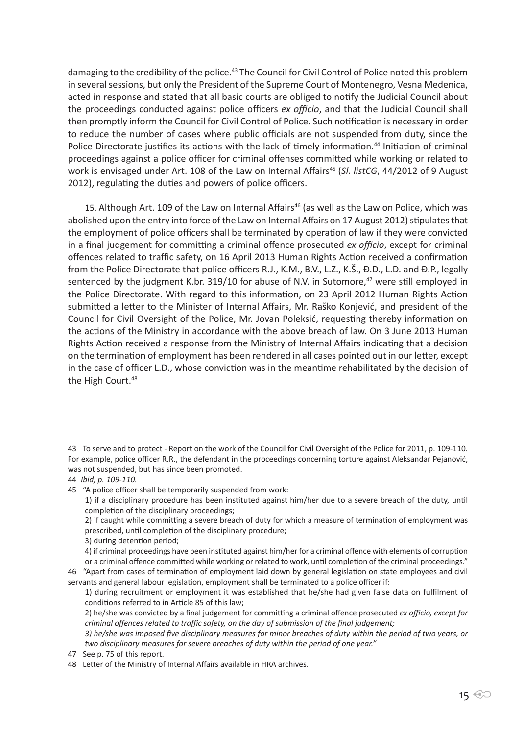damaging to the credibility of the police.<sup>43</sup> The Council for Civil Control of Police noted this problem in several sessions, but only the President of the Supreme Court of Montenegro, Vesna Medenica, acted in response and stated that all basic courts are obliged to notify the Judicial Council about the proceedings conducted against police officers *ex officio*, and that the Judicial Council shall then promptly inform the Council for Civil Control of Police. Such notification is necessary in order to reduce the number of cases where public officials are not suspended from duty, since the Police Directorate justifies its actions with the lack of timely information.<sup>44</sup> Initiation of criminal proceedings against a police officer for criminal offenses committed while working or related to work is envisaged under Art. 108 of the Law on Internal Affairs<sup>45</sup> (Sl. listCG, 44/2012 of 9 August 2012), regulating the duties and powers of police officers.

15. Although Art. 109 of the Law on Internal Affairs<sup>46</sup> (as well as the Law on Police, which was abolished upon the entry into force of the Law on Internal Affairs on 17 August 2012) stipulates that the employment of police officers shall be terminated by operation of law if they were convicted in a final judgement for committing a criminal offence prosecuted *ex officio*, except for criminal offences related to traffic safety, on 16 April 2013 Human Rights Action received a confirmation from the Police Directorate that police officers R.J., K.M., B.V., L.Z., K.Š., Đ.D., L.D. and Đ.P., legally sentenced by the judgment K.br. 319/10 for abuse of N.V. in Sutomore,<sup>47</sup> were still employed in the Police Directorate. With regard to this information, on 23 April 2012 Human Rights Action submitted a letter to the Minister of Internal Affairs, Mr. Raško Konjević, and president of the Council for Civil Oversight of the Police, Mr. Jovan Poleksić, requesting thereby information on the actions of the Ministry in accordance with the above breach of law. On 3 June 2013 Human Rights Action received a response from the Ministry of Internal Affairs indicating that a decision on the termination of employment has been rendered in all cases pointed out in our letter, except in the case of officer L.D., whose conviction was in the meantime rehabilitated by the decision of the High Court.<sup>48</sup>

<sup>43</sup> To serve and to protect - Report on the work of the Council for Civil Oversight of the Police for 2011, p. 109-110. For example, police officer R.R., the defendant in the proceedings concerning torture against Aleksandar Pejanović, was not suspended, but has since been promoted.

<sup>44</sup> *Ibid, p. 109-110.*

<sup>45 &</sup>quot;A police officer shall be temporarily suspended from work:

<sup>1)</sup> if a disciplinary procedure has been instituted against him/her due to a severe breach of the duty, until completion of the disciplinary proceedings;

<sup>2)</sup> if caught while committing a severe breach of duty for which a measure of termination of employment was prescribed, until completion of the disciplinary procedure;

<sup>3)</sup> during detention period;

<sup>4)</sup> if criminal proceedings have been instituted against him/her for a criminal offence with elements of corruption or a criminal offence committed while working or related to work, until completion of the criminal proceedings."

<sup>46 &</sup>quot;Apart from cases of termination of employment laid down by general legislation on state employees and civil servants and general labour legislation, employment shall be terminated to a police officer if:

<sup>1)</sup> during recruitment or employment it was established that he/she had given false data on fulfilment of conditions referred to in Article 85 of this law;

<sup>2)</sup> he/she was convicted by a final judgement for committing a criminal offence prosecuted *ex officio, except for criminal offences related to traffic safety, on the day of submission of the final judgement;*

*<sup>3)</sup> he/she was imposed five disciplinary measures for minor breaches of duty within the period of two years, or two disciplinary measures for severe breaches of duty within the period of one year."*

<sup>47</sup> See p. 75 of this report.

<sup>48</sup> Letter of the Ministry of Internal Affairs available in HRA archives.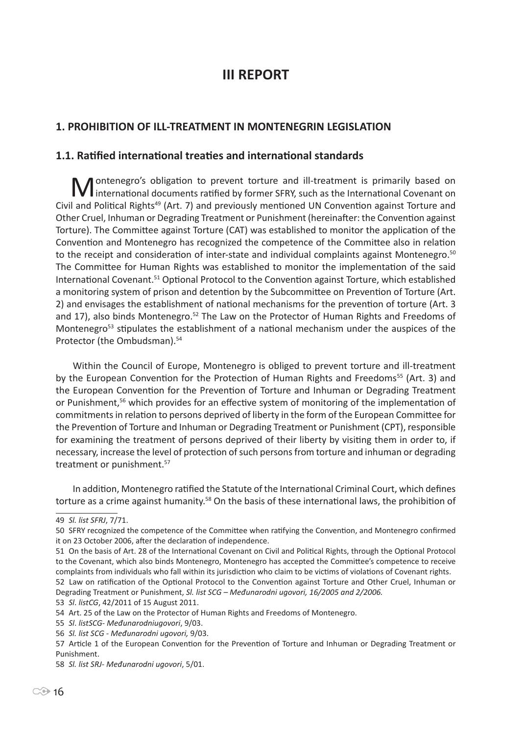## **III REPORT**

#### **1. PROHIBITION OF ILL-TREATMENT IN MONTENEGRIN LEGISLATION**

#### **1.1. Ratified international treaties and international standards**

**M** ontenegro's obligation to prevent torture and ill-treatment is primarily based on international documents ratified by former SFRY, such as the International Covenant on Civil and Political Rights<sup>49</sup> (Art. 7) and previously mentioned UN Convention against Torture and Other Cruel, Inhuman or Degrading Treatment or Punishment (hereinafter: the Convention against Torture). The Committee against Torture (CAT) was established to monitor the application of the Convention and Montenegro has recognized the competence of the Committee also in relation to the receipt and consideration of inter-state and individual complaints against Montenegro.<sup>50</sup> The Committee for Human Rights was established to monitor the implementation of the said International Covenant.<sup>51</sup> Optional Protocol to the Convention against Torture, which established a monitoring system of prison and detention by the Subcommittee on Prevention of Torture (Art. 2) and envisages the establishment of national mechanisms for the prevention of torture (Art. 3 and 17), also binds Montenegro.<sup>52</sup> The Law on the Protector of Human Rights and Freedoms of Montenegro<sup>53</sup> stipulates the establishment of a national mechanism under the auspices of the Protector (the Ombudsman).<sup>54</sup>

Within the Council of Europe, Montenegro is obliged to prevent torture and ill-treatment by the European Convention for the Protection of Human Rights and Freedoms<sup>55</sup> (Art. 3) and the European Convention for the Prevention of Torture and Inhuman or Degrading Treatment or Punishment,<sup>56</sup> which provides for an effective system of monitoring of the implementation of commitments in relation to persons deprived of liberty in the form of the European Committee for the Prevention of Torture and Inhuman or Degrading Treatment or Punishment (CPT), responsible for examining the treatment of persons deprived of their liberty by visiting them in order to, if necessary, increase the level of protection of such persons from torture and inhuman or degrading treatment or punishment.<sup>57</sup>

In addition, Montenegro ratified the Statute of the International Criminal Court, which defines torture as a crime against humanity.<sup>58</sup> On the basis of these international laws, the prohibition of

51 On the basis of Art. 28 of the International Covenant on Civil and Political Rights, through the Optional Protocol to the Covenant, which also binds Montenegro, Montenegro has accepted the Committee's competence to receive complaints from individuals who fall within its jurisdiction who claim to be victims of violations of Covenant rights.

52 Law on ratification of the Optional Protocol to the Convention against Torture and Other Cruel, Inhuman or Degrading Treatment or Punishment, *Sl. list SCG – Međunarodni ugovori, 16/2005 and 2/2006.*

53 *Sl*. *listCG*, 42/2011 of 15 August 2011.

<sup>49</sup> *Sl. list SFRJ*, 7/71.

<sup>50</sup> SFRY recognized the competence of the Committee when ratifying the Convention, and Montenegro confirmed it on 23 October 2006, after the declaration of independence.

<sup>54</sup> Art. 25 of the Law on the Protector of Human Rights and Freedoms of Montenegro.

<sup>55</sup> *Sl*. *listSCG*- *Međunarodniugovori*, 9/03.

<sup>56</sup> *Sl. list SCG - Međunarodni ugovori,* 9/03.

<sup>57</sup> Article 1 of the European Convention for the Prevention of Torture and Inhuman or Degrading Treatment or Punishment.

<sup>58</sup> *Sl. list SRJ- Međunarodni ugovori*, 5/01.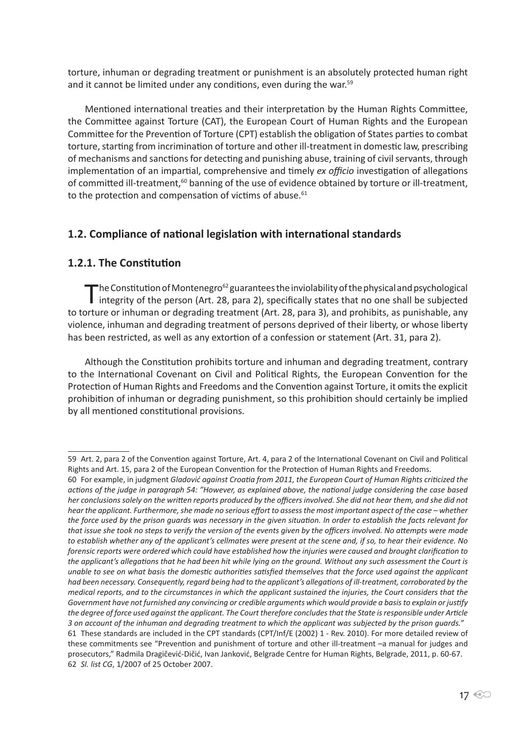torture, inhuman or degrading treatment or punishment is an absolutely protected human right and it cannot be limited under any conditions, even during the war.<sup>59</sup>

Mentioned international treaties and their interpretation by the Human Rights Committee, the Committee against Torture (CAT), the European Court of Human Rights and the European Committee for the Prevention of Torture (CPT) establish the obligation of States parties to combat torture, starting from incrimination of torture and other ill-treatment in domestic law, prescribing of mechanisms and sanctions for detecting and punishing abuse, training of civil servants, through implementation of an impartial, comprehensive and timely *ex officio* investigation of allegations of committed ill-treatment,<sup>60</sup> banning of the use of evidence obtained by torture or ill-treatment, to the protection and compensation of victims of abuse. $61$ 

#### **1.2. Compliance of national legislation with international standards**

#### **1.2.1. The Constitution**

The Constitution of Montenegro<sup>62</sup> guarantees the inviolability of the physical and psychological<br>integrity of the person (Art. 28, para 2), specifically states that no one shall be subjected to torture or inhuman or degrading treatment (Art. 28, para 3), and prohibits, as punishable, any violence, inhuman and degrading treatment of persons deprived of their liberty, or whose liberty has been restricted, as well as any extortion of a confession or statement (Art. 31, para 2).

Although the Constitution prohibits torture and inhuman and degrading treatment, contrary to the International Covenant on Civil and Political Rights, the European Convention for the Protection of Human Rights and Freedoms and the Convention against Torture, it omits the explicit prohibition of inhuman or degrading punishment, so this prohibition should certainly be implied by all mentioned constitutional provisions.

<sup>59</sup> Art. 2, para 2 of the Convention against Torture, Art. 4, para 2 of the International Covenant on Civil and Political Rights and Art. 15, para 2 of the European Convention for the Protection of Human Rights and Freedoms.

<sup>60</sup> For example, in judgment *Gladović against Croatia from 2011, the European Court of Human Rights criticized the actions of the judge in paragraph 54: "However, as explained above, the national judge considering the case based her conclusions solely on the written reports produced by the officers involved. She did not hear them, and she did not hear the applicant. Furthermore, she made no serious effort to assess the most important aspect of the case – whether the force used by the prison guards was necessary in the given situation. In order to establish the facts relevant for that issue she took no steps to verify the version of the events given by the officers involved. No attempts were made to establish whether any of the applicant's cellmates were present at the scene and, if so, to hear their evidence. No forensic reports were ordered which could have established how the injuries were caused and brought clarification to the applicant's allegations that he had been hit while lying on the ground. Without any such assessment the Court is unable to see on what basis the domestic authorities satisfied themselves that the force used against the applicant had been necessary. Consequently, regard being had to the applicant's allegations of ill-treatment, corroborated by the medical reports, and to the circumstances in which the applicant sustained the injuries, the Court considers that the Government have not furnished any convincing or credible arguments which would provide a basis to explain or justify the degree of force used against the applicant. The Court therefore concludes that the State is responsible under Article 3 on account of the inhuman and degrading treatment to which the applicant was subjected by the prison guards."* 61 These standards are included in the CPT standards (CPT/Inf/E (2002) 1 - Rev. 2010). For more detailed review of these commitments see "Prevention and punishment of torture and other ill-treatment –a manual for judges and prosecutors," Radmila Dragičević-Dičić, Ivan Janković, Belgrade Centre for Human Rights, Belgrade, 2011, p. 60-67. 62 *Sl. list CG*, 1/2007 of 25 October 2007.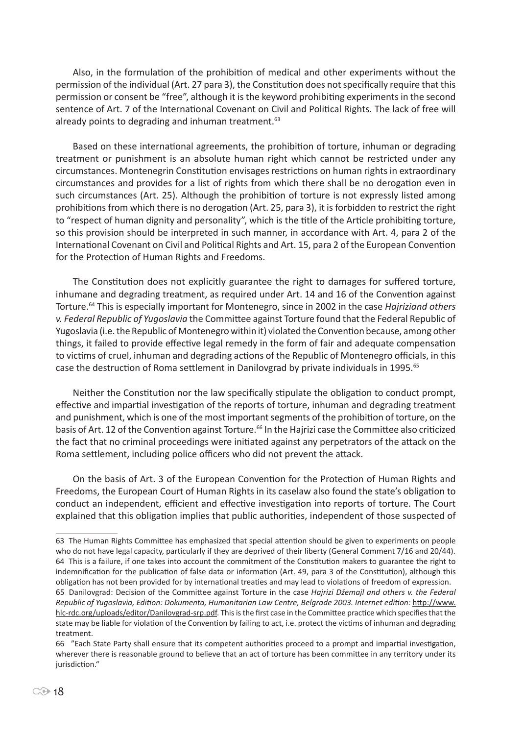Also, in the formulation of the prohibition of medical and other experiments without the permission of the individual (Art. 27 para 3), the Constitution does not specifically require that this permission or consent be "free", although it is the keyword prohibiting experiments in the second sentence of Art. 7 of the International Covenant on Civil and Political Rights. The lack of free will already points to degrading and inhuman treatment.<sup>63</sup>

Based on these international agreements, the prohibition of torture, inhuman or degrading treatment or punishment is an absolute human right which cannot be restricted under any circumstances. Montenegrin Constitution envisages restrictions on human rights in extraordinary circumstances and provides for a list of rights from which there shall be no derogation even in such circumstances (Art. 25). Although the prohibition of torture is not expressly listed among prohibitions from which there is no derogation (Art. 25, para 3), it is forbidden to restrict the right to "respect of human dignity and personality", which is the title of the Article prohibiting torture, so this provision should be interpreted in such manner, in accordance with Art. 4, para 2 of the International Covenant on Civil and Political Rights and Art. 15, para 2 of the European Convention for the Protection of Human Rights and Freedoms.

The Constitution does not explicitly guarantee the right to damages for suffered torture, inhumane and degrading treatment, as required under Art. 14 and 16 of the Convention against Torture.64 This is especially important for Montenegro, since in 2002 in the case *Hajriziand others v. Federal Republic of Yugoslavia* the Committee against Torture found that the Federal Republic of Yugoslavia (i.e. the Republic of Montenegro within it) violated the Convention because, among other things, it failed to provide effective legal remedy in the form of fair and adequate compensation to victims of cruel, inhuman and degrading actions of the Republic of Montenegro officials, in this case the destruction of Roma settlement in Danilovgrad by private individuals in 1995.<sup>65</sup>

Neither the Constitution nor the law specifically stipulate the obligation to conduct prompt, effective and impartial investigation of the reports of torture, inhuman and degrading treatment and punishment, which is one of the most important segments of the prohibition of torture, on the basis of Art. 12 of the Convention against Torture.<sup>66</sup> In the Hajrizi case the Committee also criticized the fact that no criminal proceedings were initiated against any perpetrators of the attack on the Roma settlement, including police officers who did not prevent the attack.

On the basis of Art. 3 of the European Convention for the Protection of Human Rights and Freedoms, the European Court of Human Rights in its caselaw also found the state's obligation to conduct an independent, efficient and effective investigation into reports of torture. The Court explained that this obligation implies that public authorities, independent of those suspected of

<sup>63</sup> The Human Rights Committee has emphasized that special attention should be given to experiments on people who do not have legal capacity, particularly if they are deprived of their liberty (General Comment 7/16 and 20/44). 64 This is a failure, if one takes into account the commitment of the Constitution makers to guarantee the right to indemnification for the publication of false data or information (Art. 49, para 3 of the Constitution), although this obligation has not been provided for by international treaties and may lead to violations of freedom of expression. 65 Danilovgrad: Decision of the Committee against Torture in the case *Hajrizi Džemajl and others v. the Federal Republic of Yugoslavia, Edition: Dokumenta, Humanitarian Law Centre, Belgrade 2003. Internet edition:* http://www. hlc-rdc.org/uploads/editor/Danilovgrad-srp.pdf. This is the first case in the Committee practice which specifies that the state may be liable for violation of the Convention by failing to act, i.e. protect the victims of inhuman and degrading treatment.

<sup>66 &</sup>quot;Each State Party shall ensure that its competent authorities proceed to a prompt and impartial investigation, wherever there is reasonable ground to believe that an act of torture has been committee in any territory under its jurisdiction."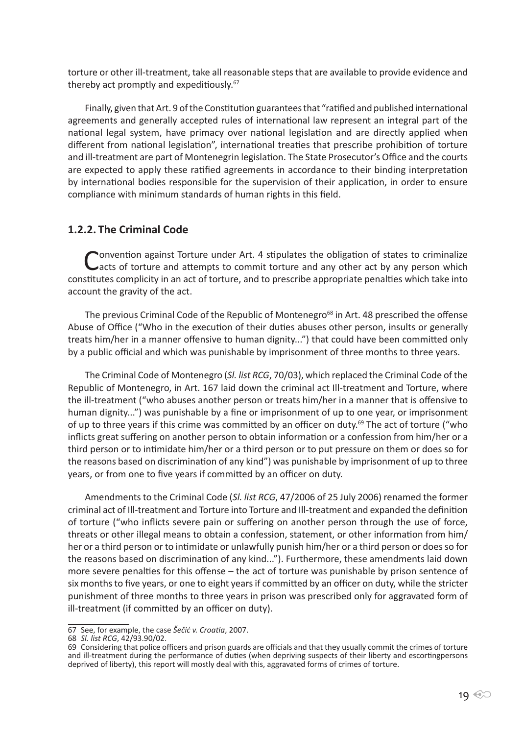torture or other ill-treatment, take all reasonable steps that are available to provide evidence and thereby act promptly and expeditiously.<sup>67</sup>

Finally, given that Art. 9 of the Constitution guarantees that "ratified and published international agreements and generally accepted rules of international law represent an integral part of the national legal system, have primacy over national legislation and are directly applied when different from national legislation", international treaties that prescribe prohibition of torture and ill-treatment are part of Montenegrin legislation. The State Prosecutor's Office and the courts are expected to apply these ratified agreements in accordance to their binding interpretation by international bodies responsible for the supervision of their application, in order to ensure compliance with minimum standards of human rights in this field.

#### **1.2.2. The Criminal Code**

Convention against Torture under Art. 4 stipulates the obligation of states to criminalize<br>Cacts of torture and attempts to commit torture and any other act by any person which constitutes complicity in an act of torture, and to prescribe appropriate penalties which take into account the gravity of the act.

The previous Criminal Code of the Republic of Montenegro<sup>68</sup> in Art. 48 prescribed the offense Abuse of Office ("Who in the execution of their duties abuses other person, insults or generally treats him/her in a manner offensive to human dignity...") that could have been committed only by a public official and which was punishable by imprisonment of three months to three years.

The Criminal Code of Montenegro (*Sl. list RCG*, 70/03), which replaced the Criminal Code of the Republic of Montenegro, in Art. 167 laid down the criminal act Ill-treatment and Torture, where the ill-treatment ("who abuses another person or treats him/her in a manner that is offensive to human dignity...") was punishable by a fine or imprisonment of up to one year, or imprisonment of up to three years if this crime was committed by an officer on duty.<sup>69</sup> The act of torture ("who inflicts great suffering on another person to obtain information or a confession from him/her or a third person or to intimidate him/her or a third person or to put pressure on them or does so for the reasons based on discrimination of any kind") was punishable by imprisonment of up to three years, or from one to five years if committed by an officer on duty.

Amendments to the Criminal Code (*Sl. list RCG*, 47/2006 of 25 July 2006) renamed the former criminal act of Ill-treatment and Torture into Torture and Ill-treatment and expanded the definition of torture ("who inflicts severe pain or suffering on another person through the use of force, threats or other illegal means to obtain a confession, statement, or other information from him/ her or a third person or to intimidate or unlawfully punish him/her or a third person or does so for the reasons based on discrimination of any kind..."). Furthermore, these amendments laid down more severe penalties for this offense – the act of torture was punishable by prison sentence of six months to five years, or one to eight years if committed by an officer on duty, while the stricter punishment of three months to three years in prison was prescribed only for aggravated form of ill-treatment (if committed by an officer on duty).

68 *Sl. list RCG*, 42/93.90/02.

<sup>67</sup> See, for example, the case *Šečić v. Croatia*, 2007.

<sup>69</sup> Considering that police officers and prison guards are officials and that they usually commit the crimes of torture and ill-treatment during the performance of duties (when depriving suspects of their liberty and escortingpersons deprived of liberty), this report will mostly deal with this, aggravated forms of crimes of torture.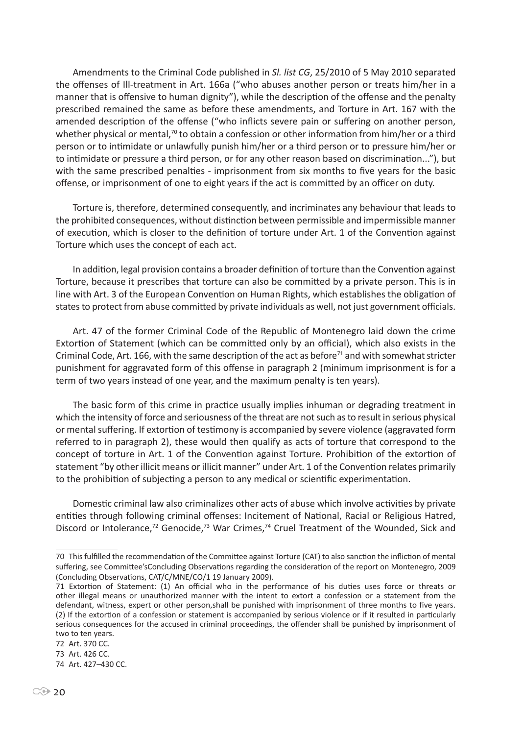Amendments to the Criminal Code published in *Sl. list CG*, 25/2010 of 5 May 2010 separated the offenses of Ill-treatment in Art. 166a ("who abuses another person or treats him/her in a manner that is offensive to human dignity"), while the description of the offense and the penalty prescribed remained the same as before these amendments, and Torture in Art. 167 with the amended description of the offense ("who inflicts severe pain or suffering on another person, whether physical or mental,<sup>70</sup> to obtain a confession or other information from him/her or a third person or to intimidate or unlawfully punish him/her or a third person or to pressure him/her or to intimidate or pressure a third person, or for any other reason based on discrimination..."), but with the same prescribed penalties - imprisonment from six months to five years for the basic offense, or imprisonment of one to eight years if the act is committed by an officer on duty.

Torture is, therefore, determined consequently, and incriminates any behaviour that leads to the prohibited consequences, without distinction between permissible and impermissible manner of execution, which is closer to the definition of torture under Art. 1 of the Convention against Torture which uses the concept of each act.

In addition, legal provision contains a broader definition of torture than the Convention against Torture, because it prescribes that torture can also be committed by a private person. This is in line with Art. 3 of the European Convention on Human Rights, which establishes the obligation of states to protect from abuse committed by private individuals as well, not just government officials.

Art. 47 of the former Criminal Code of the Republic of Montenegro laid down the crime Extortion of Statement (which can be committed only by an official), which also exists in the Criminal Code, Art. 166, with the same description of the act as before<sup>71</sup> and with somewhat stricter punishment for aggravated form of this offense in paragraph 2 (minimum imprisonment is for a term of two years instead of one year, and the maximum penalty is ten years).

The basic form of this crime in practice usually implies inhuman or degrading treatment in which the intensity of force and seriousness of the threat are not such as to result in serious physical or mental suffering. If extortion of testimony is accompanied by severe violence (aggravated form referred to in paragraph 2), these would then qualify as acts of torture that correspond to the concept of torture in Art. 1 of the Convention against Torture. Prohibition of the extortion of statement "by other illicit means or illicit manner" under Art. 1 of the Convention relates primarily to the prohibition of subjecting a person to any medical or scientific experimentation.

Domestic criminal law also criminalizes other acts of abuse which involve activities by private entities through following criminal offenses: Incitement of National, Racial or Religious Hatred, Discord or Intolerance,<sup>72</sup> Genocide,<sup>73</sup> War Crimes,<sup>74</sup> Cruel Treatment of the Wounded, Sick and

<sup>70</sup> This fulfilled the recommendation of the Committee against Torture (CAT) to also sanction the infliction of mental suffering, see Committee'sConcluding Observations regarding the consideration of the report on Montenegro, 2009 (Concluding Observations, CAT/C/MNE/CO/1 19 January 2009).

<sup>71</sup> Extortion of Statement: (1) An official who in the performance of his duties uses force or threats or other illegal means or unauthorized manner with the intent to extort a confession or a statement from the defendant, witness, expert or other person,shall be punished with imprisonment of three months to five years. (2) If the extortion of a confession or statement is accompanied by serious violence or if it resulted in particularly serious consequences for the accused in criminal proceedings, the offender shall be punished by imprisonment of two to ten years.

<sup>72</sup> Art. 370 CC.

<sup>73</sup> Art. 426 CC.

<sup>74</sup> Art. 427–430 CC.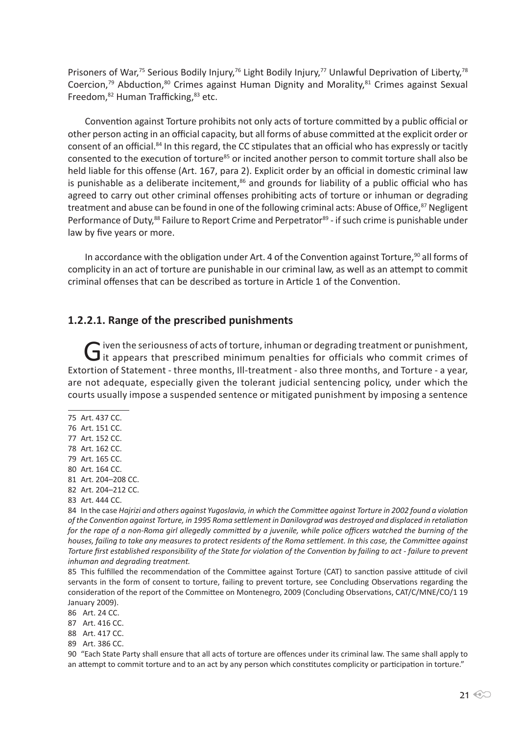Prisoners of War,<sup>75</sup> Serious Bodily Injury,<sup>76</sup> Light Bodily Injury,<sup>77</sup> Unlawful Deprivation of Liberty,<sup>78</sup> Coercion, $79$  Abduction, $80$  Crimes against Human Dignity and Morality, $81$  Crimes against Sexual Freedom, $82$  Human Trafficking, $83$  etc.

Convention against Torture prohibits not only acts of torture committed by a public official or other person acting in an official capacity, but all forms of abuse committed at the explicit order or consent of an official.84 In this regard, the CC stipulates that an official who has expressly or tacitly consented to the execution of torture<sup>85</sup> or incited another person to commit torture shall also be held liable for this offense (Art. 167, para 2). Explicit order by an official in domestic criminal law is punishable as a deliberate incitement, $86$  and grounds for liability of a public official who has agreed to carry out other criminal offenses prohibiting acts of torture or inhuman or degrading treatment and abuse can be found in one of the following criminal acts: Abuse of Office,<sup>87</sup> Negligent Performance of Duty,<sup>88</sup> Failure to Report Crime and Perpetrator<sup>89</sup> - if such crime is punishable under law by five years or more.

In accordance with the obligation under Art. 4 of the Convention against Torture,<sup>90</sup> all forms of complicity in an act of torture are punishable in our criminal law, as well as an attempt to commit criminal offenses that can be described as torture in Article 1 of the Convention.

#### **1.2.2.1. Range of the prescribed punishments**

Given the seriousness of acts of torture, inhuman or degrading treatment or punishment,<br>it appears that prescribed minimum penalties for officials who commit crimes of Extortion of Statement - three months, Ill-treatment - also three months, and Torture - a year, are not adequate, especially given the tolerant judicial sentencing policy, under which the courts usually impose a suspended sentence or mitigated punishment by imposing a sentence

- 75 Art. 437 CC.
- 76 Art. 151 CC.
- 77 Art. 152 CC.
- 78 Art. 162 CC.
- 79 Art. 165 CC.
- 80 Art. 164 CC.
- 81 Art. 204–208 CC.
- 82 Art. 204–212 CC.
- 83 Art. 444 CC.

84 In the case *Hajrizi and others against Yugoslavia, in which the Committee against Torture in 2002 found a violation of the Convention against Torture, in 1995 Roma settlement in Danilovgrad was destroyed and displaced in retaliation for the rape of a non-Roma girl allegedly committed by a juvenile, while police officers watched the burning of the houses, failing to take any measures to protect residents of the Roma settlement. In this case, the Committee against Torture first established responsibility of the State for violation of the Convention by failing to act - failure to prevent inhuman and degrading treatment.*

85 This fulfilled the recommendation of the Committee against Torture (CAT) to sanction passive attitude of civil servants in the form of consent to torture, failing to prevent torture, see Concluding Observations regarding the consideration of the report of the Committee on Montenegro, 2009 (Concluding Observations, CAT/C/MNE/CO/1 19 January 2009).

- 86 Art. 24 CC.
- 87 Art. 416 CC.
- 88 Art. 417 CC.
- 89 Art. 386 CC.

90 "Each State Party shall ensure that all acts of torture are offences under its criminal law. The same shall apply to an attempt to commit torture and to an act by any person which constitutes complicity or participation in torture."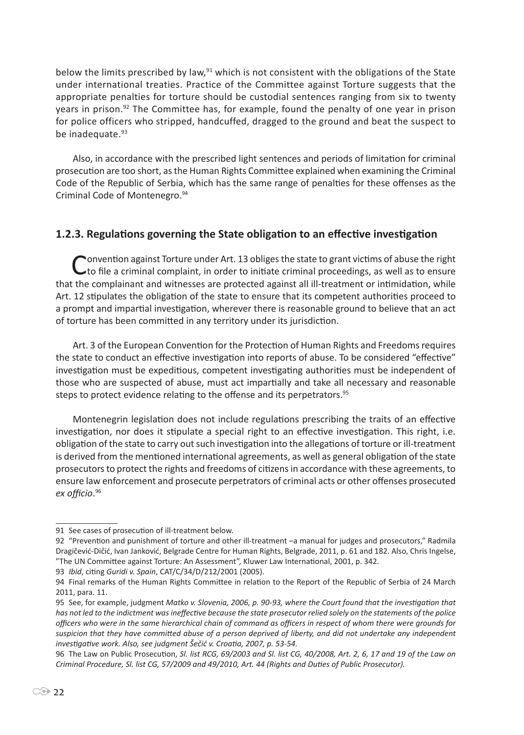below the limits prescribed by law, $91$  which is not consistent with the obligations of the State under international treaties. Practice of the Committee against Torture suggests that the appropriate penalties for torture should be custodial sentences ranging from six to twenty years in prison.<sup>92</sup> The Committee has, for example, found the penalty of one year in prison for police officers who stripped, handcuffed, dragged to the ground and beat the suspect to be inadequate.<sup>93</sup>

Also, in accordance with the prescribed light sentences and periods of limitation for criminal prosecution are too short, as the Human Rights Committee explained when examining the Criminal Code of the Republic of Serbia, which has the same range of penalties for these offenses as the Criminal Code of Montenegro.<sup>94</sup>

#### **1.2.3. Regulations governing the State obligation to an effective investigation**

Convention against Torture under Art. 13 obliges the state to grant victims of abuse the right<br>to file a criminal complaint, in order to initiate criminal proceedings, as well as to ensure that the complainant and witnesses are protected against all ill-treatment or intimidation, while Art. 12 stipulates the obligation of the state to ensure that its competent authorities proceed to a prompt and impartial investigation, wherever there is reasonable ground to believe that an act of torture has been committed in any territory under its jurisdiction.

Art. 3 of the European Convention for the Protection of Human Rights and Freedoms requires the state to conduct an effective investigation into reports of abuse. To be considered "effective" investigation must be expeditious, competent investigating authorities must be independent of those who are suspected of abuse, must act impartially and take all necessary and reasonable steps to protect evidence relating to the offense and its perpetrators.<sup>95</sup>

Montenegrin legislation does not include regulations prescribing the traits of an effective investigation, nor does it stipulate a special right to an effective investigation. This right, i.e. obligation of the state to carry out such investigation into the allegations of torture or ill-treatment is derived from the mentioned international agreements, as well as general obligation of the state prosecutors to protect the rights and freedoms of citizens in accordance with these agreements, to ensure law enforcement and prosecute perpetrators of criminal acts or other offenses prosecuted *ex officio*. 96

<sup>91</sup> See cases of prosecution of ill-treatment below.

<sup>92 &</sup>quot;Prevention and punishment of torture and other ill-treatment –a manual for judges and prosecutors," Radmila Dragičević-Dičić, Ivan Janković, Belgrade Centre for Human Rights, Belgrade, 2011, p. 61 and 182. Also, Chris Ingelse, "The UN Committee against Torture: An Assessment", Kluwer Law International, 2001, p. 342.

<sup>93</sup> *Ibid*, citing *Guridi v. Spain*, CAT/C/34/D/212/2001 (2005).

<sup>94</sup> Final remarks of the Human Rights Committee in relation to the Report of the Republic of Serbia of 24 March 2011, para. 11.

<sup>95</sup> See, for example, judgment *Matko v. Slovenia, 2006, p. 90-93, where the Court found that the investigation that has not led to the indictment was ineffective because the state prosecutor relied solely on the statements of the police officers who were in the same hierarchical chain of command as officers in respect of whom there were grounds for suspicion that they have committed abuse of a person deprived of liberty, and did not undertake any independent investigative work. Also, see judgment Šečić v. Croatia, 2007, p. 53-54.*

<sup>96</sup> The Law on Public Prosecution, *Sl. list RCG, 69/2003 and Sl. list CG, 40/2008, Art. 2, 6, 17 and 19 of the Law on Criminal Procedure, Sl. list CG, 57/2009 and 49/2010, Art. 44 (Rights and Duties of Public Prosecutor).*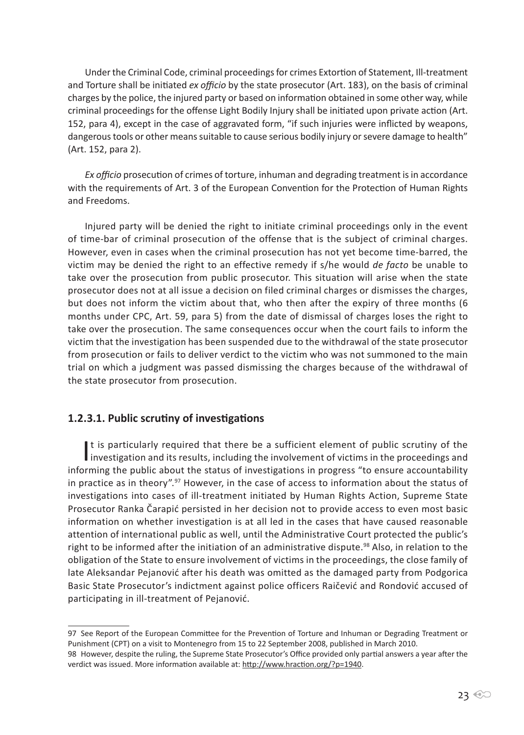Under the Criminal Code, criminal proceedings for crimes Extortion of Statement, Ill-treatment and Torture shall be initiated *ex officio* by the state prosecutor (Art. 183), on the basis of criminal charges by the police, the injured party or based on information obtained in some other way, while criminal proceedings for the offense Light Bodily Injury shall be initiated upon private action (Art. 152, para 4), except in the case of aggravated form, "if such injuries were inflicted by weapons, dangerous tools or other means suitable to cause serious bodily injury or severe damage to health" (Art. 152, para 2).

*Ex officio* prosecution of crimes of torture, inhuman and degrading treatment is in accordance with the requirements of Art. 3 of the European Convention for the Protection of Human Rights and Freedoms.

Injured party will be denied the right to initiate criminal proceedings only in the event of time-bar of criminal prosecution of the offense that is the subject of criminal charges. However, even in cases when the criminal prosecution has not yet become time-barred, the victim may be denied the right to an effective remedy if s/he would *de facto* be unable to take over the prosecution from public prosecutor. This situation will arise when the state prosecutor does not at all issue a decision on filed criminal charges or dismisses the charges, but does not inform the victim about that, who then after the expiry of three months (6 months under CPC, Art. 59, para 5) from the date of dismissal of charges loses the right to take over the prosecution. The same consequences occur when the court fails to inform the victim that the investigation has been suspended due to the withdrawal of the state prosecutor from prosecution or fails to deliver verdict to the victim who was not summoned to the main trial on which a judgment was passed dismissing the charges because of the withdrawal of the state prosecutor from prosecution.

#### **1.2.3.1. Public scrutiny of investigations**

It is particularly required that there be a sufficient element of public scrutiny of the<br>investigation and its results, including the involvement of victims in the proceedings and It is particularly required that there be a sufficient element of public scrutiny of the informing the public about the status of investigations in progress "to ensure accountability in practice as in theory".<sup>97</sup> However, in the case of access to information about the status of investigations into cases of ill-treatment initiated by Human Rights Action, Supreme State Prosecutor Ranka Čarapić persisted in her decision not to provide access to even most basic information on whether investigation is at all led in the cases that have caused reasonable attention of international public as well, until the Administrative Court protected the public's right to be informed after the initiation of an administrative dispute.<sup>98</sup> Also, in relation to the obligation of the State to ensure involvement of victims in the proceedings, the close family of late Aleksandar Pejanović after his death was omitted as the damaged party from Podgorica Basic State Prosecutor's indictment against police officers Raičević and Rondović accused of participating in ill-treatment of Pejanović.

<sup>97</sup> See Report of the European Committee for the Prevention of Torture and Inhuman or Degrading Treatment or Punishment (CPT) on a visit to Montenegro from 15 to 22 September 2008, published in March 2010.

<sup>98</sup> However, despite the ruling, the Supreme State Prosecutor's Office provided only partial answers a year after the verdict was issued. More information available at: http://www.hraction.org/?p=1940.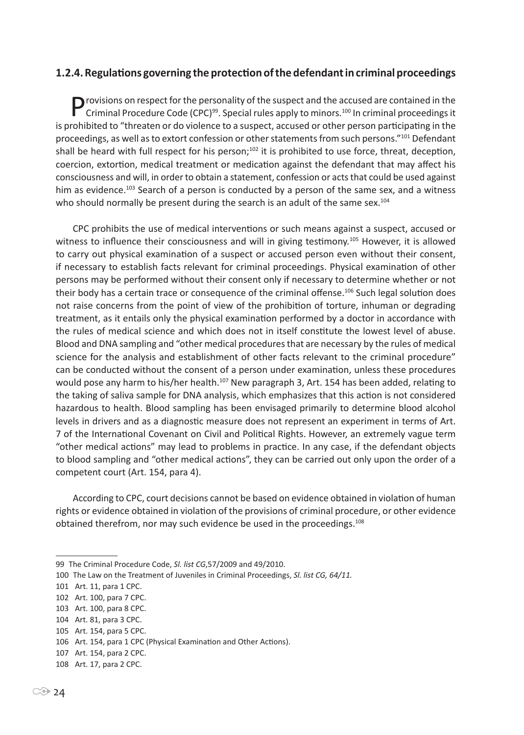#### **1.2.4. Regulations governing the protection of the defendant in criminal proceedings**

**P** rovisions on respect for the personality of the suspect and the accused are contained in the Criminal Procedure Code (CPC)<sup>99</sup>. Special rules apply to minors.<sup>100</sup> In criminal proceedings it is prohibited to "threaten or do violence to a suspect, accused or other person participating in the proceedings, as well as to extort confession or other statements from such persons."<sup>101</sup> Defendant shall be heard with full respect for his person;<sup>102</sup> it is prohibited to use force, threat, deception, coercion, extortion, medical treatment or medication against the defendant that may affect his consciousness and will, in order to obtain a statement, confession or acts that could be used against him as evidence.<sup>103</sup> Search of a person is conducted by a person of the same sex, and a witness who should normally be present during the search is an adult of the same sex.<sup>104</sup>

CPC prohibits the use of medical interventions or such means against a suspect, accused or witness to influence their consciousness and will in giving testimony.<sup>105</sup> However, it is allowed to carry out physical examination of a suspect or accused person even without their consent, if necessary to establish facts relevant for criminal proceedings. Physical examination of other persons may be performed without their consent only if necessary to determine whether or not their body has a certain trace or consequence of the criminal offense.<sup>106</sup> Such legal solution does not raise concerns from the point of view of the prohibition of torture, inhuman or degrading treatment, as it entails only the physical examination performed by a doctor in accordance with the rules of medical science and which does not in itself constitute the lowest level of abuse. Blood and DNA sampling and "other medical procedures that are necessary by the rules of medical science for the analysis and establishment of other facts relevant to the criminal procedure" can be conducted without the consent of a person under examination, unless these procedures would pose any harm to his/her health.<sup>107</sup> New paragraph 3, Art. 154 has been added, relating to the taking of saliva sample for DNA analysis, which emphasizes that this action is not considered hazardous to health. Blood sampling has been envisaged primarily to determine blood alcohol levels in drivers and as a diagnostic measure does not represent an experiment in terms of Art. 7 of the International Covenant on Civil and Political Rights. However, an extremely vague term "other medical actions" may lead to problems in practice. In any case, if the defendant objects to blood sampling and "other medical actions", they can be carried out only upon the order of a competent court (Art. 154, para 4).

According to CPC, court decisions cannot be based on evidence obtained in violation of human rights or evidence obtained in violation of the provisions of criminal procedure, or other evidence obtained therefrom, nor may such evidence be used in the proceedings.<sup>108</sup>

<sup>99</sup> The Criminal Procedure Code, *Sl. list CG*,57/2009 and 49/2010.

<sup>100</sup> The Law on the Treatment of Juveniles in Criminal Proceedings, *Sl. list CG, 64/11.*

<sup>101</sup> Art. 11, para 1 CPC.

<sup>102</sup> Art. 100, para 7 CPC.

<sup>103</sup> Art. 100, para 8 CPC.

<sup>104</sup> Art. 81, para 3 CPC.

<sup>105</sup> Art. 154, para 5 CPC.

<sup>106</sup> Art. 154, para 1 CPC (Physical Examination and Other Actions).

<sup>107</sup> Art. 154, para 2 CPC.

<sup>108</sup> Art. 17, para 2 CPC.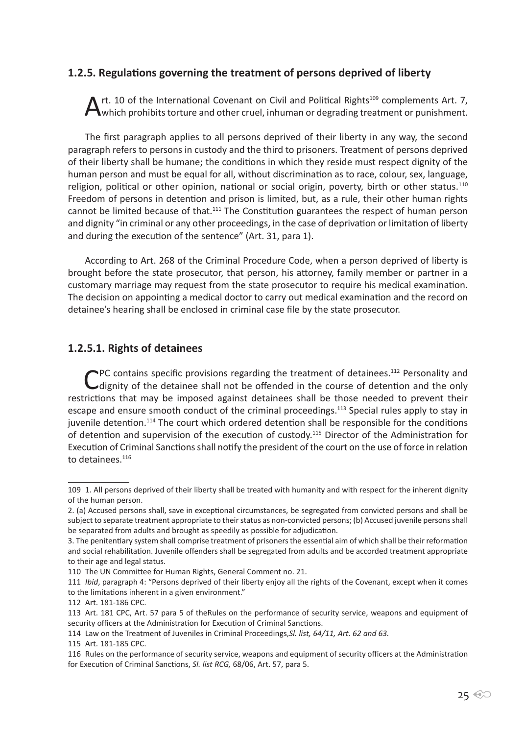#### **1.2.5. Regulations governing the treatment of persons deprived of liberty**

Art. 10 of the International Covenant on Civil and Political Rights<sup>109</sup> complements Art. 7, Which prohibits torture and other cruel, inhuman or degrading treatment or punishment.

The first paragraph applies to all persons deprived of their liberty in any way, the second paragraph refers to persons in custody and the third to prisoners. Treatment of persons deprived of their liberty shall be humane; the conditions in which they reside must respect dignity of the human person and must be equal for all, without discrimination as to race, colour, sex, language, religion, political or other opinion, national or social origin, poverty, birth or other status.<sup>110</sup> Freedom of persons in detention and prison is limited, but, as a rule, their other human rights cannot be limited because of that.<sup>111</sup> The Constitution guarantees the respect of human person and dignity "in criminal or any other proceedings, in the case of deprivation or limitation of liberty and during the execution of the sentence" (Art. 31, para 1).

According to Art. 268 of the Criminal Procedure Code, when a person deprived of liberty is brought before the state prosecutor, that person, his attorney, family member or partner in a customary marriage may request from the state prosecutor to require his medical examination. The decision on appointing a medical doctor to carry out medical examination and the record on detainee's hearing shall be enclosed in criminal case file by the state prosecutor.

#### **1.2.5.1. Rights of detainees**

CPC contains specific provisions regarding the treatment of detainees.<sup>112</sup> Personality and dignity of the detainee shall not be offended in the course of detention and the only restrictions that may be imposed against detainees shall be those needed to prevent their escape and ensure smooth conduct of the criminal proceedings.<sup>113</sup> Special rules apply to stay in juvenile detention.<sup>114</sup> The court which ordered detention shall be responsible for the conditions of detention and supervision of the execution of custody.<sup>115</sup> Director of the Administration for Execution of Criminal Sanctions shall notify the president of the court on the use of force in relation to detainees.<sup>116</sup>

111 *Ibid*, paragraph 4: "Persons deprived of their liberty enjoy all the rights of the Covenant, except when it comes to the limitations inherent in a given environment."

<sup>109 1.</sup> All persons deprived of their liberty shall be treated with humanity and with respect for the inherent dignity of the human person.

<sup>2. (</sup>a) Accused persons shall, save in exceptional circumstances, be segregated from convicted persons and shall be subject to separate treatment appropriate to their status as non-convicted persons; (b) Accused juvenile persons shall be separated from adults and brought as speedily as possible for adjudication.

<sup>3.</sup> The penitentiary system shall comprise treatment of prisoners the essential aim of which shall be their reformation and social rehabilitation. Juvenile offenders shall be segregated from adults and be accorded treatment appropriate to their age and legal status.

<sup>110</sup> The UN Committee for Human Rights, General Comment no. 21.

<sup>112</sup> Art. 181-186 CPC.

<sup>113</sup> Art. 181 CPC, Art. 57 para 5 of theRules on the performance of security service, weapons and equipment of security officers at the Administration for Execution of Criminal Sanctions.

<sup>114</sup> Law on the Treatment of Juveniles in Criminal Proceedings,*Sl. list, 64/11, Art. 62 and 63.*

<sup>115</sup> Art. 181-185 CPC.

<sup>116</sup> Rules on the performance of security service, weapons and equipment of security officers at the Administration for Execution of Criminal Sanctions, *Sl. list RCG,* 68/06, Art. 57, para 5.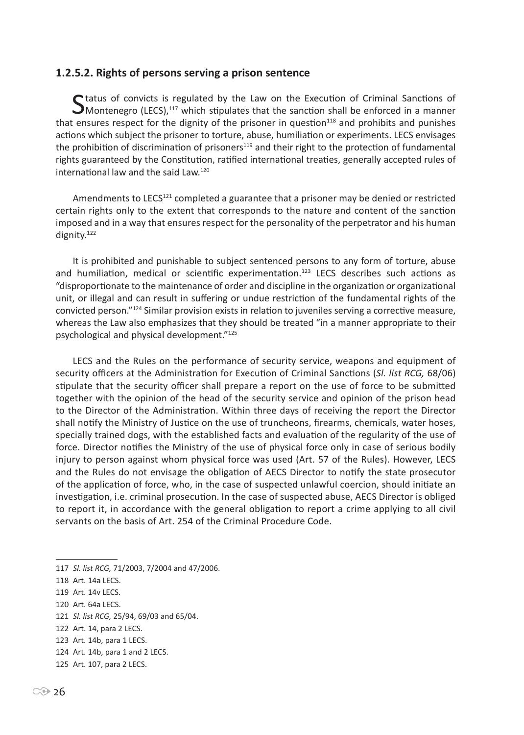#### **1.2.5.2. Rights of persons serving a prison sentence**

Status of convicts is regulated by the Law on the Execution of Criminal Sanctions of  $\mathbf{\mathcal{S}}$  Montenegro (LECS),<sup>117</sup> which stipulates that the sanction shall be enforced in a manner that ensures respect for the dignity of the prisoner in question<sup>118</sup> and prohibits and punishes actions which subject the prisoner to torture, abuse, humiliation or experiments. LECS envisages the prohibition of discrimination of prisoners<sup>119</sup> and their right to the protection of fundamental rights guaranteed by the Constitution, ratified international treaties, generally accepted rules of international law and the said Law.<sup>120</sup>

Amendments to LECS<sup>121</sup> completed a guarantee that a prisoner may be denied or restricted certain rights only to the extent that corresponds to the nature and content of the sanction imposed and in a way that ensures respect for the personality of the perpetrator and his human dignity.<sup>122</sup>

It is prohibited and punishable to subject sentenced persons to any form of torture, abuse and humiliation, medical or scientific experimentation.<sup>123</sup> LECS describes such actions as "disproportionate to the maintenance of order and discipline in the organization or organizational unit, or illegal and can result in suffering or undue restriction of the fundamental rights of the convicted person."124 Similar provision exists in relation to juveniles serving a corrective measure, whereas the Law also emphasizes that they should be treated "in a manner appropriate to their psychological and physical development."<sup>125</sup>

LECS and the Rules on the performance of security service, weapons and equipment of security officers at the Administration for Execution of Criminal Sanctions (*Sl. list RCG,* 68/06) stipulate that the security officer shall prepare a report on the use of force to be submitted together with the opinion of the head of the security service and opinion of the prison head to the Director of the Administration. Within three days of receiving the report the Director shall notify the Ministry of Justice on the use of truncheons, firearms, chemicals, water hoses, specially trained dogs, with the established facts and evaluation of the regularity of the use of force. Director notifies the Ministry of the use of physical force only in case of serious bodily injury to person against whom physical force was used (Art. 57 of the Rules). However, LECS and the Rules do not envisage the obligation of AECS Director to notify the state prosecutor of the application of force, who, in the case of suspected unlawful coercion, should initiate an investigation, i.e. criminal prosecution. In the case of suspected abuse, AECS Director is obliged to report it, in accordance with the general obligation to report a crime applying to all civil servants on the basis of Art. 254 of the Criminal Procedure Code.

- 117 *Sl. list RCG,* 71/2003, 7/2004 and 47/2006.
- 118 Art. 14a LECS.
- 119 Art. 14v LECS.
- 120 Art. 64a LECS.
- 121 *Sl. list RCG,* 25/94, 69/03 and 65/04.
- 122 Art. 14, para 2 LECS.

- 124 Art. 14b, para 1 and 2 LECS.
- 125 Art. 107, para 2 LECS.

<sup>123</sup> Art. 14b, para 1 LECS.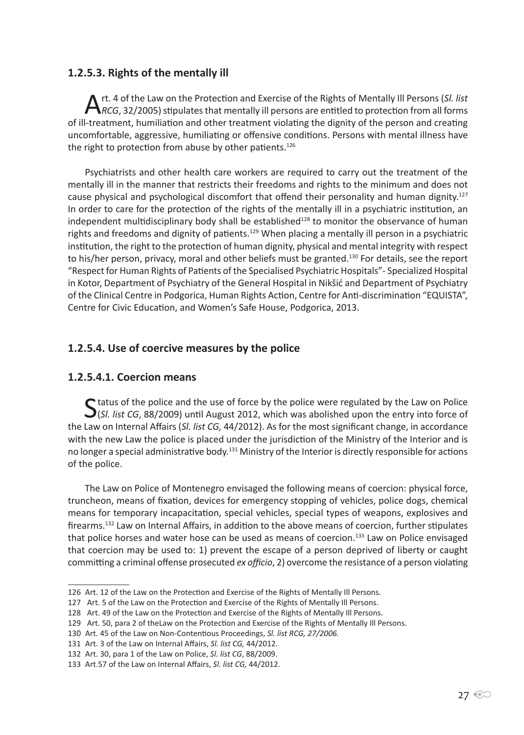#### **1.2.5.3. Rights of the mentally ill**

Art. 4 of the Law on the Protection and Exercise of the Rights of Mentally Ill Persons (*Sl. list RCG*, 32/2005) stipulates that mentally ill persons are entitled to protection from all forms of ill-treatment, humiliation and other treatment violating the dignity of the person and creating uncomfortable, aggressive, humiliating or offensive conditions. Persons with mental illness have the right to protection from abuse by other patients.<sup>126</sup>

Psychiatrists and other health care workers are required to carry out the treatment of the mentally ill in the manner that restricts their freedoms and rights to the minimum and does not cause physical and psychological discomfort that offend their personality and human dignity.<sup>127</sup> In order to care for the protection of the rights of the mentally ill in a psychiatric institution, an independent multidisciplinary body shall be established<sup>128</sup> to monitor the observance of human rights and freedoms and dignity of patients.<sup>129</sup> When placing a mentally ill person in a psychiatric institution, the right to the protection of human dignity, physical and mental integrity with respect to his/her person, privacy, moral and other beliefs must be granted.<sup>130</sup> For details, see the report "Respect for Human Rights of Patients of the Specialised Psychiatric Hospitals"- Specialized Hospital in Kotor, Department of Psychiatry of the General Hospital in Nikšić and Department of Psychiatry of the Clinical Centre in Podgorica, Human Rights Action, Centre for Anti-discrimination "EQUISTA", Centre for Civic Education, and Women's Safe House, Podgorica, 2013.

#### **1.2.5.4. Use of coercive measures by the police**

#### **1.2.5.4.1. Coercion means**

Status of the police and the use of force by the police were regulated by the Law on Police<br>
(*Sl. list CG*, 88/2009) until August 2012, which was abolished upon the entry into force of the Law on Internal Affairs (*Sl. list CG,* 44/2012). As for the most significant change, in accordance with the new Law the police is placed under the jurisdiction of the Ministry of the Interior and is no longer a special administrative body.<sup>131</sup> Ministry of the Interior is directly responsible for actions of the police.

The Law on Police of Montenegro envisaged the following means of coercion: physical force, truncheon, means of fixation, devices for emergency stopping of vehicles, police dogs, chemical means for temporary incapacitation, special vehicles, special types of weapons, explosives and firearms.<sup>132</sup> Law on Internal Affairs, in addition to the above means of coercion, further stipulates that police horses and water hose can be used as means of coercion.<sup>133</sup> Law on Police envisaged that coercion may be used to: 1) prevent the escape of a person deprived of liberty or caught committing a criminal offense prosecuted *ex officio*, 2) overcome the resistance of a person violating

<sup>126</sup> Art. 12 of the Law on the Protection and Exercise of the Rights of Mentally Ill Persons.

<sup>127</sup> Art. 5 of the Law on the Protection and Exercise of the Rights of Mentally Ill Persons.

<sup>128</sup> Art. 49 of the Law on the Protection and Exercise of the Rights of Mentally Ill Persons.

<sup>129</sup> Art. 50, para 2 of theLaw on the Protection and Exercise of the Rights of Mentally Ill Persons.

<sup>130</sup> Art. 45 of the Law on Non-Contentious Proceedings, *Sl. list RCG, 27/2006.*

<sup>131</sup> Art. 3 of the Law on Internal Affairs, *Sl. list CG,* 44/2012.

<sup>132</sup> Art. 30, para 1 of the Law on Police, *Sl. list CG*, 88/2009.

<sup>133</sup> Art.57 of the Law on Internal Affairs, *Sl. list CG,* 44/2012.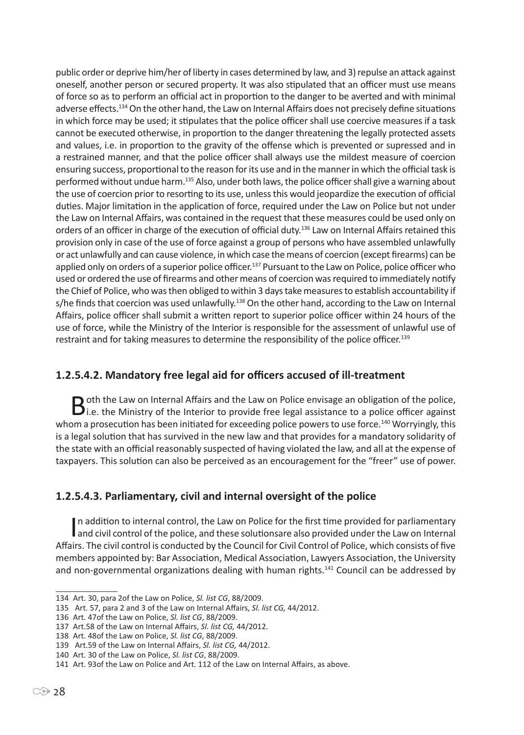public order or deprive him/her of liberty in cases determined by law, and 3) repulse an attack against oneself, another person or secured property. It was also stipulated that an officer must use means of force so as to perform an official act in proportion to the danger to be averted and with minimal adverse effects.<sup>134</sup> On the other hand, the Law on Internal Affairs does not precisely define situations in which force may be used; it stipulates that the police officer shall use coercive measures if a task cannot be executed otherwise, in proportion to the danger threatening the legally protected assets and values, i.e. in proportion to the gravity of the offense which is prevented or supressed and in a restrained manner, and that the police officer shall always use the mildest measure of coercion ensuring success, proportional to the reason for its use and in the manner in which the official task is performed without undue harm.<sup>135</sup> Also, under both laws, the police officer shall give a warning about the use of coercion prior to resorting to its use, unless this would jeopardize the execution of official duties. Major limitation in the application of force, required under the Law on Police but not under the Law on Internal Affairs, was contained in the request that these measures could be used only on orders of an officer in charge of the execution of official duty.<sup>136</sup> Law on Internal Affairs retained this provision only in case of the use of force against a group of persons who have assembled unlawfully or act unlawfully and can cause violence, in which case the means of coercion (except firearms) can be applied only on orders of a superior police officer.<sup>137</sup> Pursuant to the Law on Police, police officer who used or ordered the use of firearms and other means of coercion was required to immediately notify the Chief of Police, who was then obliged to within 3 days take measures to establish accountability if s/he finds that coercion was used unlawfully.<sup>138</sup> On the other hand, according to the Law on Internal Affairs, police officer shall submit a written report to superior police officer within 24 hours of the use of force, while the Ministry of the Interior is responsible for the assessment of unlawful use of restraint and for taking measures to determine the responsibility of the police officer.<sup>139</sup>

#### **1.2.5.4.2. Mandatory free legal aid for officers accused of ill-treatment**

**B** oth the Law on Internal Affairs and the Law on Police envisage an obligation of the police,<br>i.e. the Ministry of the Interior to provide free legal assistance to a police officer against whom a prosecution has been initiated for exceeding police powers to use force.<sup>140</sup> Worryingly, this is a legal solution that has survived in the new law and that provides for a mandatory solidarity of the state with an official reasonably suspected of having violated the law, and all at the expense of taxpayers. This solution can also be perceived as an encouragement for the "freer" use of power.

#### **1.2.5.4.3. Parliamentary, civil and internal oversight of the police**

In addition to internal control, the Law on Police for the first time provided for parliamentary<br>and civil control of the police, and these solutionsare also provided under the Law on Internal In addition to internal control, the Law on Police for the first time provided for parliamentary Affairs. The civil control is conducted by the Council for Civil Control of Police, which consists of five members appointed by: Bar Association, Medical Association, Lawyers Association, the University and non-governmental organizations dealing with human rights.<sup>141</sup> Council can be addressed by

<sup>134</sup> Art. 30, para 2of the Law on Police, *Sl. list CG*, 88/2009.

<sup>135</sup> Art. 57, para 2 and 3 of the Law on Internal Affairs, *Sl. list CG,* 44/2012.

<sup>136</sup> Art. 47of the Law on Police, *Sl. list CG*, 88/2009.

<sup>137</sup> Art.58 of the Law on Internal Affairs, *Sl. list CG,* 44/2012.

<sup>138</sup> Art. 48of the Law on Police, *Sl. list CG*, 88/2009.

<sup>139</sup> Art.59 of the Law on Internal Affairs, *Sl. list CG,* 44/2012.

<sup>140</sup> Art. 30 of the Law on Police, *Sl. list CG*, 88/2009.

<sup>141</sup> Art. 93of the Law on Police and Art. 112 of the Law on Internal Affairs, as above.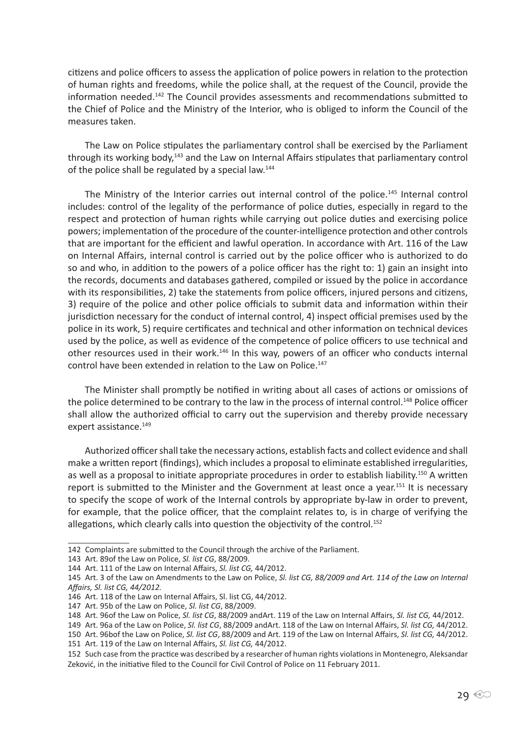citizens and police officers to assess the application of police powers in relation to the protection of human rights and freedoms, while the police shall, at the request of the Council, provide the information needed.142 The Council provides assessments and recommendations submitted to the Chief of Police and the Ministry of the Interior, who is obliged to inform the Council of the measures taken.

The Law on Police stipulates the parliamentary control shall be exercised by the Parliament through its working body,<sup>143</sup> and the Law on Internal Affairs stipulates that parliamentary control of the police shall be regulated by a special law.<sup>144</sup>

The Ministry of the Interior carries out internal control of the police.<sup>145</sup> Internal control includes: control of the legality of the performance of police duties, especially in regard to the respect and protection of human rights while carrying out police duties and exercising police powers; implementation of the procedure of the counter-intelligence protection and other controls that are important for the efficient and lawful operation. In accordance with Art. 116 of the Law on Internal Affairs, internal control is carried out by the police officer who is authorized to do so and who, in addition to the powers of a police officer has the right to: 1) gain an insight into the records, documents and databases gathered, compiled or issued by the police in accordance with its responsibilities, 2) take the statements from police officers, injured persons and citizens, 3) require of the police and other police officials to submit data and information within their jurisdiction necessary for the conduct of internal control, 4) inspect official premises used by the police in its work, 5) require certificates and technical and other information on technical devices used by the police, as well as evidence of the competence of police officers to use technical and other resources used in their work.<sup>146</sup> In this way, powers of an officer who conducts internal control have been extended in relation to the Law on Police.<sup>147</sup>

The Minister shall promptly be notified in writing about all cases of actions or omissions of the police determined to be contrary to the law in the process of internal control.<sup>148</sup> Police officer shall allow the authorized official to carry out the supervision and thereby provide necessary expert assistance.<sup>149</sup>

Authorized officer shall take the necessary actions, establish facts and collect evidence and shall make a written report (findings), which includes a proposal to eliminate established irregularities, as well as a proposal to initiate appropriate procedures in order to establish liability.<sup>150</sup> A written report is submitted to the Minister and the Government at least once a year.<sup>151</sup> It is necessary to specify the scope of work of the Internal controls by appropriate by-law in order to prevent, for example, that the police officer, that the complaint relates to, is in charge of verifying the allegations, which clearly calls into question the objectivity of the control.<sup>152</sup>

<sup>142</sup> Complaints are submitted to the Council through the archive of the Parliament.

<sup>143</sup> Art. 89of the Law on Police, *Sl. list CG*, 88/2009.

<sup>144</sup> Art. 111 of the Law on Internal Affairs, *Sl. list CG,* 44/2012.

<sup>145</sup> Art. 3 of the Law on Amendments to the Law on Police, *Sl. list CG, 88/2009 and Art. 114 of the Law on Internal Affairs, Sl. list CG, 44/2012.*

<sup>146</sup> Art. 118 of the Law on Internal Affairs, Sl. list CG, 44/2012.

<sup>147</sup> Art. 95b of the Law on Police, *Sl. list CG*, 88/2009.

<sup>148</sup> Art. 96of the Law on Police, *Sl. list CG*, 88/2009 andArt. 119 of the Law on Internal Affairs, *Sl. list CG,* 44/2012.

<sup>149</sup> Art. 96a of the Law on Police, *Sl. list CG*, 88/2009 andArt. 118 of the Law on Internal Affairs, *Sl. list CG,* 44/2012. 150 Art. 96bof the Law on Police, *Sl. list CG*, 88/2009 and Art. 119 of the Law on Internal Affairs, *Sl. list CG,* 44/2012.

<sup>151</sup> Art. 119 of the Law on Internal Affairs, *Sl. list CG,* 44/2012.

<sup>152</sup> Such case from the practice was described by a researcher of human rights violations in Montenegro, Aleksandar Zeković, in the initiative filed to the Council for Civil Control of Police on 11 February 2011.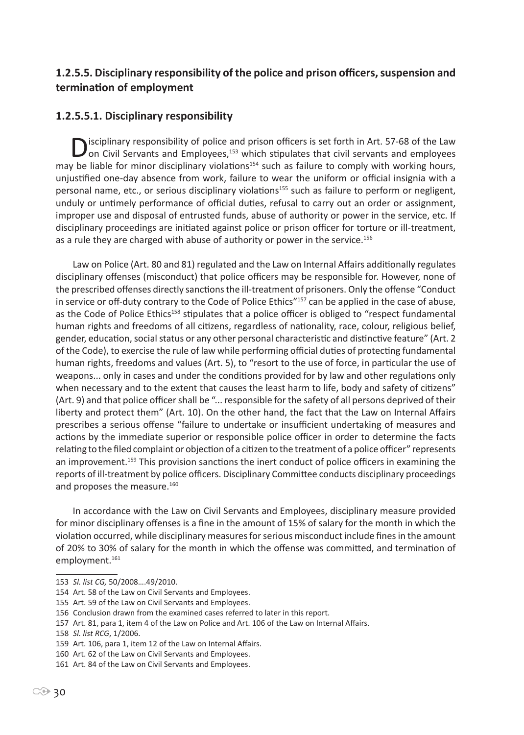#### **1.2.5.5. Disciplinary responsibility of the police and prison officers, suspension and termination of employment**

#### **1.2.5.5.1. Disciplinary responsibility**

Disciplinary responsibility of police and prison officers is set forth in Art. 57-68 of the Law on Civil Servants and Employees,<sup>153</sup> which stipulates that civil servants and employees may be liable for minor disciplinary violations<sup>154</sup> such as failure to comply with working hours, unjustified one-day absence from work, failure to wear the uniform or official insignia with a personal name, etc., or serious disciplinary violations<sup>155</sup> such as failure to perform or negligent, unduly or untimely performance of official duties, refusal to carry out an order or assignment, improper use and disposal of entrusted funds, abuse of authority or power in the service, etc. If disciplinary proceedings are initiated against police or prison officer for torture or ill-treatment, as a rule they are charged with abuse of authority or power in the service.<sup>156</sup>

Law on Police (Art. 80 and 81) regulated and the Law on Internal Affairs additionally regulates disciplinary offenses (misconduct) that police officers may be responsible for. However, none of the prescribed offenses directly sanctions the ill-treatment of prisoners. Only the offense "Conduct in service or off-duty contrary to the Code of Police Ethics"<sup>157</sup> can be applied in the case of abuse, as the Code of Police Ethics<sup>158</sup> stipulates that a police officer is obliged to "respect fundamental human rights and freedoms of all citizens, regardless of nationality, race, colour, religious belief, gender, education, social status or any other personal characteristic and distinctive feature" (Art. 2 of the Code), to exercise the rule of law while performing official duties of protecting fundamental human rights, freedoms and values (Art. 5), to "resort to the use of force, in particular the use of weapons... only in cases and under the conditions provided for by law and other regulations only when necessary and to the extent that causes the least harm to life, body and safety of citizens" (Art. 9) and that police officer shall be "... responsible for the safety of all persons deprived of their liberty and protect them" (Art. 10). On the other hand, the fact that the Law on Internal Affairs prescribes a serious offense "failure to undertake or insufficient undertaking of measures and actions by the immediate superior or responsible police officer in order to determine the facts relating to the filed complaint or objection of a citizen to the treatment of a police officer" represents an improvement.<sup>159</sup> This provision sanctions the inert conduct of police officers in examining the reports of ill-treatment by police officers. Disciplinary Committee conducts disciplinary proceedings and proposes the measure.<sup>160</sup>

In accordance with the Law on Civil Servants and Employees, disciplinary measure provided for minor disciplinary offenses is a fine in the amount of 15% of salary for the month in which the violation occurred, while disciplinary measures for serious misconduct include fines in the amount of 20% to 30% of salary for the month in which the offense was committed, and termination of employment.<sup>161</sup>

<sup>153</sup> *Sl. list CG,* 50/2008….49/2010.

<sup>154</sup> Art. 58 of the Law on Civil Servants and Employees.

<sup>155</sup> Art. 59 of the Law on Civil Servants and Employees.

<sup>156</sup> Conclusion drawn from the examined cases referred to later in this report.

<sup>157</sup> Art. 81, para 1, item 4 of the Law on Police and Art. 106 of the Law on Internal Affairs.

<sup>158</sup> *Sl. list RCG*, 1/2006.

<sup>159</sup> Art. 106, para 1, item 12 of the Law on Internal Affairs.

<sup>160</sup> Art. 62 of the Law on Civil Servants and Employees. 161 Art. 84 of the Law on Civil Servants and Employees.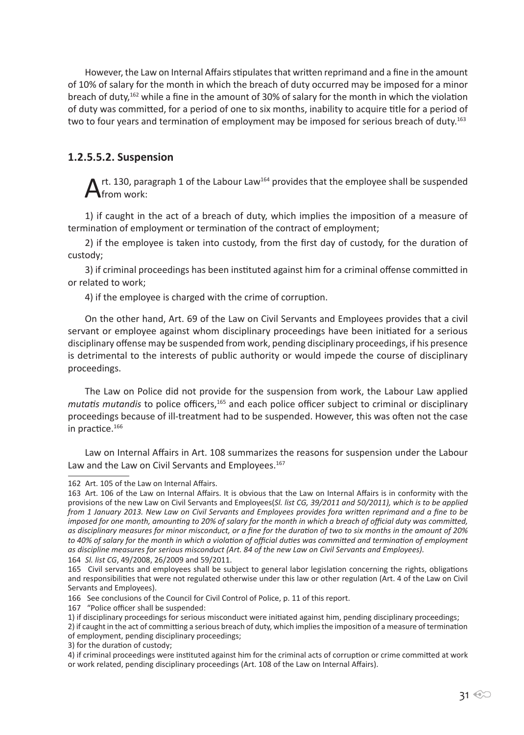However, the Law on Internal Affairs stipulates that written reprimand and a fine in the amount of 10% of salary for the month in which the breach of duty occurred may be imposed for a minor breach of duty,<sup>162</sup> while a fine in the amount of 30% of salary for the month in which the violation of duty was committed, for a period of one to six months, inability to acquire title for a period of two to four years and termination of employment may be imposed for serious breach of duty.<sup>163</sup>

#### **1.2.5.5.2. Suspension**

 $\mathbf{A}$ rt. 130, paragraph 1 of the Labour Law<sup>164</sup> provides that the employee shall be suspended from work:

1) if caught in the act of a breach of duty, which implies the imposition of a measure of termination of employment or termination of the contract of employment;

2) if the employee is taken into custody, from the first day of custody, for the duration of custody;

3) if criminal proceedings has been instituted against him for a criminal offense committed in or related to work;

4) if the employee is charged with the crime of corruption.

On the other hand, Art. 69 of the Law on Civil Servants and Employees provides that a civil servant or employee against whom disciplinary proceedings have been initiated for a serious disciplinary offense may be suspended from work, pending disciplinary proceedings, if his presence is detrimental to the interests of public authority or would impede the course of disciplinary proceedings.

The Law on Police did not provide for the suspension from work, the Labour Law applied *mutatis mutandis* to police officers,<sup>165</sup> and each police officer subject to criminal or disciplinary proceedings because of ill-treatment had to be suspended. However, this was often not the case in practice.<sup>166</sup>

Law on Internal Affairs in Art. 108 summarizes the reasons for suspension under the Labour Law and the Law on Civil Servants and Employees.<sup>167</sup>

167 "Police officer shall be suspended:

2) if caught in the act of committing a serious breach of duty, which implies the imposition of a measure of termination of employment, pending disciplinary proceedings;

3) for the duration of custody;

<sup>162</sup> Art. 105 of the Law on Internal Affairs.

<sup>163</sup> Art. 106 of the Law on Internal Affairs. It is obvious that the Law on Internal Affairs is in conformity with the provisions of the new Law on Civil Servants and Employees(*Sl. list CG, 39/2011 and 50/2011), which is to be applied from 1 January 2013. New Law on Civil Servants and Employees provides fora written reprimand and a fine to be imposed for one month, amounting to 20% of salary for the month in which a breach of official duty was committed, as disciplinary measures for minor misconduct, or a fine for the duration of two to six months in the amount of 20%*  to 40% of salary for the month in which a violation of official duties was committed and termination of employment *as discipline measures for serious misconduct (Art. 84 of the new Law on Civil Servants and Employees).*

<sup>164</sup> *Sl. list CG*, 49/2008, 26/2009 and 59/2011.

<sup>165</sup> Civil servants and employees shall be subject to general labor legislation concerning the rights, obligations and responsibilities that were not regulated otherwise under this law or other regulation (Art. 4 of the Law on Civil Servants and Employees).

<sup>166</sup> See conclusions of the Council for Civil Control of Police, p. 11 of this report.

<sup>1)</sup> if disciplinary proceedings for serious misconduct were initiated against him, pending disciplinary proceedings;

<sup>4)</sup> if criminal proceedings were instituted against him for the criminal acts of corruption or crime committed at work or work related, pending disciplinary proceedings (Art. 108 of the Law on Internal Affairs).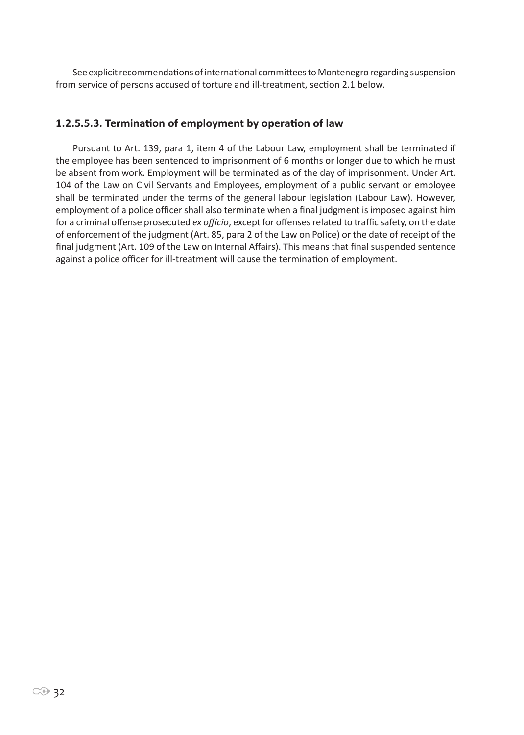See explicit recommendations of international committees to Montenegro regarding suspension from service of persons accused of torture and ill-treatment, section 2.1 below.

#### **1.2.5.5.3. Termination of employment by operation of law**

Pursuant to Art. 139, para 1, item 4 of the Labour Law, employment shall be terminated if the employee has been sentenced to imprisonment of 6 months or longer due to which he must be absent from work. Employment will be terminated as of the day of imprisonment. Under Art. 104 of the Law on Civil Servants and Employees, employment of a public servant or employee shall be terminated under the terms of the general labour legislation (Labour Law). However, employment of a police officer shall also terminate when a final judgment is imposed against him for a criminal offense prosecuted *ex officio*, except for offenses related to traffic safety, on the date of enforcement of the judgment (Art. 85, para 2 of the Law on Police) or the date of receipt of the final judgment (Art. 109 of the Law on Internal Affairs). This means that final suspended sentence against a police officer for ill-treatment will cause the termination of employment.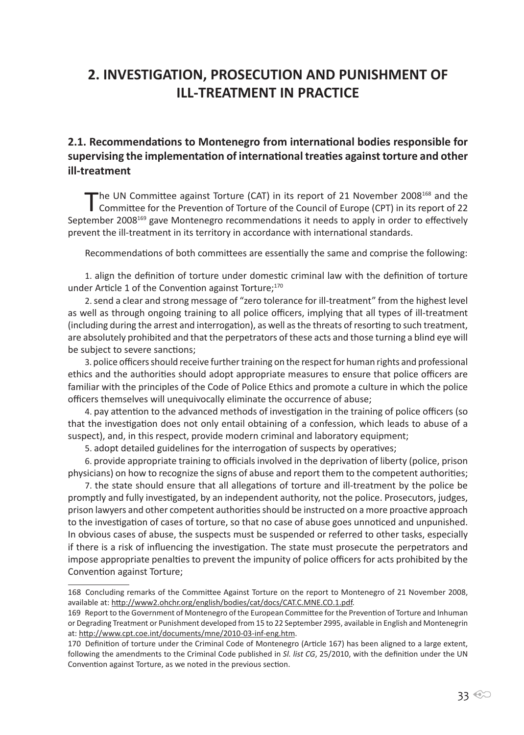# **2. INVESTIGATION, PROSECUTION AND PUNISHMENT OF ILL-TREATMENT IN PRACTICE**

#### **2.1. Recommendations to Montenegro from international bodies responsible for supervising the implementation of international treaties against torture and other ill-treatment**

The UN Committee against Torture (CAT) in its report of 21 November 2008<sup>168</sup> and the Committee for the Prevention of Torture of the Council of Europe (CPT) in its report of 22 September 2008<sup>169</sup> gave Montenegro recommendations it needs to apply in order to effectively prevent the ill-treatment in its territory in accordance with international standards.

Recommendations of both committees are essentially the same and comprise the following:

1. align the definition of torture under domestic criminal law with the definition of torture under Article 1 of the Convention against Torture;<sup>170</sup>

2. send a clear and strong message of "zero tolerance for ill-treatment" from the highest level as well as through ongoing training to all police officers, implying that all types of ill-treatment (including during the arrest and interrogation), as well as the threats of resorting to such treatment, are absolutely prohibited and that the perpetrators of these acts and those turning a blind eye will be subject to severe sanctions;

3. police officers should receive further training on the respect for human rights and professional ethics and the authorities should adopt appropriate measures to ensure that police officers are familiar with the principles of the Code of Police Ethics and promote a culture in which the police officers themselves will unequivocally eliminate the occurrence of abuse;

4. pay attention to the advanced methods of investigation in the training of police officers (so that the investigation does not only entail obtaining of a confession, which leads to abuse of a suspect), and, in this respect, provide modern criminal and laboratory equipment;

5. adopt detailed guidelines for the interrogation of suspects by operatives;

6. provide appropriate training to officials involved in the deprivation of liberty (police, prison physicians) on how to recognize the signs of abuse and report them to the competent authorities;

7. the state should ensure that all allegations of torture and ill-treatment by the police be promptly and fully investigated, by an independent authority, not the police. Prosecutors, judges, prison lawyers and other competent authorities should be instructed on a more proactive approach to the investigation of cases of torture, so that no case of abuse goes unnoticed and unpunished. In obvious cases of abuse, the suspects must be suspended or referred to other tasks, especially if there is a risk of influencing the investigation. The state must prosecute the perpetrators and impose appropriate penalties to prevent the impunity of police officers for acts prohibited by the Convention against Torture;

<sup>168</sup> Concluding remarks of the Committee Against Torture on the report to Montenegro of 21 November 2008, available at: http://www2.ohchr.org/english/bodies/cat/docs/CAT.C.MNE.CO.1.pdf.

<sup>169</sup> Report to the Government of Montenegro of the European Committee for the Prevention of Torture and Inhuman or Degrading Treatment or Punishment developed from 15 to 22 September 2995, available in English and Montenegrin at: http://www.cpt.coe.int/documents/mne/2010-03-inf-eng.htm.

<sup>170</sup> Definition of torture under the Criminal Code of Montenegro (Article 167) has been aligned to a large extent, following the amendments to the Criminal Code published in *Sl. list CG*, 25/2010, with the definition under the UN Convention against Torture, as we noted in the previous section.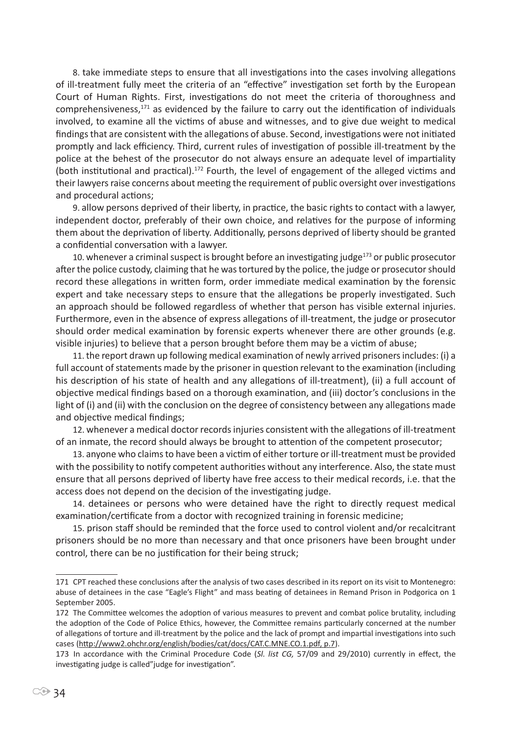8. take immediate steps to ensure that all investigations into the cases involving allegations of ill-treatment fully meet the criteria of an "effective" investigation set forth by the European Court of Human Rights. First, investigations do not meet the criteria of thoroughness and comprehensiveness,<sup>171</sup> as evidenced by the failure to carry out the identification of individuals involved, to examine all the victims of abuse and witnesses, and to give due weight to medical findings that are consistent with the allegations of abuse. Second, investigations were not initiated promptly and lack efficiency. Third, current rules of investigation of possible ill-treatment by the police at the behest of the prosecutor do not always ensure an adequate level of impartiality (both institutional and practical).<sup>172</sup> Fourth, the level of engagement of the alleged victims and their lawyers raise concerns about meeting the requirement of public oversight over investigations and procedural actions;

9. allow persons deprived of their liberty, in practice, the basic rights to contact with a lawyer, independent doctor, preferably of their own choice, and relatives for the purpose of informing them about the deprivation of liberty. Additionally, persons deprived of liberty should be granted a confidential conversation with a lawyer.

10. whenever a criminal suspect is brought before an investigating judge $^{173}$  or public prosecutor after the police custody, claiming that he was tortured by the police, the judge or prosecutor should record these allegations in written form, order immediate medical examination by the forensic expert and take necessary steps to ensure that the allegations be properly investigated. Such an approach should be followed regardless of whether that person has visible external injuries. Furthermore, even in the absence of express allegations of ill-treatment, the judge or prosecutor should order medical examination by forensic experts whenever there are other grounds (e.g. visible injuries) to believe that a person brought before them may be a victim of abuse;

11. the report drawn up following medical examination of newly arrived prisoners includes: (i) a full account of statements made by the prisoner in question relevant to the examination (including his description of his state of health and any allegations of ill-treatment), (ii) a full account of objective medical findings based on a thorough examination, and (iii) doctor's conclusions in the light of (i) and (ii) with the conclusion on the degree of consistency between any allegations made and objective medical findings;

12. whenever a medical doctor records injuries consistent with the allegations of ill-treatment of an inmate, the record should always be brought to attention of the competent prosecutor;

13. anyone who claims to have been a victim of either torture or ill-treatment must be provided with the possibility to notify competent authorities without any interference. Also, the state must ensure that all persons deprived of liberty have free access to their medical records, i.e. that the access does not depend on the decision of the investigating judge.

14. detainees or persons who were detained have the right to directly request medical examination/certificate from a doctor with recognized training in forensic medicine;

15. prison staff should be reminded that the force used to control violent and/or recalcitrant prisoners should be no more than necessary and that once prisoners have been brought under control, there can be no justification for their being struck;

<sup>171</sup> CPT reached these conclusions after the analysis of two cases described in its report on its visit to Montenegro: abuse of detainees in the case "Eagle's Flight" and mass beating of detainees in Remand Prison in Podgorica on 1 September 2005.

<sup>172</sup> The Committee welcomes the adoption of various measures to prevent and combat police brutality, including the adoption of the Code of Police Ethics, however, the Committee remains particularly concerned at the number of allegations of torture and ill-treatment by the police and the lack of prompt and impartial investigations into such cases (http://www2.ohchr.org/english/bodies/cat/docs/CAT.C.MNE.CO.1.pdf, p.7).

<sup>173</sup> In accordance with the Criminal Procedure Code (*Sl. list CG,* 57/09 and 29/2010) currently in effect, the investigating judge is called"judge for investigation".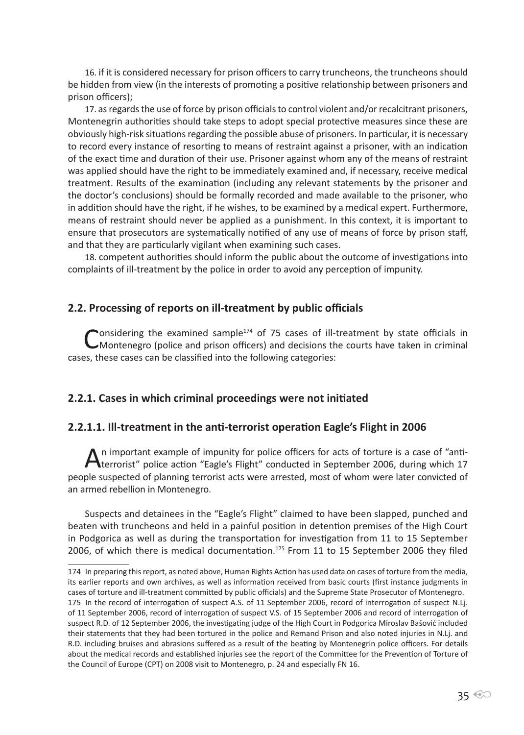16. if it is considered necessary for prison officers to carry truncheons, the truncheons should be hidden from view (in the interests of promoting a positive relationship between prisoners and prison officers);

17. as regards the use of force by prison officials to control violent and/or recalcitrant prisoners, Montenegrin authorities should take steps to adopt special protective measures since these are obviously high-risk situations regarding the possible abuse of prisoners. In particular, it is necessary to record every instance of resorting to means of restraint against a prisoner, with an indication of the exact time and duration of their use. Prisoner against whom any of the means of restraint was applied should have the right to be immediately examined and, if necessary, receive medical treatment. Results of the examination (including any relevant statements by the prisoner and the doctor's conclusions) should be formally recorded and made available to the prisoner, who in addition should have the right, if he wishes, to be examined by a medical expert. Furthermore, means of restraint should never be applied as a punishment. In this context, it is important to ensure that prosecutors are systematically notified of any use of means of force by prison staff, and that they are particularly vigilant when examining such cases.

18. competent authorities should inform the public about the outcome of investigations into complaints of ill-treatment by the police in order to avoid any perception of impunity.

#### **2.2. Processing of reports on ill-treatment by public officials**

Considering the examined sample<sup>174</sup> of 75 cases of ill-treatment by state officials in CM ontenegro (police and prison officers) and decisions the courts have taken in criminal cases, these cases can be classified into the following categories:

#### **2.2.1. Cases in which criminal proceedings were not initiated**

#### **2.2.1.1. Ill-treatment in the anti-terrorist operation Eagle's Flight in 2006**

An important example of impunity for police officers for acts of torture is a case of "anti-<br>terrorist" police action "Eagle's Flight" conducted in September 2006, during which 17 people suspected of planning terrorist acts were arrested, most of whom were later convicted of an armed rebellion in Montenegro.

Suspects and detainees in the "Eagle's Flight" claimed to have been slapped, punched and beaten with truncheons and held in a painful position in detention premises of the High Court in Podgorica as well as during the transportation for investigation from 11 to 15 September 2006, of which there is medical documentation.<sup>175</sup> From 11 to 15 September 2006 they filed

<sup>174</sup> In preparing this report, as noted above, Human Rights Action has used data on cases of torture from the media, its earlier reports and own archives, as well as information received from basic courts (first instance judgments in cases of torture and ill-treatment committed by public officials) and the Supreme State Prosecutor of Montenegro.

<sup>175</sup> In the record of interrogation of suspect A.S. of 11 September 2006, record of interrogation of suspect N.Lj. of 11 September 2006, record of interrogation of suspect V.S. of 15 September 2006 and record of interrogation of suspect R.D. of 12 September 2006, the investigating judge of the High Court in Podgorica Miroslav Bašović included their statements that they had been tortured in the police and Remand Prison and also noted injuries in N.Lj. and R.D. including bruises and abrasions suffered as a result of the beating by Montenegrin police officers. For details about the medical records and established injuries see the report of the Committee for the Prevention of Torture of the Council of Europe (CPT) on 2008 visit to Montenegro, p. 24 and especially FN 16.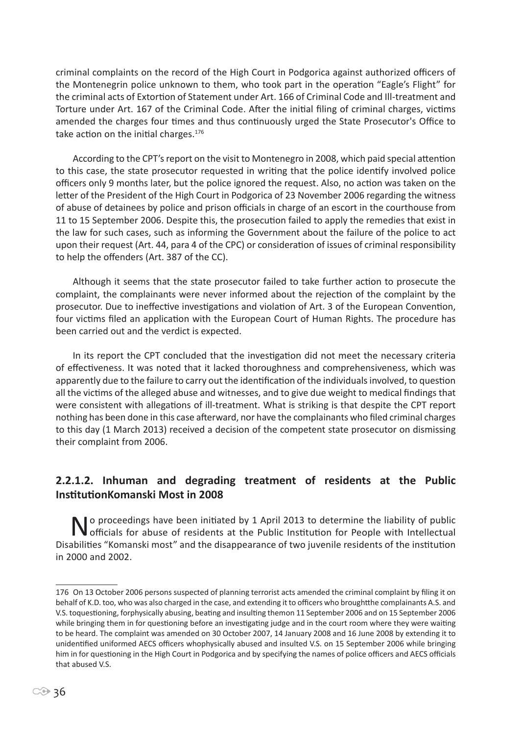criminal complaints on the record of the High Court in Podgorica against authorized officers of the Montenegrin police unknown to them, who took part in the operation "Eagle's Flight" for the criminal acts of Extortion of Statement under Art. 166 of Criminal Code and Ill-treatment and Torture under Art. 167 of the Criminal Code. After the initial filing of criminal charges, victims amended the charges four times and thus continuously urged the State Prosecutor's Office to take action on the initial charges. $176$ 

According to the CPT's report on the visit to Montenegro in 2008, which paid special attention to this case, the state prosecutor requested in writing that the police identify involved police officers only 9 months later, but the police ignored the request. Also, no action was taken on the letter of the President of the High Court in Podgorica of 23 November 2006 regarding the witness of abuse of detainees by police and prison officials in charge of an escort in the courthouse from 11 to 15 September 2006. Despite this, the prosecution failed to apply the remedies that exist in the law for such cases, such as informing the Government about the failure of the police to act upon their request (Art. 44, para 4 of the CPC) or consideration of issues of criminal responsibility to help the offenders (Art. 387 of the CC).

Although it seems that the state prosecutor failed to take further action to prosecute the complaint, the complainants were never informed about the rejection of the complaint by the prosecutor. Due to ineffective investigations and violation of Art. 3 of the European Convention, four victims filed an application with the European Court of Human Rights. The procedure has been carried out and the verdict is expected.

In its report the CPT concluded that the investigation did not meet the necessary criteria of effectiveness. It was noted that it lacked thoroughness and comprehensiveness, which was apparently due to the failure to carry out the identification of the individuals involved, to question all the victims of the alleged abuse and witnesses, and to give due weight to medical findings that were consistent with allegations of ill-treatment. What is striking is that despite the CPT report nothing has been done in this case afterward, nor have the complainants who filed criminal charges to this day (1 March 2013) received a decision of the competent state prosecutor on dismissing their complaint from 2006.

# **2.2.1.2. Inhuman and degrading treatment of residents at the Public InstitutionKomanski Most in 2008**

No proceedings have been initiated by 1 April 2013 to determine the liability of public<br>
officials for abuse of residents at the Public Institution for People with Intellectual Disabilities "Komanski most" and the disappearance of two juvenile residents of the institution in 2000 and 2002.

<sup>176</sup> On 13 October 2006 persons suspected of planning terrorist acts amended the criminal complaint by filing it on behalf of K.D. too, who was also charged in the case, and extending it to officers who broughtthe complainants A.S. and V.S. toquestioning, forphysically abusing, beating and insulting themon 11 September 2006 and on 15 September 2006 while bringing them in for questioning before an investigating judge and in the court room where they were waiting to be heard. The complaint was amended on 30 October 2007, 14 January 2008 and 16 June 2008 by extending it to unidentified uniformed AECS officers whophysically abused and insulted V.S. on 15 September 2006 while bringing him in for questioning in the High Court in Podgorica and by specifying the names of police officers and AECS officials that abused V.S.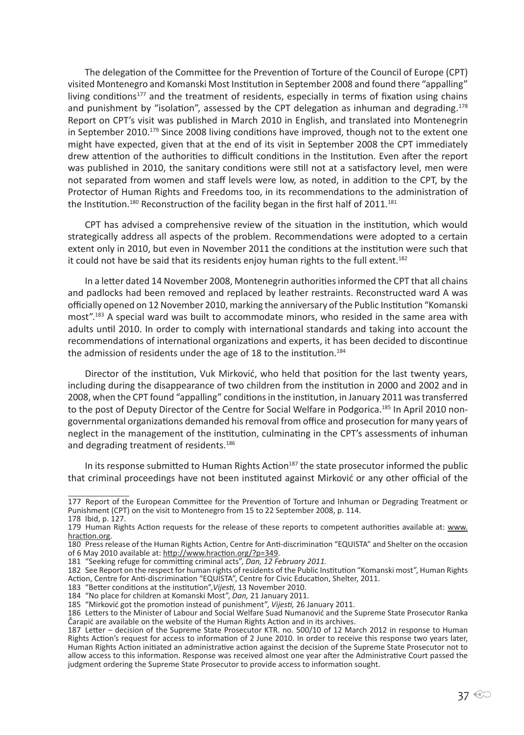The delegation of the Committee for the Prevention of Torture of the Council of Europe (CPT) visited Montenegro and Komanski Most Institution in September 2008 and found there "appalling" living conditions<sup>177</sup> and the treatment of residents, especially in terms of fixation using chains and punishment by "isolation", assessed by the CPT delegation as inhuman and degrading.<sup>178</sup> Report on CPT's visit was published in March 2010 in English, and translated into Montenegrin in September 2010.<sup>179</sup> Since 2008 living conditions have improved, though not to the extent one might have expected, given that at the end of its visit in September 2008 the CPT immediately drew attention of the authorities to difficult conditions in the Institution. Even after the report was published in 2010, the sanitary conditions were still not at a satisfactory level, men were not separated from women and staff levels were low, as noted, in addition to the CPT, by the Protector of Human Rights and Freedoms too, in its recommendations to the administration of the Institution.<sup>180</sup> Reconstruction of the facility began in the first half of  $2011$ .<sup>181</sup>

CPT has advised a comprehensive review of the situation in the institution, which would strategically address all aspects of the problem. Recommendations were adopted to a certain extent only in 2010, but even in November 2011 the conditions at the institution were such that it could not have be said that its residents enjoy human rights to the full extent.<sup>182</sup>

In a letter dated 14 November 2008, Montenegrin authorities informed the CPT that all chains and padlocks had been removed and replaced by leather restraints. Reconstructed ward A was officially opened on 12 November 2010, marking the anniversary of the Public Institution "Komanski most".<sup>183</sup> A special ward was built to accommodate minors, who resided in the same area with adults until 2010. In order to comply with international standards and taking into account the recommendations of international organizations and experts, it has been decided to discontinue the admission of residents under the age of 18 to the institution.<sup>184</sup>

Director of the institution, Vuk Mirković, who held that position for the last twenty years, including during the disappearance of two children from the institution in 2000 and 2002 and in 2008, when the CPT found "appalling" conditions in the institution, in January 2011 was transferred to the post of Deputy Director of the Centre for Social Welfare in Podgorica.<sup>185</sup> In April 2010 nongovernmental organizations demanded his removal from office and prosecution for many years of neglect in the management of the institution, culminating in the CPT's assessments of inhuman and degrading treatment of residents.<sup>186</sup>

In its response submitted to Human Rights Action<sup>187</sup> the state prosecutor informed the public that criminal proceedings have not been instituted against Mirković or any other official of the

<sup>177</sup> Report of the European Committee for the Prevention of Torture and Inhuman or Degrading Treatment or Punishment (CPT) on the visit to Montenegro from 15 to 22 September 2008, p. 114. 178 Ibid, p. 127.

<sup>179</sup> Human Rights Action requests for the release of these reports to competent authorities available at: www. hraction.org.

<sup>180</sup> Press release of the Human Rights Action, Centre for Anti-discrimination "EQUISTA" and Shelter on the occasion of 6 May 2010 available at: http://www.hraction.org/?p=349.

<sup>181 &</sup>quot;Seeking refuge for committing criminal acts", *Dan, 12 February 2011.*

<sup>182</sup> See Report on the respect for human rights of residents of the Public Institution "Komanski most", Human Rights Action, Centre for Anti-discrimination "EQUISTA", Centre for Civic Education, Shelter, 2011.

<sup>183 &</sup>quot;Better conditions at the institution",*Vijesti,* 13 November 2010.

<sup>184 &</sup>quot;No place for children at Komanski Most", *Dan,* 21 January 2011.

<sup>185 &</sup>quot;Mirković got the promotion instead of punishment", *Vijesti,* 26 January 2011.

<sup>186</sup> Letters to the Minister of Labour and Social Welfare Suad Numanović and the Supreme State Prosecutor Ranka Čarapić are available on the website of the Human Rights Action and in its archives.

<sup>187</sup> Letter – decision of the Supreme State Prosecutor KTR. no. 500/10 of 12 March 2012 in response to Human Rights Action's request for access to information of 2 June 2010. In order to receive this response two years later, Human Rights Action initiated an administrative action against the decision of the Supreme State Prosecutor not to allow access to this information. Response was received almost one year after the Administrative Court passed the judgment ordering the Supreme State Prosecutor to provide access to information sought.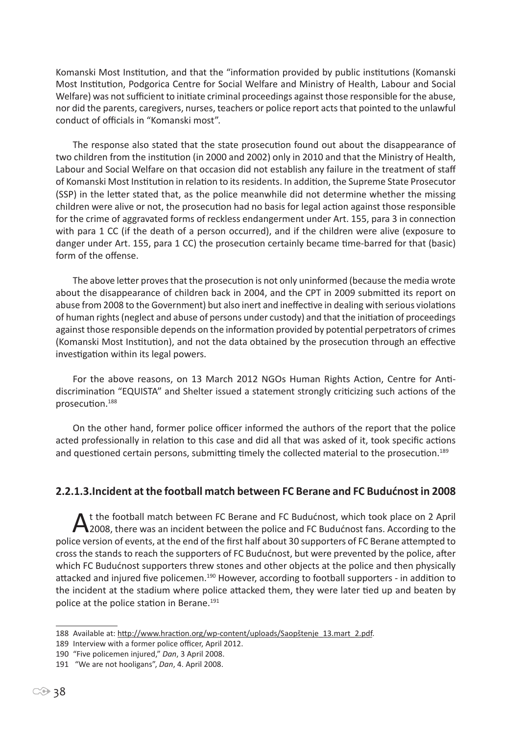Komanski Most Institution, and that the "information provided by public institutions (Komanski Most Institution, Podgorica Centre for Social Welfare and Ministry of Health, Labour and Social Welfare) was not sufficient to initiate criminal proceedings against those responsible for the abuse, nor did the parents, caregivers, nurses, teachers or police report acts that pointed to the unlawful conduct of officials in "Komanski most".

The response also stated that the state prosecution found out about the disappearance of two children from the institution (in 2000 and 2002) only in 2010 and that the Ministry of Health, Labour and Social Welfare on that occasion did not establish any failure in the treatment of staff of Komanski Most Institution in relation to its residents. In addition, the Supreme State Prosecutor (SSP) in the letter stated that, as the police meanwhile did not determine whether the missing children were alive or not, the prosecution had no basis for legal action against those responsible for the crime of aggravated forms of reckless endangerment under Art. 155, para 3 in connection with para 1 CC (if the death of a person occurred), and if the children were alive (exposure to danger under Art. 155, para 1 CC) the prosecution certainly became time-barred for that (basic) form of the offense.

The above letter proves that the prosecution is not only uninformed (because the media wrote about the disappearance of children back in 2004, and the CPT in 2009 submitted its report on abuse from 2008 to the Government) but also inert and ineffective in dealing with serious violations of human rights (neglect and abuse of persons under custody) and that the initiation of proceedings against those responsible depends on the information provided by potential perpetrators of crimes (Komanski Most Institution), and not the data obtained by the prosecution through an effective investigation within its legal powers.

For the above reasons, on 13 March 2012 NGOs Human Rights Action, Centre for Antidiscrimination "EQUISTA" and Shelter issued a statement strongly criticizing such actions of the prosecution.<sup>188</sup>

On the other hand, former police officer informed the authors of the report that the police acted professionally in relation to this case and did all that was asked of it, took specific actions and questioned certain persons, submitting timely the collected material to the prosecution.<sup>189</sup>

### **2.2.1.3.Incident at the football match between FC Berane and FC Budućnost in 2008**

At the football match between FC Berane and FC Budućnost, which took place on 2 April<br>2008, there was an incident between the police and FC Budućnost fans. According to the police version of events, at the end of the first half about 30 supporters of FC Berane attempted to cross the stands to reach the supporters of FC Budućnost, but were prevented by the police, after which FC Budućnost supporters threw stones and other objects at the police and then physically attacked and injured five policemen.<sup>190</sup> However, according to football supporters - in addition to the incident at the stadium where police attacked them, they were later tied up and beaten by police at the police station in Berane.<sup>191</sup>

<sup>188</sup> Available at: http://www.hraction.org/wp-content/uploads/Saopštenje\_13.mart\_2.pdf.

<sup>189</sup> Interview with a former police officer, April 2012.

<sup>190 &</sup>quot;Five policemen injured," *Dan*, 3 April 2008.

<sup>191 &</sup>quot;We are not hooligans", *Dan*, 4. April 2008.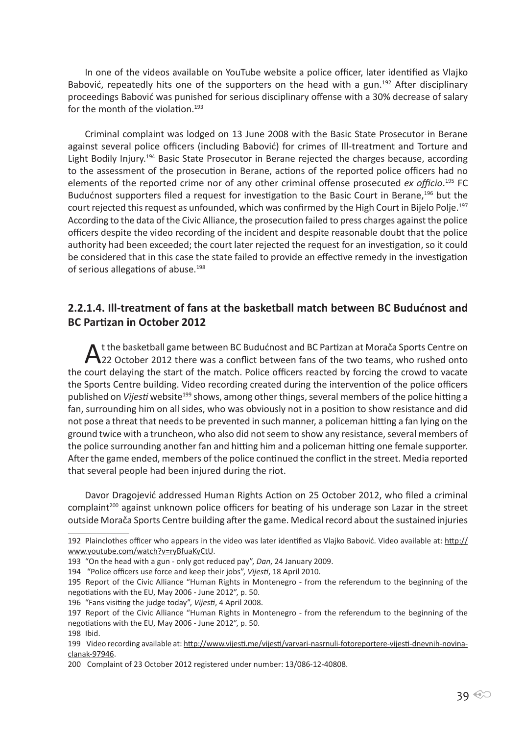In one of the videos available on YouTube website a police officer, later identified as Vlajko Babović, repeatedly hits one of the supporters on the head with a gun.<sup>192</sup> After disciplinary proceedings Babović was punished for serious disciplinary offense with a 30% decrease of salary for the month of the violation.<sup>193</sup>

Criminal complaint was lodged on 13 June 2008 with the Basic State Prosecutor in Berane against several police officers (including Babović) for crimes of Ill-treatment and Torture and Light Bodily Injury.194 Basic State Prosecutor in Berane rejected the charges because, according to the assessment of the prosecution in Berane, actions of the reported police officers had no elements of the reported crime nor of any other criminal offense prosecuted *ex officio*. <sup>195</sup> FC Budućnost supporters filed a request for investigation to the Basic Court in Berane,<sup>196</sup> but the court rejected this request as unfounded, which was confirmed by the High Court in Bijelo Polje.<sup>197</sup> According to the data of the Civic Alliance, the prosecution failed to press charges against the police officers despite the video recording of the incident and despite reasonable doubt that the police authority had been exceeded; the court later rejected the request for an investigation, so it could be considered that in this case the state failed to provide an effective remedy in the investigation of serious allegations of abuse.<sup>198</sup>

### **2.2.1.4. Ill-treatment of fans at the basketball match between BC Budućnost and BC Partizan in October 2012**

A t the basketball game between BC Budućnost and BC Partizan at Morača Sports Centre on<br>22 October 2012 there was a conflict between fans of the two teams, who rushed onto the court delaying the start of the match. Police officers reacted by forcing the crowd to vacate the Sports Centre building. Video recording created during the intervention of the police officers published on *Vijesti* website<sup>199</sup> shows, among other things, several members of the police hitting a fan, surrounding him on all sides, who was obviously not in a position to show resistance and did not pose a threat that needs to be prevented in such manner, a policeman hitting a fan lying on the ground twice with a truncheon, who also did not seem to show any resistance, several members of the police surrounding another fan and hitting him and a policeman hitting one female supporter. After the game ended, members of the police continued the conflict in the street. Media reported that several people had been injured during the riot.

Davor Dragojević addressed Human Rights Action on 25 October 2012, who filed a criminal complaint<sup>200</sup> against unknown police officers for beating of his underage son Lazar in the street outside Morača Sports Centre building after the game. Medical record about the sustained injuries

<sup>192</sup> Plainclothes officer who appears in the video was later identified as Vlajko Babović. Video available at: http:// www.youtube.com/watch?v=ryBfuaKyCtU.

<sup>193 &</sup>quot;On the head with a gun - only got reduced pay", *Dan*, 24 January 2009.

<sup>194 &</sup>quot;Police officers use force and keep their jobs", *Vijesti*, 18 April 2010.

<sup>195</sup> Report of the Civic Alliance "Human Rights in Montenegro - from the referendum to the beginning of the negotiations with the EU, May 2006 - June 2012", p. 50.

<sup>196 &</sup>quot;Fans visiting the judge today", *Vijesti*, 4 April 2008.

<sup>197</sup> Report of the Civic Alliance "Human Rights in Montenegro - from the referendum to the beginning of the negotiations with the EU, May 2006 - June 2012", p. 50. 198 Ibid.

<sup>199</sup> Video recording available at: http://www.vijesti.me/vijesti/varvari-nasrnuli-fotoreportere-vijesti-dnevnih-novinaclanak-97946.

<sup>200</sup> Complaint of 23 October 2012 registered under number: 13/086-12-40808.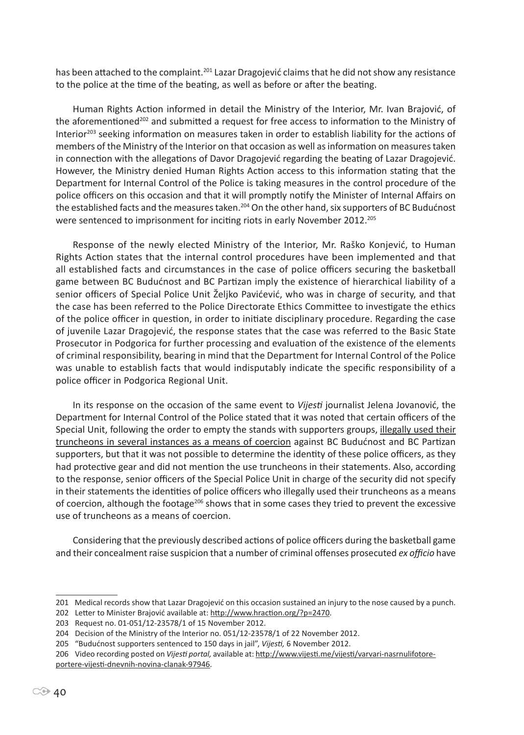has been attached to the complaint.<sup>201</sup> Lazar Dragojević claims that he did not show any resistance to the police at the time of the beating, as well as before or after the beating.

Human Rights Action informed in detail the Ministry of the Interior, Mr. Ivan Brajović, of the aforementioned<sup>202</sup> and submitted a request for free access to information to the Ministry of Interior<sup>203</sup> seeking information on measures taken in order to establish liability for the actions of members of the Ministry of the Interior on that occasion as well as information on measures taken in connection with the allegations of Davor Dragojević regarding the beating of Lazar Dragojević. However, the Ministry denied Human Rights Action access to this information stating that the Department for Internal Control of the Police is taking measures in the control procedure of the police officers on this occasion and that it will promptly notify the Minister of Internal Affairs on the established facts and the measures taken.<sup>204</sup> On the other hand, six supporters of BC Budućnost were sentenced to imprisonment for inciting riots in early November 2012.<sup>205</sup>

Response of the newly elected Ministry of the Interior, Mr. Raško Konjević, to Human Rights Action states that the internal control procedures have been implemented and that all established facts and circumstances in the case of police officers securing the basketball game between BC Budućnost and BC Partizan imply the existence of hierarchical liability of a senior officers of Special Police Unit Željko Pavićević, who was in charge of security, and that the case has been referred to the Police Directorate Ethics Committee to investigate the ethics of the police officer in question, in order to initiate disciplinary procedure. Regarding the case of juvenile Lazar Dragojević, the response states that the case was referred to the Basic State Prosecutor in Podgorica for further processing and evaluation of the existence of the elements of criminal responsibility, bearing in mind that the Department for Internal Control of the Police was unable to establish facts that would indisputably indicate the specific responsibility of a police officer in Podgorica Regional Unit.

In its response on the occasion of the same event to *Vijesti* journalist Jelena Jovanović, the Department for Internal Control of the Police stated that it was noted that certain officers of the Special Unit, following the order to empty the stands with supporters groups, illegally used their truncheons in several instances as a means of coercion against BC Budućnost and BC Partizan supporters, but that it was not possible to determine the identity of these police officers, as they had protective gear and did not mention the use truncheons in their statements. Also, according to the response, senior officers of the Special Police Unit in charge of the security did not specify in their statements the identities of police officers who illegally used their truncheons as a means of coercion, although the footage<sup>206</sup> shows that in some cases they tried to prevent the excessive use of truncheons as a means of coercion.

Considering that the previously described actions of police officers during the basketball game and their concealment raise suspicion that a number of criminal offenses prosecuted *ex officio* have

<sup>201</sup> Medical records show that Lazar Dragojević on this occasion sustained an injury to the nose caused by a punch.

<sup>202</sup> Letter to Minister Brajović available at: http://www.hraction.org/?p=2470.

<sup>203</sup> Request no. 01-051/12-23578/1 of 15 November 2012.

<sup>204</sup> Decision of the Ministry of the Interior no. 051/12-23578/1 of 22 November 2012.

<sup>205 &</sup>quot;Budućnost supporters sentenced to 150 days in jail", *Vijesti,* 6 November 2012.

<sup>206</sup> Video recording posted on *Vijesti portal,* available at: http://www.vijesti.me/vijesti/varvari-nasrnulifotoreportere-vijesti-dnevnih-novina-clanak-97946.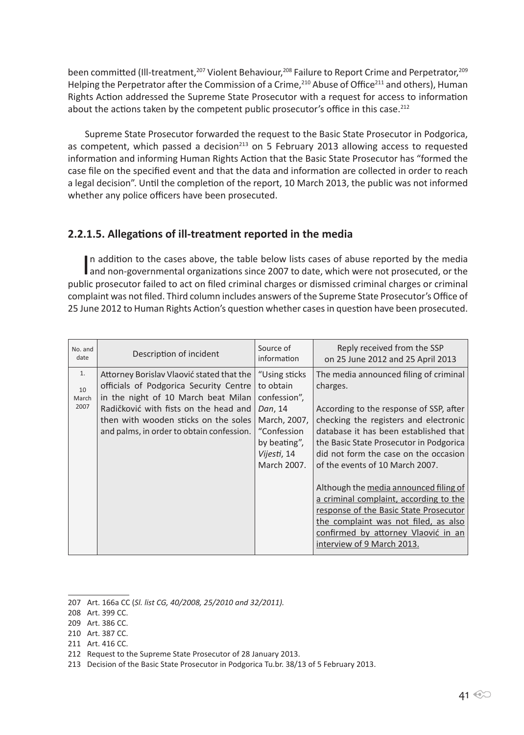been committed (Ill-treatment,<sup>207</sup> Violent Behaviour,<sup>208</sup> Failure to Report Crime and Perpetrator,<sup>209</sup> Helping the Perpetrator after the Commission of a Crime,<sup>210</sup> Abuse of Office<sup>211</sup> and others), Human Rights Action addressed the Supreme State Prosecutor with a request for access to information about the actions taken by the competent public prosecutor's office in this case.<sup>212</sup>

Supreme State Prosecutor forwarded the request to the Basic State Prosecutor in Podgorica, as competent, which passed a decision<sup>213</sup> on 5 February 2013 allowing access to requested information and informing Human Rights Action that the Basic State Prosecutor has "formed the case file on the specified event and that the data and information are collected in order to reach a legal decision". Until the completion of the report, 10 March 2013, the public was not informed whether any police officers have been prosecuted.

### **2.2.1.5. Allegations of ill-treatment reported in the media**

In addition to the cases above, the table below lists cases of abuse reported by the media<br>and non-governmental organizations since 2007 to date, which were not prosecuted, or the In addition to the cases above, the table below lists cases of abuse reported by the media public prosecutor failed to act on filed criminal charges or dismissed criminal charges or criminal complaint was not filed. Third column includes answers of the Supreme State Prosecutor's Office of 25 June 2012 to Human Rights Action's question whether cases in question have been prosecuted.

| No. and<br>date           | Description of incident                                                                                                                                                                                                                                  | Source of<br>information                                                                                                           | Reply received from the SSP<br>on 25 June 2012 and 25 April 2013                                                                                                                                                                                                                                                                                                                           |
|---------------------------|----------------------------------------------------------------------------------------------------------------------------------------------------------------------------------------------------------------------------------------------------------|------------------------------------------------------------------------------------------------------------------------------------|--------------------------------------------------------------------------------------------------------------------------------------------------------------------------------------------------------------------------------------------------------------------------------------------------------------------------------------------------------------------------------------------|
| 1.<br>10<br>March<br>2007 | Attorney Borislav Vlaović stated that the<br>officials of Podgorica Security Centre<br>in the night of 10 March beat Milan<br>Radičković with fists on the head and<br>then with wooden sticks on the soles<br>and palms, in order to obtain confession. | "Using sticks<br>to obtain<br>confession",<br>Dan, 14<br>March, 2007,<br>"Confession<br>by beating",<br>Vijesti, 14<br>March 2007. | The media announced filing of criminal<br>charges.<br>According to the response of SSP, after<br>checking the registers and electronic<br>database it has been established that<br>the Basic State Prosecutor in Podgorica<br>did not form the case on the occasion<br>of the events of 10 March 2007.<br>Although the media announced filing of<br>a criminal complaint, according to the |
|                           |                                                                                                                                                                                                                                                          |                                                                                                                                    | response of the Basic State Prosecutor<br>the complaint was not filed, as also<br>confirmed by attorney Vlaović in an<br>interview of 9 March 2013.                                                                                                                                                                                                                                        |

<sup>207</sup> Art. 166a CC (*Sl. list CG, 40/2008, 25/2010 and 32/2011).*

<sup>208</sup> Art. 399 CC.

<sup>209</sup> Art. 386 CC.

<sup>210</sup> Art. 387 CC.

<sup>211</sup> Art. 416 CC.

<sup>212</sup> Request to the Supreme State Prosecutor of 28 January 2013.

<sup>213</sup> Decision of the Basic State Prosecutor in Podgorica Tu.br. 38/13 of 5 February 2013.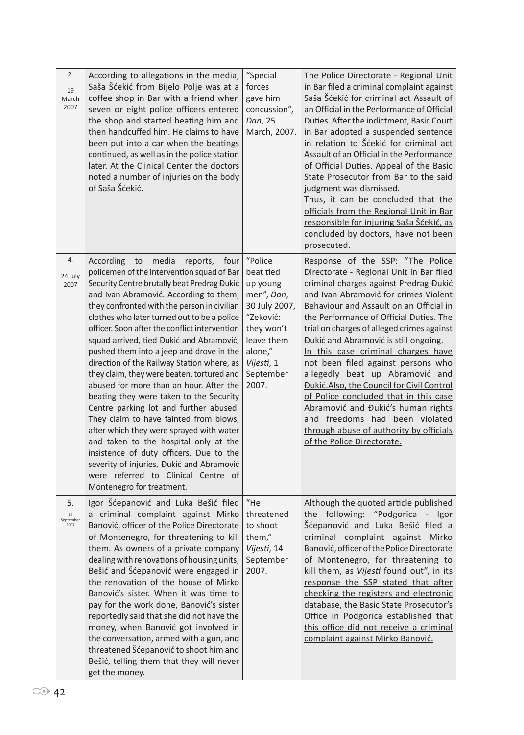| 2.<br>19<br>March<br>2007     | According to allegations in the media,<br>Saša Šćekić from Bijelo Polje was at a<br>coffee shop in Bar with a friend when<br>seven or eight police officers entered<br>the shop and started beating him and<br>then handcuffed him. He claims to have<br>been put into a car when the beatings<br>continued, as well as in the police station<br>later. At the Clinical Center the doctors<br>noted a number of injuries on the body<br>of Saša Šćekić.                                                                                                                                                                                                                                                                                                                                                                                                                                                                                           | "Special<br>forces<br>gave him<br>concussion",<br>Dan, 25<br>March, 2007.                                                                               | The Police Directorate - Regional Unit<br>in Bar filed a criminal complaint against<br>Saša Šćekić for criminal act Assault of<br>an Official in the Performance of Official<br>Duties. After the indictment, Basic Court<br>in Bar adopted a suspended sentence<br>in relation to Šćekić for criminal act<br>Assault of an Official in the Performance<br>of Official Duties. Appeal of the Basic<br>State Prosecutor from Bar to the said<br>judgment was dismissed.<br>Thus, it can be concluded that the<br>officials from the Regional Unit in Bar<br>responsible for injuring Saša Šćekić, as<br>concluded by doctors, have not been<br>prosecuted.                                           |
|-------------------------------|---------------------------------------------------------------------------------------------------------------------------------------------------------------------------------------------------------------------------------------------------------------------------------------------------------------------------------------------------------------------------------------------------------------------------------------------------------------------------------------------------------------------------------------------------------------------------------------------------------------------------------------------------------------------------------------------------------------------------------------------------------------------------------------------------------------------------------------------------------------------------------------------------------------------------------------------------|---------------------------------------------------------------------------------------------------------------------------------------------------------|-----------------------------------------------------------------------------------------------------------------------------------------------------------------------------------------------------------------------------------------------------------------------------------------------------------------------------------------------------------------------------------------------------------------------------------------------------------------------------------------------------------------------------------------------------------------------------------------------------------------------------------------------------------------------------------------------------|
| 4.<br>24 July<br>2007         | media<br>According<br>to<br>reports,<br>four<br>policemen of the intervention squad of Bar<br>Security Centre brutally beat Predrag Đukić<br>and Ivan Abramović. According to them,<br>they confronted with the person in civilian<br>clothes who later turned out to be a police<br>officer. Soon after the conflict intervention<br>squad arrived, tied Đukić and Abramović,<br>pushed them into a jeep and drove in the<br>direction of the Railway Station where, as<br>they claim, they were beaten, tortured and<br>abused for more than an hour. After the<br>beating they were taken to the Security<br>Centre parking lot and further abused.<br>They claim to have fainted from blows,<br>after which they were sprayed with water<br>and taken to the hospital only at the<br>insistence of duty officers. Due to the<br>severity of injuries, Đukić and Abramović<br>were referred to Clinical Centre of<br>Montenegro for treatment. | "Police<br>beat tied<br>up young<br>men", Dan,<br>30 July 2007,<br>"Zeković:<br>they won't<br>leave them<br>alone,"<br>Vijesti, 1<br>September<br>2007. | Response of the SSP: "The Police<br>Directorate - Regional Unit in Bar filed<br>criminal charges against Predrag Đukić<br>and Ivan Abramović for crimes Violent<br>Behaviour and Assault on an Official in<br>the Performance of Official Duties. The<br>trial on charges of alleged crimes against<br>Đukić and Abramović is still ongoing.<br>In this case criminal charges have<br>not been filed against persons who<br>allegedly beat up Abramović and<br>Đukić. Also, the Council for Civil Control<br>of Police concluded that in this case<br>Abramović and Đukić's human rights<br>and freedoms had been violated<br>through abuse of authority by officials<br>of the Police Directorate. |
| 5.<br>14<br>September<br>2007 | Igor Šćepanović and Luka Bešić filed<br>criminal complaint against Mirko<br>Banović, officer of the Police Directorate<br>of Montenegro, for threatening to kill<br>them. As owners of a private company<br>dealing with renovations of housing units,<br>Bešić and Šćepanović were engaged in<br>the renovation of the house of Mirko<br>Banović's sister. When it was time to<br>pay for the work done, Banović's sister<br>reportedly said that she did not have the<br>money, when Banović got involved in<br>the conversation, armed with a gun, and<br>threatened Šćepanović to shoot him and<br>Bešić, telling them that they will never<br>get the money.                                                                                                                                                                                                                                                                                 | "He<br>threatened<br>to shoot<br>them,"<br>Vijesti, 14<br>September<br>2007.                                                                            | Although the quoted article published<br>the following: "Podgorica - Igor<br>Šćepanović and Luka Bešić filed a<br>criminal complaint against<br>Mirko<br>Banović, officer of the Police Directorate<br>of Montenegro, for threatening to<br>kill them, as Vijesti found out", in its<br>response the SSP stated that after<br>checking the registers and electronic<br>database, the Basic State Prosecutor's<br>Office in Podgorica established that<br>this office did not receive a criminal<br>complaint against Mirko Banović.                                                                                                                                                                 |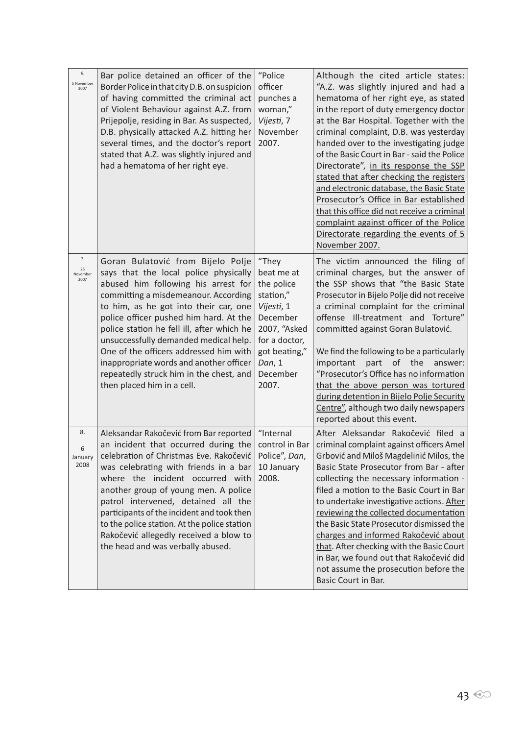| 6.<br>5 November<br>2007     | Bar police detained an officer of the<br>Border Police in that city D.B. on suspicion<br>of having committed the criminal act<br>of Violent Behaviour against A.Z. from<br>Prijepolje, residing in Bar. As suspected,<br>D.B. physically attacked A.Z. hitting her<br>several times, and the doctor's report<br>stated that A.Z. was slightly injured and<br>had a hematoma of her right eye.                                                                                                     | "Police<br>officer<br>punches a<br>woman,"<br>Vijesti, 7<br>November<br>2007.                                                                             | Although the cited article states:<br>"A.Z. was slightly injured and had a<br>hematoma of her right eye, as stated<br>in the report of duty emergency doctor<br>at the Bar Hospital. Together with the<br>criminal complaint, D.B. was yesterday<br>handed over to the investigating judge<br>of the Basic Court in Bar - said the Police<br>Directorate", in its response the SSP<br>stated that after checking the registers<br>and electronic database, the Basic State<br>Prosecutor's Office in Bar established<br>that this office did not receive a criminal<br>complaint against officer of the Police<br>Directorate regarding the events of 5<br>November 2007. |
|------------------------------|---------------------------------------------------------------------------------------------------------------------------------------------------------------------------------------------------------------------------------------------------------------------------------------------------------------------------------------------------------------------------------------------------------------------------------------------------------------------------------------------------|-----------------------------------------------------------------------------------------------------------------------------------------------------------|---------------------------------------------------------------------------------------------------------------------------------------------------------------------------------------------------------------------------------------------------------------------------------------------------------------------------------------------------------------------------------------------------------------------------------------------------------------------------------------------------------------------------------------------------------------------------------------------------------------------------------------------------------------------------|
| 7.<br>25<br>November<br>2007 | Goran Bulatović from Bijelo Polje<br>says that the local police physically<br>abused him following his arrest for<br>committing a misdemeanour. According<br>to him, as he got into their car, one<br>police officer pushed him hard. At the<br>police station he fell ill, after which he<br>unsuccessfully demanded medical help.<br>One of the officers addressed him with<br>inappropriate words and another officer<br>repeatedly struck him in the chest, and<br>then placed him in a cell. | "They<br>beat me at<br>the police<br>station,"<br>Vijesti, 1<br>December<br>2007, "Asked<br>for a doctor,<br>got beating,"<br>Dan, 1<br>December<br>2007. | The victim announced the filing of<br>criminal charges, but the answer of<br>the SSP shows that "the Basic State<br>Prosecutor in Bijelo Polje did not receive<br>a criminal complaint for the criminal<br>offense Ill-treatment and Torture"<br>committed against Goran Bulatović.<br>We find the following to be a particularly<br>important<br>part<br>of the<br>answer:<br>"Prosecutor's Office has no information<br>that the above person was tortured<br>during detention in Bijelo Polje Security<br>Centre", although two daily newspapers<br>reported about this event.                                                                                         |
| 8.<br>6<br>January<br>2008   | Aleksandar Rakočević from Bar reported<br>an incident that occurred during the<br>celebration of Christmas Eve. Rakočević<br>was celebrating with friends in a bar<br>where the incident occurred with<br>another group of young men. A police<br>patrol intervened, detained all the<br>participants of the incident and took then<br>to the police station. At the police station<br>Rakočević allegedly received a blow to<br>the head and was verbally abused.                                | "Internal<br>control in Bar<br>Police", Dan,<br>10 January<br>2008.                                                                                       | After Aleksandar Rakočević filed a<br>criminal complaint against officers Amel<br>Grbović and Miloš Magdelinić Milos, the<br>Basic State Prosecutor from Bar - after<br>collecting the necessary information -<br>filed a motion to the Basic Court in Bar<br>to undertake investigative actions. After<br>reviewing the collected documentation<br>the Basic State Prosecutor dismissed the<br>charges and informed Rakočević about<br>that. After checking with the Basic Court<br>in Bar, we found out that Rakočević did<br>not assume the prosecution before the<br>Basic Court in Bar.                                                                              |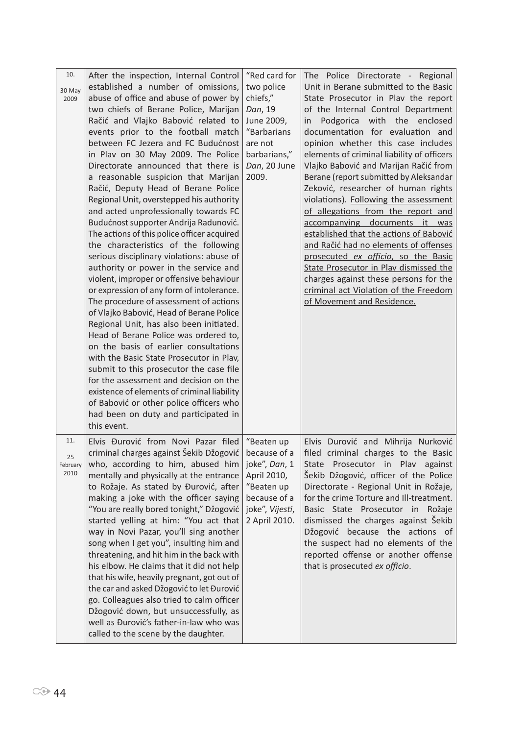| 10.<br>30 May<br>2009         | After the inspection, Internal Control<br>established a number of omissions,<br>abuse of office and abuse of power by<br>two chiefs of Berane Police, Marijan<br>Račić and Vlajko Babović related to<br>events prior to the football match<br>between FC Jezera and FC Budućnost<br>in Plav on 30 May 2009. The Police<br>Directorate announced that there is<br>a reasonable suspicion that Marijan<br>Račić, Deputy Head of Berane Police<br>Regional Unit, overstepped his authority<br>and acted unprofessionally towards FC<br>Budućnost supporter Andrija Radunović.<br>The actions of this police officer acquired<br>the characteristics of the following<br>serious disciplinary violations: abuse of<br>authority or power in the service and<br>violent, improper or offensive behaviour<br>or expression of any form of intolerance.<br>The procedure of assessment of actions<br>of Vlajko Babović, Head of Berane Police<br>Regional Unit, has also been initiated.<br>Head of Berane Police was ordered to,<br>on the basis of earlier consultations<br>with the Basic State Prosecutor in Plav,<br>submit to this prosecutor the case file<br>for the assessment and decision on the<br>existence of elements of criminal liability<br>of Babović or other police officers who<br>had been on duty and participated in | "Red card for<br>two police<br>chiefs,"<br>Dan, 19<br>June 2009,<br>"Barbarians<br>are not<br>barbarians,"<br>Dan, 20 June<br>2009. | The Police Directorate - Regional<br>Unit in Berane submitted to the Basic<br>State Prosecutor in Plav the report<br>of the Internal Control Department<br>Podgorica with the enclosed<br>in<br>documentation for evaluation and<br>opinion whether this case includes<br>elements of criminal liability of officers<br>Vlajko Babović and Marijan Račić from<br>Berane (report submitted by Aleksandar<br>Zeković, researcher of human rights<br>violations). Following the assessment<br>of allegations from the report and<br>accompanying documents it was<br>established that the actions of Babović<br>and Račić had no elements of offenses<br>prosecuted ex officio, so the Basic<br>State Prosecutor in Plav dismissed the<br>charges against these persons for the<br>criminal act Violation of the Freedom<br>of Movement and Residence. |
|-------------------------------|----------------------------------------------------------------------------------------------------------------------------------------------------------------------------------------------------------------------------------------------------------------------------------------------------------------------------------------------------------------------------------------------------------------------------------------------------------------------------------------------------------------------------------------------------------------------------------------------------------------------------------------------------------------------------------------------------------------------------------------------------------------------------------------------------------------------------------------------------------------------------------------------------------------------------------------------------------------------------------------------------------------------------------------------------------------------------------------------------------------------------------------------------------------------------------------------------------------------------------------------------------------------------------------------------------------------------------------|-------------------------------------------------------------------------------------------------------------------------------------|-----------------------------------------------------------------------------------------------------------------------------------------------------------------------------------------------------------------------------------------------------------------------------------------------------------------------------------------------------------------------------------------------------------------------------------------------------------------------------------------------------------------------------------------------------------------------------------------------------------------------------------------------------------------------------------------------------------------------------------------------------------------------------------------------------------------------------------------------------|
| 11.<br>25<br>February<br>2010 | this event.<br>Elvis Đurović from Novi Pazar filed<br>criminal charges against Šekib Džogović   because of a  <br>who, according to him, abused him<br>mentally and physically at the entrance<br>to Rožaje. As stated by Đurović, after<br>making a joke with the officer saying<br>"You are really bored tonight," Džogović<br>started yelling at him: "You act that<br>way in Novi Pazar, you'll sing another<br>song when I get you", insulting him and<br>threatening, and hit him in the back with<br>his elbow. He claims that it did not help<br>that his wife, heavily pregnant, got out of<br>the car and asked Džogović to let Đurović<br>go. Colleagues also tried to calm officer<br>Džogović down, but unsuccessfully, as<br>well as Đurović's father-in-law who was<br>called to the scene by the daughter.                                                                                                                                                                                                                                                                                                                                                                                                                                                                                                             | "Beaten up<br>joke", Dan, 1<br>April 2010,<br>"Beaten up<br>because of a<br>joke", Vijesti,<br>2 April 2010.                        | Elvis Durović and Mihrija Nurković<br>filed criminal charges to the Basic<br>Prosecutor in Plav against<br>State<br>Šekib Džogović, officer of the Police<br>Directorate - Regional Unit in Rožaje,<br>for the crime Torture and Ill-treatment.<br>Basic State Prosecutor in Rožaje<br>dismissed the charges against Šekib<br>Džogović because the actions of<br>the suspect had no elements of the<br>reported offense or another offense<br>that is prosecuted ex officio.                                                                                                                                                                                                                                                                                                                                                                        |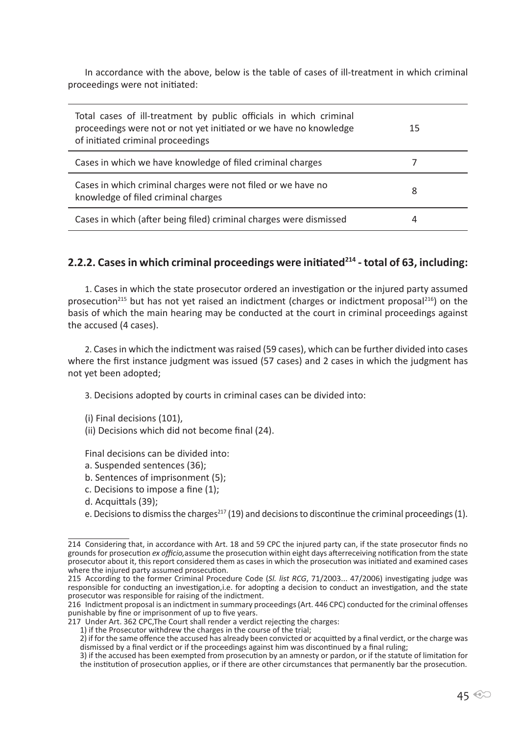In accordance with the above, below is the table of cases of ill-treatment in which criminal proceedings were not initiated:

| Total cases of ill-treatment by public officials in which criminal<br>proceedings were not or not yet initiated or we have no knowledge<br>of initiated criminal proceedings | 15 |
|------------------------------------------------------------------------------------------------------------------------------------------------------------------------------|----|
| Cases in which we have knowledge of filed criminal charges                                                                                                                   |    |
| Cases in which criminal charges were not filed or we have no<br>knowledge of filed criminal charges                                                                          | 8  |
| Cases in which (after being filed) criminal charges were dismissed                                                                                                           | 4  |

#### **2.2.2. Cases in which criminal proceedings were initiated214 - total of 63, including:**

1. Cases in which the state prosecutor ordered an investigation or the injured party assumed prosecution<sup>215</sup> but has not yet raised an indictment (charges or indictment proposal<sup>216</sup>) on the basis of which the main hearing may be conducted at the court in criminal proceedings against the accused (4 cases).

2. Cases in which the indictment was raised (59 cases), which can be further divided into cases where the first instance judgment was issued (57 cases) and 2 cases in which the judgment has not yet been adopted;

3. Decisions adopted by courts in criminal cases can be divided into:

(i) Final decisions (101),

(ii) Decisions which did not become final (24).

Final decisions can be divided into:

- a. Suspended sentences (36);
- b. Sentences of imprisonment (5);
- c. Decisions to impose a fine (1);
- d. Acquittals (39);

e. Decisions to dismiss the charges<sup>217</sup> (19) and decisions to discontinue the criminal proceedings (1).

<sup>214</sup> Considering that, in accordance with Art. 18 and 59 CPC the injured party can, if the state prosecutor finds no grounds for prosecution *ex officio,*assume the prosecution within eight days afterreceiving notification from the state prosecutor about it, this report considered them as cases in which the prosecution was initiated and examined cases where the injured party assumed prosecution.

<sup>215</sup> According to the former Criminal Procedure Code (*Sl. list RCG*, 71/2003... 47/2006) investigating judge was responsible for conducting an investigation,i.e. for adopting a decision to conduct an investigation, and the state prosecutor was responsible for raising of the indictment.

<sup>216</sup> Indictment proposal is an indictment in summary proceedings (Art. 446 CPC) conducted for the criminal offenses punishable by fine or imprisonment of up to five years.

<sup>217</sup> Under Art. 362 CPC,The Court shall render a verdict rejecting the charges:

<sup>1)</sup> if the Prosecutor withdrew the charges in the course of the trial;

<sup>2)</sup> if for the same offence the accused has already been convicted or acquitted by a final verdict, or the charge was dismissed by a final verdict or if the proceedings against him was discontinued by a final ruling;

<sup>3)</sup> if the accused has been exempted from prosecution by an amnesty or pardon, or if the statute of limitation for the institution of prosecution applies, or if there are other circumstances that permanently bar the prosecution.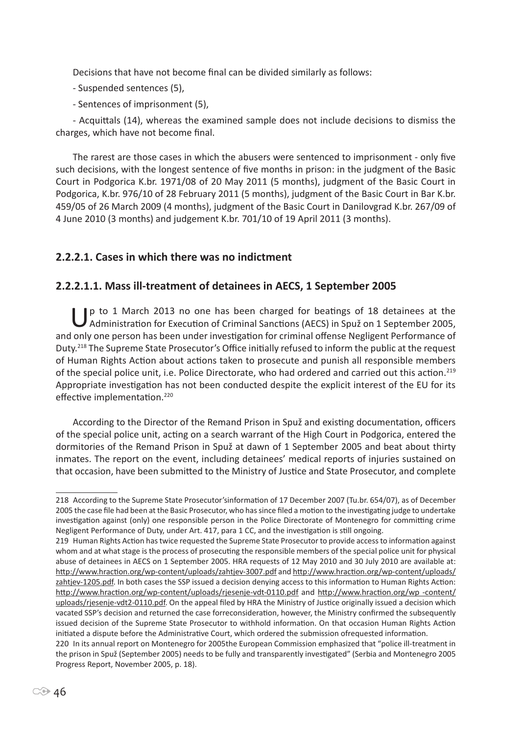Decisions that have not become final can be divided similarly as follows:

- Suspended sentences (5),
- Sentences of imprisonment (5),

- Acquittals (14), whereas the examined sample does not include decisions to dismiss the charges, which have not become final.

The rarest are those cases in which the abusers were sentenced to imprisonment - only five such decisions, with the longest sentence of five months in prison: in the judgment of the Basic Court in Podgorica K.br. 1971/08 of 20 May 2011 (5 months), judgment of the Basic Court in Podgorica, K.br. 976/10 of 28 February 2011 (5 months), judgment of the Basic Court in Bar K.br. 459/05 of 26 March 2009 (4 months), judgment of the Basic Court in Danilovgrad K.br. 267/09 of 4 June 2010 (3 months) and judgement K.br. 701/10 of 19 April 2011 (3 months).

### **2.2.2.1. Cases in which there was no indictment**

### **2.2.2.1.1. Mass ill-treatment of detainees in AECS, 1 September 2005**

Ip to 1 March 2013 no one has been charged for beatings of 18 detainees at the Administration for Execution of Criminal Sanctions (AECS) in Spuž on 1 September 2005, and only one person has been under investigation for criminal offense Negligent Performance of Duty.<sup>218</sup> The Supreme State Prosecutor's Office initially refused to inform the public at the request of Human Rights Action about actions taken to prosecute and punish all responsible members of the special police unit, i.e. Police Directorate, who had ordered and carried out this action.<sup>219</sup> Appropriate investigation has not been conducted despite the explicit interest of the EU for its effective implementation.<sup>220</sup>

According to the Director of the Remand Prison in Spuž and existing documentation, officers of the special police unit, acting on a search warrant of the High Court in Podgorica, entered the dormitories of the Remand Prison in Spuž at dawn of 1 September 2005 and beat about thirty inmates. The report on the event, including detainees' medical reports of injuries sustained on that occasion, have been submitted to the Ministry of Justice and State Prosecutor, and complete

<sup>218</sup> According to the Supreme State Prosecutor'sinformation of 17 December 2007 (Tu.br. 654/07), as of December 2005 the case file had been at the Basic Prosecutor, who has since filed a motion to the investigating judge to undertake investigation against (only) one responsible person in the Police Directorate of Montenegro for committing crime Negligent Performance of Duty, under Art. 417, para 1 CC, and the investigation is still ongoing.

<sup>219</sup> Human Rights Action has twice requested the Supreme State Prosecutor to provide access to information against whom and at what stage is the process of prosecuting the responsible members of the special police unit for physical abuse of detainees in AECS on 1 September 2005. HRA requests of 12 May 2010 and 30 July 2010 are available at: http://www.hraction.org/wp-content/uploads/zahtjev-3007.pdf and http://www.hraction.org/wp-content/uploads/ zahtjev-1205.pdf. In both cases the SSP issued a decision denying access to this information to Human Rights Action: http://www.hraction.org/wp-content/uploads/rjesenje-vdt-0110.pdf and http://www.hraction.org/wp -content/ uploads/rjesenje-vdt2-0110.pdf. On the appeal filed by HRA the Ministry of Justice originally issued a decision which vacated SSP's decision and returned the case forreconsideration, however, the Ministry confirmed the subsequently issued decision of the Supreme State Prosecutor to withhold information. On that occasion Human Rights Action initiated a dispute before the Administrative Court, which ordered the submission ofrequested information.

<sup>220</sup> In its annual report on Montenegro for 2005the European Commission emphasized that "police ill-treatment in the prison in Spuž (September 2005) needs to be fully and transparently investigated" (Serbia and Montenegro 2005 Progress Report, November 2005, p. 18).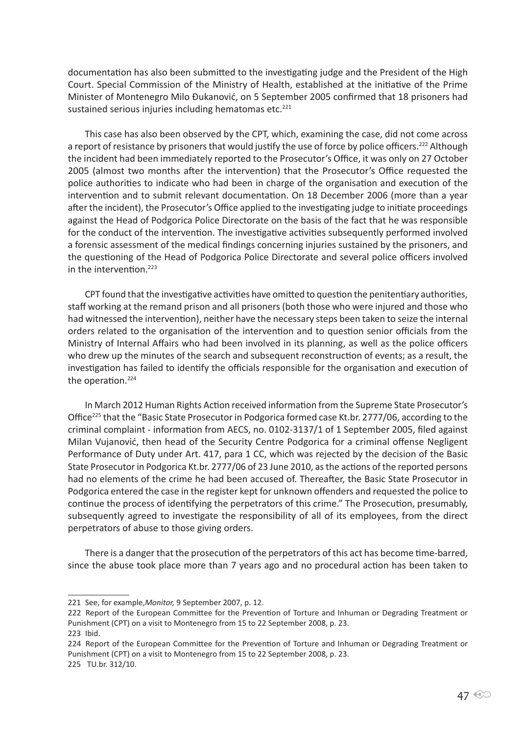documentation has also been submitted to the investigating judge and the President of the High Court. Special Commission of the Ministry of Health, established at the initiative of the Prime Minister of Montenegro Milo Đukanović, on 5 September 2005 confirmed that 18 prisoners had sustained serious injuries including hematomas etc.<sup>221</sup>

This case has also been observed by the CPT, which, examining the case, did not come across a report of resistance by prisoners that would justify the use of force by police officers.<sup>222</sup> Although the incident had been immediately reported to the Prosecutor's Office, it was only on 27 October 2005 (almost two months after the intervention) that the Prosecutor's Office requested the police authorities to indicate who had been in charge of the organisation and execution of the intervention and to submit relevant documentation. On 18 December 2006 (more than a year after the incident), the Prosecutor's Office applied to the investigating judge to initiate proceedings against the Head of Podgorica Police Directorate on the basis of the fact that he was responsible for the conduct of the intervention. The investigative activities subsequently performed involved a forensic assessment of the medical findings concerning injuries sustained by the prisoners, and the questioning of the Head of Podgorica Police Directorate and several police officers involved in the intervention.<sup>223</sup>

CPT found that the investigative activities have omitted to question the penitentiary authorities, staff working at the remand prison and all prisoners (both those who were injured and those who had witnessed the intervention), neither have the necessary steps been taken to seize the internal orders related to the organisation of the intervention and to question senior officials from the Ministry of Internal Affairs who had been involved in its planning, as well as the police officers who drew up the minutes of the search and subsequent reconstruction of events; as a result, the investigation has failed to identify the officials responsible for the organisation and execution of the operation.<sup>224</sup>

In March 2012 Human Rights Action received information from the Supreme State Prosecutor's Office<sup>225</sup> that the "Basic State Prosecutor in Podgorica formed case Kt.br. 2777/06, according to the criminal complaint - information from AECS, no. 0102-3137/1 of 1 September 2005, filed against Milan Vujanović, then head of the Security Centre Podgorica for a criminal offense Negligent Performance of Duty under Art. 417, para 1 CC, which was rejected by the decision of the Basic State Prosecutor in Podgorica Kt.br. 2777/06 of 23 June 2010, as the actions of the reported persons had no elements of the crime he had been accused of. Thereafter, the Basic State Prosecutor in Podgorica entered the case in the register kept for unknown offenders and requested the police to continue the process of identifying the perpetrators of this crime." The Prosecution, presumably, subsequently agreed to investigate the responsibility of all of its employees, from the direct perpetrators of abuse to those giving orders.

There is a danger that the prosecution of the perpetrators of this act has become time-barred, since the abuse took place more than 7 years ago and no procedural action has been taken to

<sup>221</sup> See, for example,*Monitor,* 9 September 2007, p. 12.

<sup>222</sup> Report of the European Committee for the Prevention of Torture and Inhuman or Degrading Treatment or Punishment (CPT) on a visit to Montenegro from 15 to 22 September 2008, p. 23.

<sup>223</sup> Ibid.

<sup>224</sup> Report of the European Committee for the Prevention of Torture and Inhuman or Degrading Treatment or Punishment (CPT) on a visit to Montenegro from 15 to 22 September 2008, p. 23.

<sup>225</sup> TU.br. 312/10.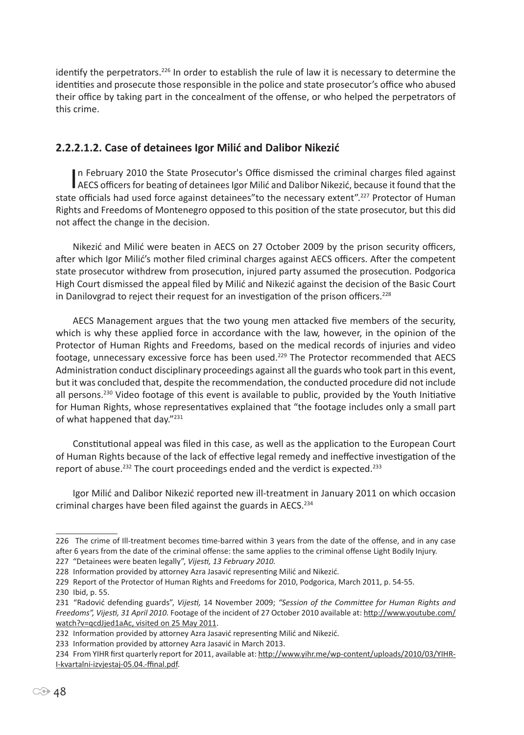identify the perpetrators.<sup>226</sup> In order to establish the rule of law it is necessary to determine the identities and prosecute those responsible in the police and state prosecutor's office who abused their office by taking part in the concealment of the offense, or who helped the perpetrators of this crime.

# **2.2.2.1.2. Case of detainees Igor Milić and Dalibor Nikezić**

In February 2010 the State Prosecutor's Office dismissed the criminal charges filed against<br>AECS officers for beating of detainees Igor Milić and Dalibor Nikezić, because it found that the n February 2010 the State Prosecutor's Office dismissed the criminal charges filed against state officials had used force against detainees" to the necessary extent".<sup>227</sup> Protector of Human Rights and Freedoms of Montenegro opposed to this position of the state prosecutor, but this did not affect the change in the decision.

Nikezić and Milić were beaten in AECS on 27 October 2009 by the prison security officers, after which Igor Milić's mother filed criminal charges against AECS officers. After the competent state prosecutor withdrew from prosecution, injured party assumed the prosecution. Podgorica High Court dismissed the appeal filed by Milić and Nikezić against the decision of the Basic Court in Danilovgrad to reject their request for an investigation of the prison officers.<sup>228</sup>

AECS Management argues that the two young men attacked five members of the security, which is why these applied force in accordance with the law, however, in the opinion of the Protector of Human Rights and Freedoms, based on the medical records of injuries and video footage, unnecessary excessive force has been used.<sup>229</sup> The Protector recommended that AECS Administration conduct disciplinary proceedings against all the guards who took part in this event, but it was concluded that, despite the recommendation, the conducted procedure did not include all persons.<sup>230</sup> Video footage of this event is available to public, provided by the Youth Initiative for Human Rights, whose representatives explained that "the footage includes only a small part of what happened that day."<sup>231</sup>

Constitutional appeal was filed in this case, as well as the application to the European Court of Human Rights because of the lack of effective legal remedy and ineffective investigation of the report of abuse.<sup>232</sup> The court proceedings ended and the verdict is expected.<sup>233</sup>

Igor Milić and Dalibor Nikezić reported new ill-treatment in January 2011 on which occasion criminal charges have been filed against the guards in AECS.<sup>234</sup>

227 "Detainees were beaten legally", *Vijesti, 13 February 2010.*

<sup>226</sup> The crime of Ill-treatment becomes time-barred within 3 years from the date of the offense, and in any case after 6 years from the date of the criminal offense: the same applies to the criminal offense Light Bodily Injury.

<sup>228</sup> Information provided by attorney Azra Jasavić representing Milić and Nikezić.

<sup>229</sup> Report of the Protector of Human Rights and Freedoms for 2010, Podgorica, March 2011, p. 54-55.

<sup>230</sup> Ibid, p. 55.

<sup>231 &</sup>quot;Radović defending guards", *Vijesti,* 14 November 2009; *"Session of the Committee for Human Rights and Freedoms", Vijesti, 31 April 2010.* Footage of the incident of 27 October 2010 available at: http://www.youtube.com/ watch?v=qcdJjed1aAc, visited on 25 May 2011.

<sup>232</sup> Information provided by attorney Azra Jasavić representing Milić and Nikezić.

<sup>233</sup> Information provided by attorney Azra Jasavić in March 2013.

<sup>234</sup> From YIHR first quarterly report for 2011, available at: http://www.yihr.me/wp-content/uploads/2010/03/YIHR-I-kvartalni-izvjestaj-05.04.-ffinal.pdf.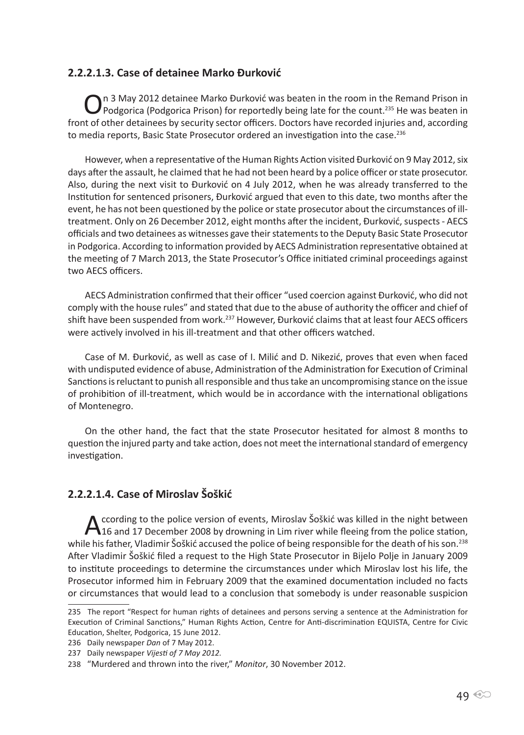### **2.2.2.1.3. Case of detainee Marko Đurković**

On 3 May 2012 detainee Marko Đurković was beaten in the room in the Remand Prison in Podgorica (Podgorica Prison) for reportedly being late for the count.<sup>235</sup> He was beaten in front of other detainees by security sector officers. Doctors have recorded injuries and, according to media reports, Basic State Prosecutor ordered an investigation into the case.<sup>236</sup>

However, when a representative of the Human Rights Action visited Đurković on 9 May 2012, six days after the assault, he claimed that he had not been heard by a police officer or state prosecutor. Also, during the next visit to Đurković on 4 July 2012, when he was already transferred to the Institution for sentenced prisoners, Đurković argued that even to this date, two months after the event, he has not been questioned by the police or state prosecutor about the circumstances of illtreatment. Only on 26 December 2012, eight months after the incident, Đurković, suspects - AECS officials and two detainees as witnesses gave their statements to the Deputy Basic State Prosecutor in Podgorica. According to information provided by AECS Administration representative obtained at the meeting of 7 March 2013, the State Prosecutor's Office initiated criminal proceedings against two AECS officers.

AECS Administration confirmed that their officer "used coercion against Đurković, who did not comply with the house rules" and stated that due to the abuse of authority the officer and chief of shift have been suspended from work.<sup>237</sup> However, Đurković claims that at least four AECS officers were actively involved in his ill-treatment and that other officers watched.

Case of M. Đurković, as well as case of I. Milić and D. Nikezić, proves that even when faced with undisputed evidence of abuse, Administration of the Administration for Execution of Criminal Sanctions is reluctant to punish all responsible and thus take an uncompromising stance on the issue of prohibition of ill-treatment, which would be in accordance with the international obligations of Montenegro.

On the other hand, the fact that the state Prosecutor hesitated for almost 8 months to question the injured party and take action, does not meet the international standard of emergency investigation.

### **2.2.2.1.4. Case of Miroslav Šoškić**

According to the police version of events, Miroslav Šoškić was killed in the night between<br>16 and 17 December 2008 by drowning in Lim river while fleeing from the police station, while his father, Vladimir Šoškić accused the police of being responsible for the death of his son.<sup>238</sup> After Vladimir Šoškić filed a request to the High State Prosecutor in Bijelo Polje in January 2009 to institute proceedings to determine the circumstances under which Miroslav lost his life, the Prosecutor informed him in February 2009 that the examined documentation included no facts or circumstances that would lead to a conclusion that somebody is under reasonable suspicion

<sup>235</sup> The report "Respect for human rights of detainees and persons serving a sentence at the Administration for Execution of Criminal Sanctions," Human Rights Action, Centre for Anti-discrimination EQUISTA, Centre for Civic Education, Shelter, Podgorica, 15 June 2012.

<sup>236</sup> Daily newspaper *Dan* of 7 May 2012.

<sup>237</sup> Daily newspaper *Vijesti of 7 May 2012.*

<sup>238 &</sup>quot;Murdered and thrown into the river," *Monitor*, 30 November 2012.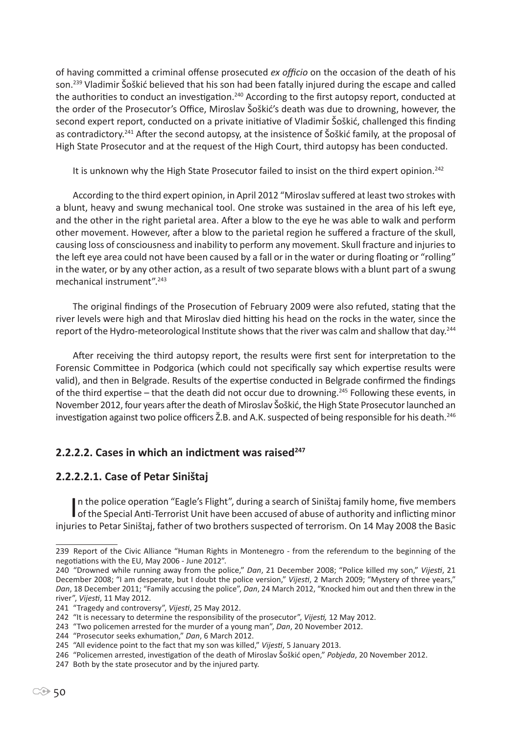of having committed a criminal offense prosecuted *ex officio* on the occasion of the death of his son.<sup>239</sup> Vladimir Šoškić believed that his son had been fatally injured during the escape and called the authorities to conduct an investigation.<sup>240</sup> According to the first autopsy report, conducted at the order of the Prosecutor's Office, Miroslav Šoškić's death was due to drowning, however, the second expert report, conducted on a private initiative of Vladimir Šoškić, challenged this finding as contradictory.<sup>241</sup> After the second autopsy, at the insistence of Šoškić family, at the proposal of High State Prosecutor and at the request of the High Court, third autopsy has been conducted.

It is unknown why the High State Prosecutor failed to insist on the third expert opinion.<sup>242</sup>

According to the third expert opinion, in April 2012 "Miroslav suffered at least two strokes with a blunt, heavy and swung mechanical tool. One stroke was sustained in the area of his left eye, and the other in the right parietal area. After a blow to the eye he was able to walk and perform other movement. However, after a blow to the parietal region he suffered a fracture of the skull, causing loss of consciousness and inability to perform any movement. Skull fracture and injuries to the left eye area could not have been caused by a fall or in the water or during floating or "rolling" in the water, or by any other action, as a result of two separate blows with a blunt part of a swung mechanical instrument".243

The original findings of the Prosecution of February 2009 were also refuted, stating that the river levels were high and that Miroslav died hitting his head on the rocks in the water, since the report of the Hydro-meteorological Institute shows that the river was calm and shallow that day.<sup>244</sup>

After receiving the third autopsy report, the results were first sent for interpretation to the Forensic Committee in Podgorica (which could not specifically say which expertise results were valid), and then in Belgrade. Results of the expertise conducted in Belgrade confirmed the findings of the third expertise – that the death did not occur due to drowning.<sup>245</sup> Following these events, in November 2012, four years after the death of Miroslav Šoškić, the High State Prosecutor launched an investigation against two police officers  $\check{Z}$ .B. and A.K. suspected of being responsible for his death.<sup>246</sup>

### **2.2.2.2. Cases in which an indictment was raised<sup>247</sup>**

### **2.2.2.2.1. Case of Petar Siništaj**

In the police operation "Eagle's Flight", during a search of Siništaj family home, five members<br>of the Special Anti-Terrorist Unit have been accused of abuse of authority and inflicting minor In the police operation "Eagle's Flight", during a search of Siništaj family home, five members injuries to Petar Siništaj, father of two brothers suspected of terrorism. On 14 May 2008 the Basic

<sup>239</sup> Report of the Civic Alliance "Human Rights in Montenegro - from the referendum to the beginning of the negotiations with the EU, May 2006 - June 2012".

<sup>240 &</sup>quot;Drowned while running away from the police," *Dan*, 21 December 2008; "Police killed my son," *Vijesti*, 21 December 2008; "I am desperate, but I doubt the police version," *Vijesti*, 2 March 2009; "Mystery of three years," *Dan*, 18 December 2011; "Family accusing the police", *Dan*, 24 March 2012, "Knocked him out and then threw in the river", *Vijesti*, 11 May 2012.

<sup>241 &</sup>quot;Tragedy and controversy", *Vijesti*, 25 May 2012.

<sup>242 &</sup>quot;It is necessary to determine the responsibility of the prosecutor", *Vijesti,* 12 May 2012.

<sup>243 &</sup>quot;Two policemen arrested for the murder of a young man", *Dan*, 20 November 2012.

<sup>244 &</sup>quot;Prosecutor seeks exhumation," *Dan*, 6 March 2012.

<sup>245 &</sup>quot;All evidence point to the fact that my son was killed," *Vijesti*, 5 January 2013.

<sup>246 &</sup>quot;Policemen arrested, investigation of the death of Miroslav Šoškić open," *Pobjeda*, 20 November 2012.

<sup>247</sup> Both by the state prosecutor and by the injured party.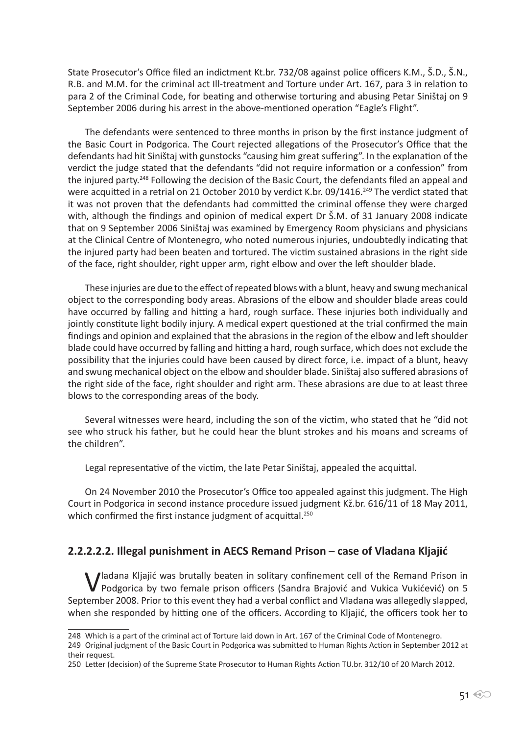State Prosecutor's Office filed an indictment Kt.br. 732/08 against police officers K.M., Š.D., Š.N., R.B. and M.M. for the criminal act Ill-treatment and Torture under Art. 167, para 3 in relation to para 2 of the Criminal Code, for beating and otherwise torturing and abusing Petar Siništaj on 9 September 2006 during his arrest in the above-mentioned operation "Eagle's Flight".

The defendants were sentenced to three months in prison by the first instance judgment of the Basic Court in Podgorica. The Court rejected allegations of the Prosecutor's Office that the defendants had hit Siništaj with gunstocks "causing him great suffering". In the explanation of the verdict the judge stated that the defendants "did not require information or a confession" from the injured party.<sup>248</sup> Following the decision of the Basic Court, the defendants filed an appeal and were acquitted in a retrial on 21 October 2010 by verdict K.br. 09/1416.<sup>249</sup> The verdict stated that it was not proven that the defendants had committed the criminal offense they were charged with, although the findings and opinion of medical expert Dr Š.M. of 31 January 2008 indicate that on 9 September 2006 Siništaj was examined by Emergency Room physicians and physicians at the Clinical Centre of Montenegro, who noted numerous injuries, undoubtedly indicating that the injured party had been beaten and tortured. The victim sustained abrasions in the right side of the face, right shoulder, right upper arm, right elbow and over the left shoulder blade.

These injuries are due to the effect of repeated blows with a blunt, heavy and swung mechanical object to the corresponding body areas. Abrasions of the elbow and shoulder blade areas could have occurred by falling and hitting a hard, rough surface. These injuries both individually and jointly constitute light bodily injury. A medical expert questioned at the trial confirmed the main findings and opinion and explained that the abrasions in the region of the elbow and left shoulder blade could have occurred by falling and hitting a hard, rough surface, which does not exclude the possibility that the injuries could have been caused by direct force, i.e. impact of a blunt, heavy and swung mechanical object on the elbow and shoulder blade. Siništaj also suffered abrasions of the right side of the face, right shoulder and right arm. These abrasions are due to at least three blows to the corresponding areas of the body.

Several witnesses were heard, including the son of the victim, who stated that he "did not see who struck his father, but he could hear the blunt strokes and his moans and screams of the children".

Legal representative of the victim, the late Petar Siništaj, appealed the acquittal.

On 24 November 2010 the Prosecutor's Office too appealed against this judgment. The High Court in Podgorica in second instance procedure issued judgment Kž.br. 616/11 of 18 May 2011, which confirmed the first instance judgment of acquittal.<sup>250</sup>

### **2.2.2.2.2. Illegal punishment in AECS Remand Prison – case of Vladana Kljajić**

Iladana Kljajić was brutally beaten in solitary confinement cell of the Remand Prison in Podgorica by two female prison officers (Sandra Brajović and Vukica Vukićević) on 5 September 2008. Prior to this event they had a verbal conflict and Vladana was allegedly slapped, when she responded by hitting one of the officers. According to Kljajić, the officers took her to

<sup>248</sup> Which is a part of the criminal act of Torture laid down in Art. 167 of the Criminal Code of Montenegro.

<sup>249</sup> Original judgment of the Basic Court in Podgorica was submitted to Human Rights Action in September 2012 at their request.

<sup>250</sup> Letter (decision) of the Supreme State Prosecutor to Human Rights Action TU.br. 312/10 of 20 March 2012.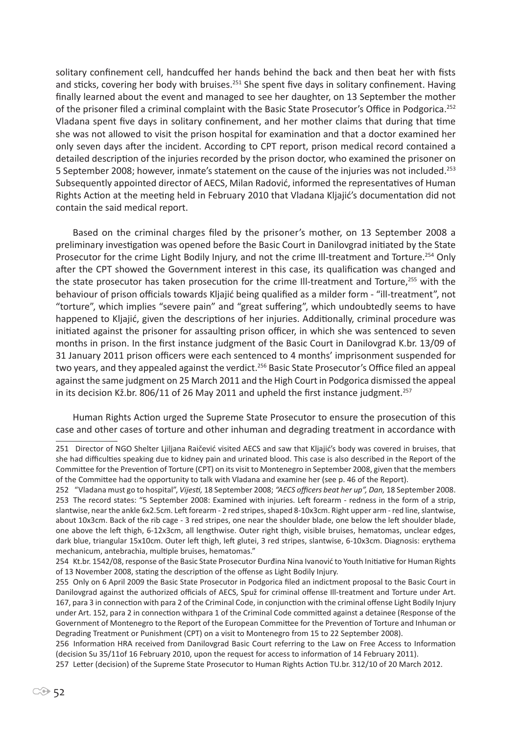solitary confinement cell, handcuffed her hands behind the back and then beat her with fists and sticks, covering her body with bruises.<sup>251</sup> She spent five days in solitary confinement. Having finally learned about the event and managed to see her daughter, on 13 September the mother of the prisoner filed a criminal complaint with the Basic State Prosecutor's Office in Podgorica.<sup>252</sup> Vladana spent five days in solitary confinement, and her mother claims that during that time she was not allowed to visit the prison hospital for examination and that a doctor examined her only seven days after the incident. According to CPT report, prison medical record contained a detailed description of the injuries recorded by the prison doctor, who examined the prisoner on 5 September 2008; however, inmate's statement on the cause of the injuries was not included.<sup>253</sup> Subsequently appointed director of AECS, Milan Radović, informed the representatives of Human Rights Action at the meeting held in February 2010 that Vladana Kljajić's documentation did not contain the said medical report.

Based on the criminal charges filed by the prisoner's mother, on 13 September 2008 a preliminary investigation was opened before the Basic Court in Danilovgrad initiated by the State Prosecutor for the crime Light Bodily Injury, and not the crime Ill-treatment and Torture.<sup>254</sup> Only after the CPT showed the Government interest in this case, its qualification was changed and the state prosecutor has taken prosecution for the crime Ill-treatment and Torture,<sup>255</sup> with the behaviour of prison officials towards Kljajić being qualified as a milder form - "ill-treatment", not "torture", which implies "severe pain" and "great suffering", which undoubtedly seems to have happened to Kljajić, given the descriptions of her injuries. Additionally, criminal procedure was initiated against the prisoner for assaulting prison officer, in which she was sentenced to seven months in prison. In the first instance judgment of the Basic Court in Danilovgrad K.br. 13/09 of 31 January 2011 prison officers were each sentenced to 4 months' imprisonment suspended for two years, and they appealed against the verdict.<sup>256</sup> Basic State Prosecutor's Office filed an appeal against the same judgment on 25 March 2011 and the High Court in Podgorica dismissed the appeal in its decision Kž.br. 806/11 of 26 May 2011 and upheld the first instance judgment.<sup>257</sup>

Human Rights Action urged the Supreme State Prosecutor to ensure the prosecution of this case and other cases of torture and other inhuman and degrading treatment in accordance with

<sup>251</sup> Director of NGO Shelter Ljiljana Raičević visited AECS and saw that Kljajić's body was covered in bruises, that she had difficulties speaking due to kidney pain and urinated blood. This case is also described in the Report of the Committee for the Prevention of Torture (CPT) on its visit to Montenegro in September 2008, given that the members of the Committee had the opportunity to talk with Vladana and examine her (see p. 46 of the Report).

<sup>252 &</sup>quot;Vladana must go to hospital", *Vijesti,* 18 September 2008; *"AECS officers beat her up", Dan,* 18 September 2008. 253 The record states: "5 September 2008: Examined with injuries. Left forearm - redness in the form of a strip, slantwise, near the ankle 6x2.5cm. Left forearm - 2 red stripes, shaped 8-10x3cm. Right upper arm - red line, slantwise, about 10x3cm. Back of the rib cage - 3 red stripes, one near the shoulder blade, one below the left shoulder blade, one above the left thigh, 6-12x3cm, all lengthwise. Outer right thigh, visible bruises, hematomas, unclear edges, dark blue, triangular 15x10cm. Outer left thigh, left glutei, 3 red stripes, slantwise, 6-10x3cm. Diagnosis: erythema mechanicum, antebrachia, multiple bruises, hematomas."

<sup>254</sup> Kt.br. 1542/08, response of the Basic State Prosecutor Đurđina Nina Ivanović to Youth Initiative for Human Rights of 13 November 2008, stating the description of the offense as Light Bodily Injury.

<sup>255</sup> Only on 6 April 2009 the Basic State Prosecutor in Podgorica filed an indictment proposal to the Basic Court in Danilovgrad against the authorized officials of AECS, Spuž for criminal offense Ill-treatment and Torture under Art. 167, para 3 in connection with para 2 of the Criminal Code, in conjunction with the criminal offense Light Bodily Injury under Art. 152, para 2 in connection withpara 1 of the Criminal Code committed against a detainee (Response of the Government of Montenegro to the Report of the European Committee for the Prevention of Torture and Inhuman or Degrading Treatment or Punishment (CPT) on a visit to Montenegro from 15 to 22 September 2008).

<sup>256</sup> Information HRA received from Danilovgrad Basic Court referring to the Law on Free Access to Information (decision Su 35/11of 16 February 2010, upon the request for access to information of 14 February 2011).

<sup>257</sup> Letter (decision) of the Supreme State Prosecutor to Human Rights Action TU.br. 312/10 of 20 March 2012.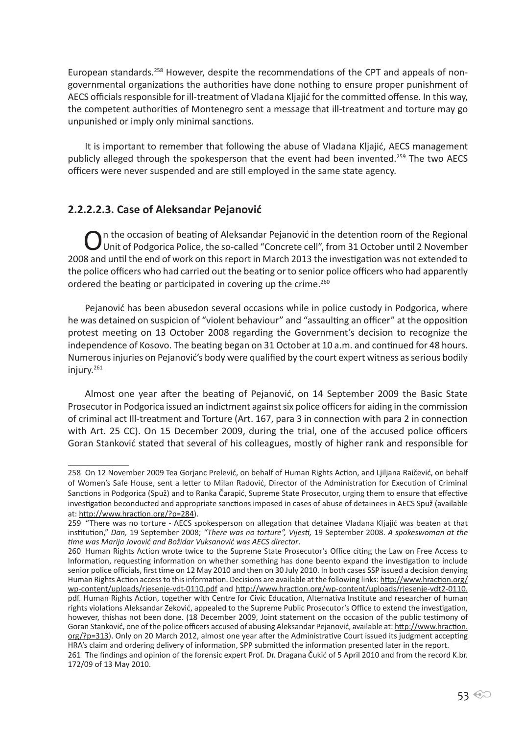European standards.258 However, despite the recommendations of the CPT and appeals of nongovernmental organizations the authorities have done nothing to ensure proper punishment of AECS officials responsible for ill-treatment of Vladana Kljajić for the committed offense. In this way, the competent authorities of Montenegro sent a message that ill-treatment and torture may go unpunished or imply only minimal sanctions.

It is important to remember that following the abuse of Vladana Kljajić, AECS management publicly alleged through the spokesperson that the event had been invented.<sup>259</sup> The two AECS officers were never suspended and are still employed in the same state agency.

# **2.2.2.2.3. Case of Aleksandar Pejanović**

On the occasion of beating of Aleksandar Pejanović in the detention room of the Regional<br>Unit of Podgorica Police, the so-called "Concrete cell", from 31 October until 2 November 2008 and until the end of work on this report in March 2013 the investigation was not extended to the police officers who had carried out the beating or to senior police officers who had apparently ordered the beating or participated in covering up the crime.<sup>260</sup>

Pejanović has been abusedon several occasions while in police custody in Podgorica, where he was detained on suspicion of "violent behaviour" and "assaulting an officer" at the opposition protest meeting on 13 October 2008 regarding the Government's decision to recognize the independence of Kosovo. The beating began on 31 October at 10 a.m. and continued for 48 hours. Numerous injuries on Pejanović's body were qualified by the court expert witness as serious bodily injury.<sup>261</sup>

Almost one year after the beating of Pejanović, on 14 September 2009 the Basic State Prosecutor in Podgorica issued an indictment against six police officers for aiding in the commission of criminal act Ill-treatment and Torture (Art. 167, para 3 in connection with para 2 in connection with Art. 25 CC). On 15 December 2009, during the trial, one of the accused police officers Goran Stanković stated that several of his colleagues, mostly of higher rank and responsible for

<sup>258</sup> On 12 November 2009 Tea Gorjanc Prelević, on behalf of Human Rights Action, and Ljiljana Raičević, on behalf of Women's Safe House, sent a letter to Milan Radović, Director of the Administration for Execution of Criminal Sanctions in Podgorica (Spuž) and to Ranka Čarapić, Supreme State Prosecutor, urging them to ensure that effective investigation beconducted and appropriate sanctions imposed in cases of abuse of detainees in AECS Spuž (available at: http://www.hraction.org/?p=284).

<sup>259 &</sup>quot;There was no torture - AECS spokesperson on allegation that detainee Vladana Kljajić was beaten at that institution," *Dan,* 19 September 2008; *"There was no torture", Vijesti,* 19 September 2008. *A spokeswoman at the time was Marija Jovović and Božidar Vuksanović was AECS director*.

<sup>260</sup> Human Rights Action wrote twice to the Supreme State Prosecutor's Office citing the Law on Free Access to Information, requesting information on whether something has done beento expand the investigation to include senior police officials, first time on 12 May 2010 and then on 30 July 2010. In both cases SSP issued a decision denying Human Rights Action access to this information. Decisions are available at the following links: http://www.hraction.org/ wp-content/uploads/rjesenje-vdt-0110.pdf and http://www.hraction.org/wp-content/uploads/rjesenje-vdt2-0110. pdf. Human Rights Action, together with Centre for Civic Education, Alternativa Institute and researcher of human rights violations Aleksandar Zeković, appealed to the Supreme Public Prosecutor's Office to extend the investigation, however, thishas not been done. (18 December 2009, Joint statement on the occasion of the public testimony of Goran Stanković, one of the police officers accused of abusing Aleksandar Pejanović, available at: http://www.hraction. org/?p=313). Only on 20 March 2012, almost one year after the Administrative Court issued its judgment accepting HRA's claim and ordering delivery of information, SPP submitted the information presented later in the report. 261 The findings and opinion of the forensic expert Prof. Dr. Dragana Čukić of 5 April 2010 and from the record K.br. 172/09 of 13 May 2010.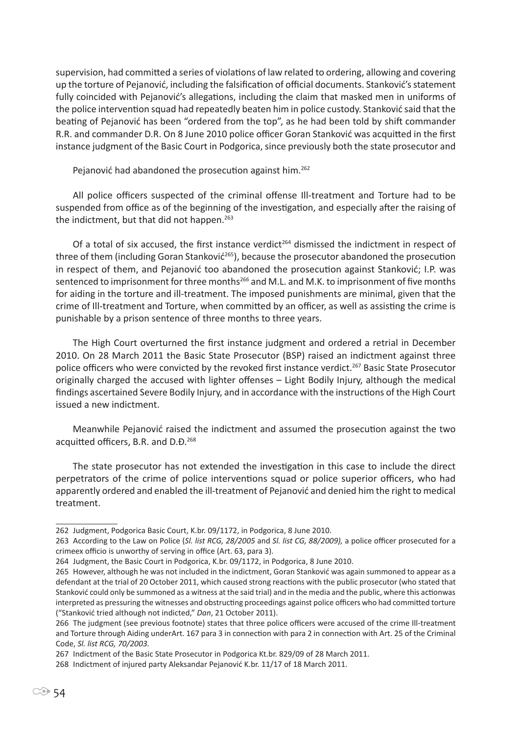supervision, had committed a series of violations of law related to ordering, allowing and covering up the torture of Pejanović, including the falsification of official documents. Stanković's statement fully coincided with Pejanović's allegations, including the claim that masked men in uniforms of the police intervention squad had repeatedly beaten him in police custody. Stanković said that the beating of Pejanović has been "ordered from the top", as he had been told by shift commander R.R. and commander D.R. On 8 June 2010 police officer Goran Stanković was acquitted in the first instance judgment of the Basic Court in Podgorica, since previously both the state prosecutor and

Pejanović had abandoned the prosecution against him.<sup>262</sup>

All police officers suspected of the criminal offense Ill-treatment and Torture had to be suspended from office as of the beginning of the investigation, and especially after the raising of the indictment, but that did not happen.<sup>263</sup>

Of a total of six accused, the first instance verdict<sup>264</sup> dismissed the indictment in respect of three of them (including Goran Stanković<sup>265</sup>), because the prosecutor abandoned the prosecution in respect of them, and Pejanović too abandoned the prosecution against Stanković; I.P. was sentenced to imprisonment for three months<sup>266</sup> and M.L. and M.K. to imprisonment of five months for aiding in the torture and ill-treatment. The imposed punishments are minimal, given that the crime of Ill-treatment and Torture, when committed by an officer, as well as assisting the crime is punishable by a prison sentence of three months to three years.

The High Court overturned the first instance judgment and ordered a retrial in December 2010. On 28 March 2011 the Basic State Prosecutor (BSP) raised an indictment against three police officers who were convicted by the revoked first instance verdict.<sup>267</sup> Basic State Prosecutor originally charged the accused with lighter offenses – Light Bodily Injury, although the medical findings ascertained Severe Bodily Injury, and in accordance with the instructions of the High Court issued a new indictment.

Meanwhile Pejanović raised the indictment and assumed the prosecution against the two acquitted officers, B.R. and D.Đ.<sup>268</sup>

The state prosecutor has not extended the investigation in this case to include the direct perpetrators of the crime of police interventions squad or police superior officers, who had apparently ordered and enabled the ill-treatment of Pejanović and denied him the right to medical treatment.

<sup>262</sup> Judgment, Podgorica Basic Court, K.br. 09/1172, in Podgorica, 8 June 2010.

<sup>263</sup> According to the Law on Police (*Sl. list RCG, 28/2005* and *Sl. list CG, 88/2009),* a police officer prosecuted for a crimeex officio is unworthy of serving in office (Art. 63, para 3).

<sup>264</sup> Judgment, the Basic Court in Podgorica, K.br. 09/1172, in Podgorica, 8 June 2010.

<sup>265</sup> However, although he was not included in the indictment, Goran Stanković was again summoned to appear as a defendant at the trial of 20 October 2011, which caused strong reactions with the public prosecutor (who stated that Stanković could only be summoned as a witness at the said trial) and in the media and the public, where this actionwas interpreted as pressuring the witnesses and obstructing proceedings against police officers who had committed torture ("Stanković tried although not indicted," *Dan*, 21 October 2011).

<sup>266</sup> The judgment (see previous footnote) states that three police officers were accused of the crime Ill-treatment and Torture through Aiding underArt. 167 para 3 in connection with para 2 in connection with Art. 25 of the Criminal Code, *Sl. list RCG, 70/2003.*

<sup>267</sup> Indictment of the Basic State Prosecutor in Podgorica Kt.br. 829/09 of 28 March 2011.

<sup>268</sup> Indictment of injured party Aleksandar Pejanović K.br. 11/17 of 18 March 2011.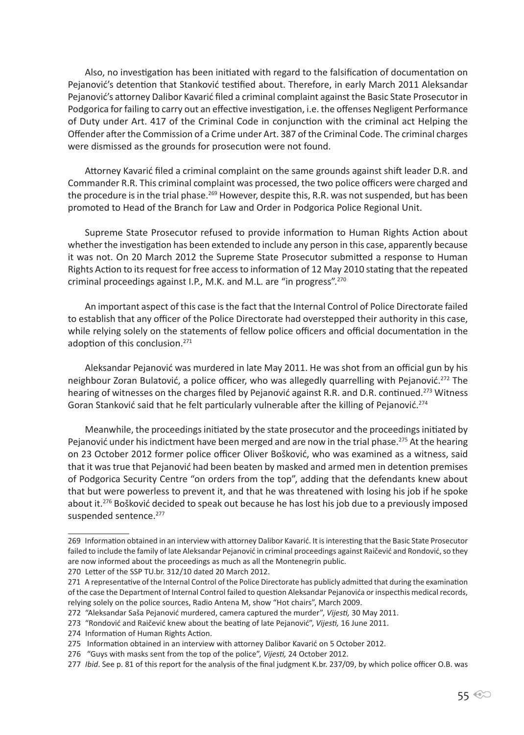Also, no investigation has been initiated with regard to the falsification of documentation on Pejanović's detention that Stanković testified about. Therefore, in early March 2011 Aleksandar Pejanović's attorney Dalibor Kavarić filed a criminal complaint against the Basic State Prosecutor in Podgorica for failing to carry out an effective investigation, i.e. the offenses Negligent Performance of Duty under Art. 417 of the Criminal Code in conjunction with the criminal act Helping the Offender after the Commission of a Crime under Art. 387 of the Criminal Code. The criminal charges were dismissed as the grounds for prosecution were not found.

Attorney Kavarić filed a criminal complaint on the same grounds against shift leader D.R. and Commander R.R. This criminal complaint was processed, the two police officers were charged and the procedure is in the trial phase.<sup>269</sup> However, despite this, R.R. was not suspended, but has been promoted to Head of the Branch for Law and Order in Podgorica Police Regional Unit.

Supreme State Prosecutor refused to provide information to Human Rights Action about whether the investigation has been extended to include any person in this case, apparently because it was not. On 20 March 2012 the Supreme State Prosecutor submitted a response to Human Rights Action to its request for free access to information of 12 May 2010 stating that the repeated criminal proceedings against I.P., M.K. and M.L. are "in progress".<sup>270</sup>

An important aspect of this case is the fact that the Internal Control of Police Directorate failed to establish that any officer of the Police Directorate had overstepped their authority in this case, while relying solely on the statements of fellow police officers and official documentation in the adoption of this conclusion.<sup>271</sup>

Aleksandar Pejanović was murdered in late May 2011. He was shot from an official gun by his neighbour Zoran Bulatović, a police officer, who was allegedly quarrelling with Pejanović.<sup>272</sup> The hearing of witnesses on the charges filed by Pejanović against R.R. and D.R. continued.<sup>273</sup> Witness Goran Stanković said that he felt particularly vulnerable after the killing of Pejanović.<sup>274</sup>

Meanwhile, the proceedings initiated by the state prosecutor and the proceedings initiated by Pejanović under his indictment have been merged and are now in the trial phase.<sup>275</sup> At the hearing on 23 October 2012 former police officer Oliver Bošković, who was examined as a witness, said that it was true that Pejanović had been beaten by masked and armed men in detention premises of Podgorica Security Centre "on orders from the top", adding that the defendants knew about that but were powerless to prevent it, and that he was threatened with losing his job if he spoke about it.<sup>276</sup> Bošković decided to speak out because he has lost his job due to a previously imposed suspended sentence.<sup>277</sup>

<sup>269</sup> Information obtained in an interview with attorney Dalibor Kavarić. It is interesting that the Basic State Prosecutor failed to include the family of late Aleksandar Pejanović in criminal proceedings against Raičević and Rondović, so they are now informed about the proceedings as much as all the Montenegrin public.

<sup>270</sup> Letter of the SSP TU.br. 312/10 dated 20 March 2012.

<sup>271</sup> A representative of the Internal Control of the Police Directorate has publicly admitted that during the examination of the case the Department of Internal Control failed to question Aleksandar Pejanovića or inspecthis medical records, relying solely on the police sources, Radio Antena M, show "Hot chairs", March 2009.

<sup>272 &</sup>quot;Aleksandar Saša Pejanović murdered, camera captured the murder", *Vijesti,* 30 May 2011.

<sup>273 &</sup>quot;Rondović and Raičević knew about the beating of late Pejanović", *Vijesti,* 16 June 2011.

<sup>274</sup> Information of Human Rights Action.

<sup>275</sup> Information obtained in an interview with attorney Dalibor Kavarić on 5 October 2012.

<sup>276 &</sup>quot;Guys with masks sent from the top of the police", *Vijesti,* 24 October 2012.

<sup>277</sup> *Ibid*. See p. 81 of this report for the analysis of the final judgment K.br. 237/09, by which police officer O.B. was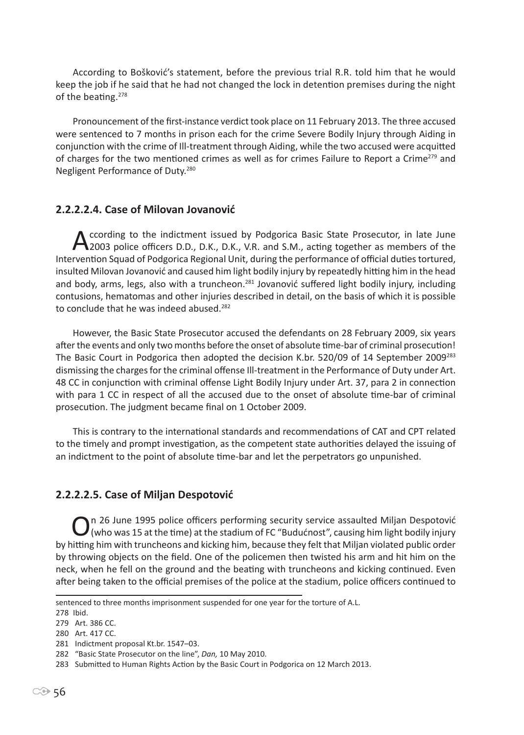According to Bošković's statement, before the previous trial R.R. told him that he would keep the job if he said that he had not changed the lock in detention premises during the night of the beating.<sup>278</sup>

Pronouncement of the first-instance verdict took place on 11 February 2013. The three accused were sentenced to 7 months in prison each for the crime Severe Bodily Injury through Aiding in conjunction with the crime of Ill-treatment through Aiding, while the two accused were acquitted of charges for the two mentioned crimes as well as for crimes Failure to Report a Crime<sup>279</sup> and Negligent Performance of Duty.<sup>280</sup>

### **2.2.2.2.4. Case of Milovan Jovanović**

According to the indictment issued by Podgorica Basic State Prosecutor, in late June 2003 police officers D.D., D.K., D.K., V.R. and S.M., acting together as members of the Intervention Squad of Podgorica Regional Unit, during the performance of official duties tortured, insulted Milovan Jovanović and caused him light bodily injury by repeatedly hitting him in the head and body, arms, legs, also with a truncheon.<sup>281</sup> Jovanović suffered light bodily injury, including contusions, hematomas and other injuries described in detail, on the basis of which it is possible to conclude that he was indeed abused.<sup>282</sup>

However, the Basic State Prosecutor accused the defendants on 28 February 2009, six years after the events and only two months before the onset of absolute time-bar of criminal prosecution! The Basic Court in Podgorica then adopted the decision K.br. 520/09 of 14 September 2009<sup>283</sup> dismissing the charges for the criminal offense Ill-treatment in the Performance of Duty under Art. 48 CC in conjunction with criminal offense Light Bodily Injury under Art. 37, para 2 in connection with para 1 CC in respect of all the accused due to the onset of absolute time-bar of criminal prosecution. The judgment became final on 1 October 2009.

This is contrary to the international standards and recommendations of CAT and CPT related to the timely and prompt investigation, as the competent state authorities delayed the issuing of an indictment to the point of absolute time-bar and let the perpetrators go unpunished.

# **2.2.2.2.5. Case of Miljan Despotović**

On 26 June 1995 police officers performing security service assaulted Miljan Despotović<br>
(who was 15 at the time) at the stadium of FC "Budućnost", causing him light bodily injury by hitting him with truncheons and kicking him, because they felt that Miljan violated public order by throwing objects on the field. One of the policemen then twisted his arm and hit him on the neck, when he fell on the ground and the beating with truncheons and kicking continued. Even after being taken to the official premises of the police at the stadium, police officers continued to

sentenced to three months imprisonment suspended for one year for the torture of A.L.

<sup>278</sup> Ibid.

<sup>279</sup> Art. 386 CC.

<sup>280</sup> Art. 417 CC.

<sup>281</sup> Indictment proposal Kt.br. 1547–03.

<sup>282 &</sup>quot;Basic State Prosecutor on the line", *Dan,* 10 May 2010.

<sup>283</sup> Submitted to Human Rights Action by the Basic Court in Podgorica on 12 March 2013.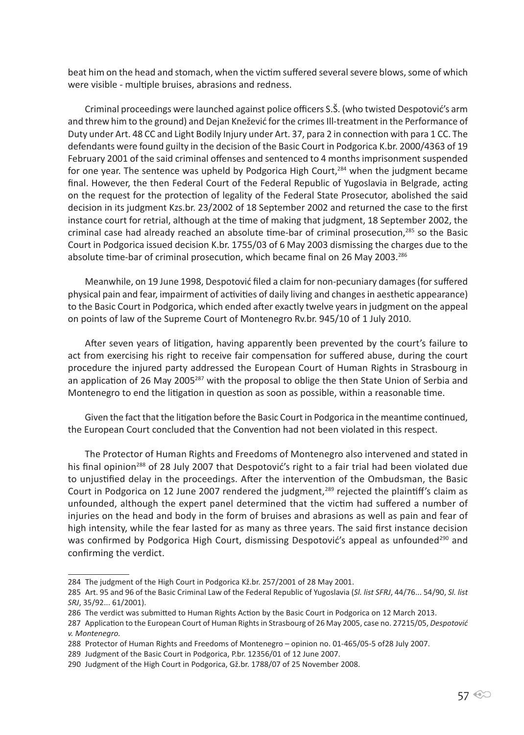beat him on the head and stomach, when the victim suffered several severe blows, some of which were visible - multiple bruises, abrasions and redness.

Criminal proceedings were launched against police officers S.Š. (who twisted Despotović's arm and threw him to the ground) and Dejan Knežević for the crimes Ill-treatment in the Performance of Duty under Art. 48 CC and Light Bodily Injury under Art. 37, para 2 in connection with para 1 CC. The defendants were found guilty in the decision of the Basic Court in Podgorica K.br. 2000/4363 of 19 February 2001 of the said criminal offenses and sentenced to 4 months imprisonment suspended for one year. The sentence was upheld by Podgorica High Court,<sup>284</sup> when the judgment became final. However, the then Federal Court of the Federal Republic of Yugoslavia in Belgrade, acting on the request for the protection of legality of the Federal State Prosecutor, abolished the said decision in its judgment Kzs.br. 23/2002 of 18 September 2002 and returned the case to the first instance court for retrial, although at the time of making that judgment, 18 September 2002, the criminal case had already reached an absolute time-bar of criminal prosecution,<sup>285</sup> so the Basic Court in Podgorica issued decision K.br. 1755/03 of 6 May 2003 dismissing the charges due to the absolute time-bar of criminal prosecution, which became final on 26 May 2003.<sup>286</sup>

Meanwhile, on 19 June 1998, Despotović filed a claim for non-pecuniary damages (for suffered physical pain and fear, impairment of activities of daily living and changes in aesthetic appearance) to the Basic Court in Podgorica, which ended after exactly twelve years in judgment on the appeal on points of law of the Supreme Court of Montenegro Rv.br. 945/10 of 1 July 2010.

After seven years of litigation, having apparently been prevented by the court's failure to act from exercising his right to receive fair compensation for suffered abuse, during the court procedure the injured party addressed the European Court of Human Rights in Strasbourg in an application of 26 May 2005<sup>287</sup> with the proposal to oblige the then State Union of Serbia and Montenegro to end the litigation in question as soon as possible, within a reasonable time.

Given the fact that the litigation before the Basic Court in Podgorica in the meantime continued, the European Court concluded that the Convention had not been violated in this respect.

The Protector of Human Rights and Freedoms of Montenegro also intervened and stated in his final opinion<sup>288</sup> of 28 July 2007 that Despotović's right to a fair trial had been violated due to unjustified delay in the proceedings. After the intervention of the Ombudsman, the Basic Court in Podgorica on 12 June 2007 rendered the judgment,<sup>289</sup> rejected the plaintiff's claim as unfounded, although the expert panel determined that the victim had suffered a number of injuries on the head and body in the form of bruises and abrasions as well as pain and fear of high intensity, while the fear lasted for as many as three years. The said first instance decision was confirmed by Podgorica High Court, dismissing Despotović's appeal as unfounded<sup>290</sup> and confirming the verdict.

<sup>284</sup> The judgment of the High Court in Podgorica Kž.br. 257/2001 of 28 May 2001.

<sup>285</sup> Art. 95 and 96 of the Basic Criminal Law of the Federal Republic of Yugoslavia (*Sl. list SFRJ*, 44/76... 54/90, *Sl. list SRJ*, 35/92... 61/2001).

<sup>286</sup> The verdict was submitted to Human Rights Action by the Basic Court in Podgorica on 12 March 2013.

<sup>287</sup> Application to the European Court of Human Rights in Strasbourg of 26 May 2005, case no. 27215/05, *Despotović v. Montenegro.*

<sup>288</sup> Protector of Human Rights and Freedoms of Montenegro – opinion no. 01-465/05-5 of28 July 2007.

<sup>289</sup> Judgment of the Basic Court in Podgorica, P.br. 12356/01 of 12 June 2007.

<sup>290</sup> Judgment of the High Court in Podgorica, Gž.br. 1788/07 of 25 November 2008.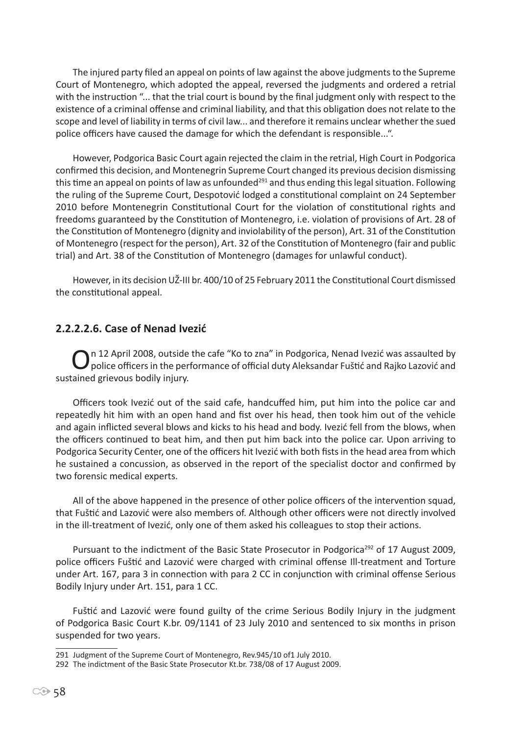The injured party filed an appeal on points of law against the above judgments to the Supreme Court of Montenegro, which adopted the appeal, reversed the judgments and ordered a retrial with the instruction "... that the trial court is bound by the final judgment only with respect to the existence of a criminal offense and criminal liability, and that this obligation does not relate to the scope and level of liability in terms of civil law... and therefore it remains unclear whether the sued police officers have caused the damage for which the defendant is responsible...".

However, Podgorica Basic Court again rejected the claim in the retrial, High Court in Podgorica confirmed this decision, and Montenegrin Supreme Court changed its previous decision dismissing this time an appeal on points of law as unfounded<sup>291</sup> and thus ending this legal situation. Following the ruling of the Supreme Court, Despotović lodged a constitutional complaint on 24 September 2010 before Montenegrin Constitutional Court for the violation of constitutional rights and freedoms guaranteed by the Constitution of Montenegro, i.e. violation of provisions of Art. 28 of the Constitution of Montenegro (dignity and inviolability of the person), Art. 31 of the Constitution of Montenegro (respect for the person), Art. 32 of the Constitution of Montenegro (fair and public trial) and Art. 38 of the Constitution of Montenegro (damages for unlawful conduct).

However, in its decision UŽ-III br. 400/10 of 25 February 2011 the Constitutional Court dismissed the constitutional appeal.

#### **2.2.2.2.6. Case of Nenad Ivezić**

On 12 April 2008, outside the cafe "Ko to zna" in Podgorica, Nenad Ivezić was assaulted by<br>police officers in the performance of official duty Aleksandar Fuštić and Rajko Lazović and sustained grievous bodily injury.

Officers took Ivezić out of the said cafe, handcuffed him, put him into the police car and repeatedly hit him with an open hand and fist over his head, then took him out of the vehicle and again inflicted several blows and kicks to his head and body. Ivezić fell from the blows, when the officers continued to beat him, and then put him back into the police car. Upon arriving to Podgorica Security Center, one of the officers hit Ivezić with both fists in the head area from which he sustained a concussion, as observed in the report of the specialist doctor and confirmed by two forensic medical experts.

All of the above happened in the presence of other police officers of the intervention squad, that Fuštić and Lazović were also members of. Although other officers were not directly involved in the ill-treatment of Ivezić, only one of them asked his colleagues to stop their actions.

Pursuant to the indictment of the Basic State Prosecutor in Podgorica<sup>292</sup> of 17 August 2009, police officers Fuštić and Lazović were charged with criminal offense Ill-treatment and Torture under Art. 167, para 3 in connection with para 2 CC in conjunction with criminal offense Serious Bodily Injury under Art. 151, para 1 CC.

Fuštić and Lazović were found guilty of the crime Serious Bodily Injury in the judgment of Podgorica Basic Court K.br. 09/1141 of 23 July 2010 and sentenced to six months in prison suspended for two years.

<sup>291</sup> Judgment of the Supreme Court of Montenegro, Rev.945/10 of1 July 2010.

<sup>292</sup> The indictment of the Basic State Prosecutor Kt.br. 738/08 of 17 August 2009.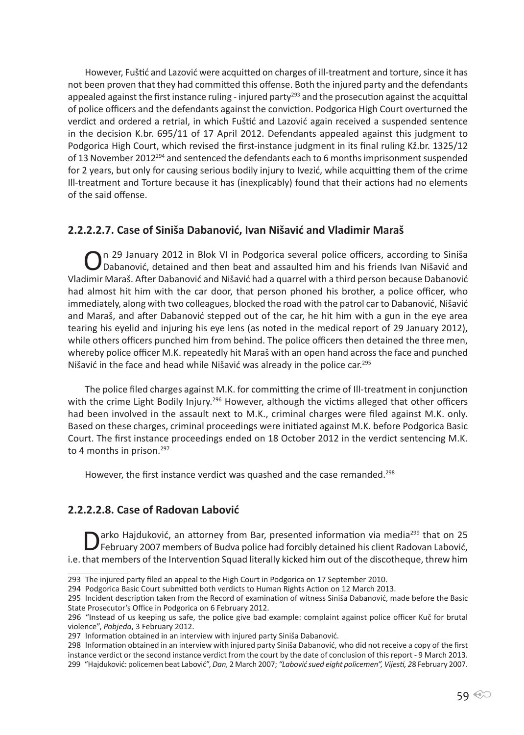However, Fuštić and Lazović were acquitted on charges of ill-treatment and torture, since it has not been proven that they had committed this offense. Both the injured party and the defendants appealed against the first instance ruling - injured party<sup>293</sup> and the prosecution against the acquittal of police officers and the defendants against the conviction. Podgorica High Court overturned the verdict and ordered a retrial, in which Fuštić and Lazović again received a suspended sentence in the decision K.br. 695/11 of 17 April 2012. Defendants appealed against this judgment to Podgorica High Court, which revised the first-instance judgment in its final ruling Kž.br. 1325/12 of 13 November 2012294 and sentenced the defendants each to 6 months imprisonment suspended for 2 years, but only for causing serious bodily injury to Ivezić, while acquitting them of the crime Ill-treatment and Torture because it has (inexplicably) found that their actions had no elements of the said offense.

### **2.2.2.2.7. Case of Siniša Dabanović, Ivan Nišavić and Vladimir Maraš**

On 29 January 2012 in Blok VI in Podgorica several police officers, according to Siniša<br>Dabanović, detained and then beat and assaulted him and his friends Ivan Nišavić and Vladimir Maraš. After Dabanović and Nišavić had a quarrel with a third person because Dabanović had almost hit him with the car door, that person phoned his brother, a police officer, who immediately, along with two colleagues, blocked the road with the patrol car to Dabanović, Nišavić and Maraš, and after Dabanović stepped out of the car, he hit him with a gun in the eye area tearing his eyelid and injuring his eye lens (as noted in the medical report of 29 January 2012), while others officers punched him from behind. The police officers then detained the three men, whereby police officer M.K. repeatedly hit Maraš with an open hand across the face and punched Nišavić in the face and head while Nišavić was already in the police car.<sup>295</sup>

The police filed charges against M.K. for committing the crime of Ill-treatment in conjunction with the crime Light Bodily Injury.<sup>296</sup> However, although the victims alleged that other officers had been involved in the assault next to M.K., criminal charges were filed against M.K. only. Based on these charges, criminal proceedings were initiated against M.K. before Podgorica Basic Court. The first instance proceedings ended on 18 October 2012 in the verdict sentencing M.K. to 4 months in prison.<sup>297</sup>

However, the first instance verdict was quashed and the case remanded.<sup>298</sup>

### **2.2.2.2.8. Case of Radovan Labović**

arko Hajduković, an attorney from Bar, presented information via media<sup>299</sup> that on 25 February 2007 members of Budva police had forcibly detained his client Radovan Labović, i.e. that members of the Intervention Squad literally kicked him out of the discotheque, threw him

<sup>293</sup> The injured party filed an appeal to the High Court in Podgorica on 17 September 2010.

<sup>294</sup> Podgorica Basic Court submitted both verdicts to Human Rights Action on 12 March 2013.

<sup>295</sup> Incident description taken from the Record of examination of witness Siniša Dabanović, made before the Basic State Prosecutor's Office in Podgorica on 6 February 2012.

<sup>296 &</sup>quot;Instead of us keeping us safe, the police give bad example: complaint against police officer Kuč for brutal violence", *Pobjeda*, 3 February 2012.

<sup>297</sup> Information obtained in an interview with injured party Siniša Dabanović.

<sup>298</sup> Information obtained in an interview with injured party Siniša Dabanović, who did not receive a copy of the first instance verdict or the second instance verdict from the court by the date of conclusion of this report - 9 March 2013. 299 "Hajduković: policemen beat Labović", *Dan,* 2 March 2007; *"Labović sued eight policemen", Vijesti, 2*8 February 2007.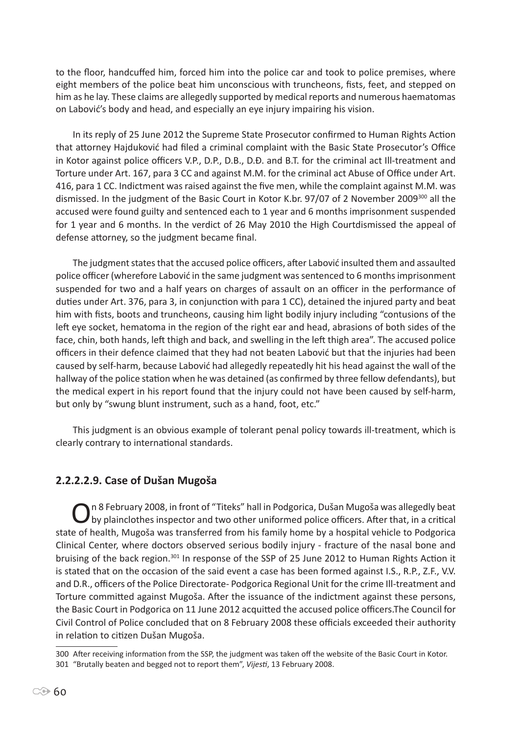to the floor, handcuffed him, forced him into the police car and took to police premises, where eight members of the police beat him unconscious with truncheons, fists, feet, and stepped on him as he lay. These claims are allegedly supported by medical reports and numerous haematomas on Labović's body and head, and especially an eye injury impairing his vision.

In its reply of 25 June 2012 the Supreme State Prosecutor confirmed to Human Rights Action that attorney Hajduković had filed a criminal complaint with the Basic State Prosecutor's Office in Kotor against police officers V.P., D.P., D.B., D.Đ. and B.T. for the criminal act Ill-treatment and Torture under Art. 167, para 3 CC and against M.M. for the criminal act Abuse of Office under Art. 416, para 1 CC. Indictment was raised against the five men, while the complaint against M.M. was dismissed. In the judgment of the Basic Court in Kotor K.br. 97/07 of 2 November 2009<sup>300</sup> all the accused were found guilty and sentenced each to 1 year and 6 months imprisonment suspended for 1 year and 6 months. In the verdict of 26 May 2010 the High Courtdismissed the appeal of defense attorney, so the judgment became final.

The judgment states that the accused police officers, after Labović insulted them and assaulted police officer (wherefore Labović in the same judgment was sentenced to 6 months imprisonment suspended for two and a half years on charges of assault on an officer in the performance of duties under Art. 376, para 3, in conjunction with para 1 CC), detained the injured party and beat him with fists, boots and truncheons, causing him light bodily injury including "contusions of the left eye socket, hematoma in the region of the right ear and head, abrasions of both sides of the face, chin, both hands, left thigh and back, and swelling in the left thigh area". The accused police officers in their defence claimed that they had not beaten Labović but that the injuries had been caused by self-harm, because Labović had allegedly repeatedly hit his head against the wall of the hallway of the police station when he was detained (as confirmed by three fellow defendants), but the medical expert in his report found that the injury could not have been caused by self-harm, but only by "swung blunt instrument, such as a hand, foot, etc."

This judgment is an obvious example of tolerant penal policy towards ill-treatment, which is clearly contrary to international standards.

# **2.2.2.2.9. Case of Dušan Mugoša**

On 8 February 2008, in front of "Titeks" hall in Podgorica, Dušan Mugoša was allegedly beat<br>by plainclothes inspector and two other uniformed police officers. After that, in a critical state of health, Mugoša was transferred from his family home by a hospital vehicle to Podgorica Clinical Center, where doctors observed serious bodily injury - fracture of the nasal bone and bruising of the back region.<sup>301</sup> In response of the SSP of 25 June 2012 to Human Rights Action it is stated that on the occasion of the said event a case has been formed against I.S., R.P., Z.F., V.V. and D.R., officers of the Police Directorate- Podgorica Regional Unit for the crime Ill-treatment and Torture committed against Mugoša. After the issuance of the indictment against these persons, the Basic Court in Podgorica on 11 June 2012 acquitted the accused police officers.The Council for Civil Control of Police concluded that on 8 February 2008 these officials exceeded their authority in relation to citizen Dušan Mugoša.

<sup>300</sup> After receiving information from the SSP, the judgment was taken off the website of the Basic Court in Kotor. 301 "Brutally beaten and begged not to report them", *Vijesti*, 13 February 2008.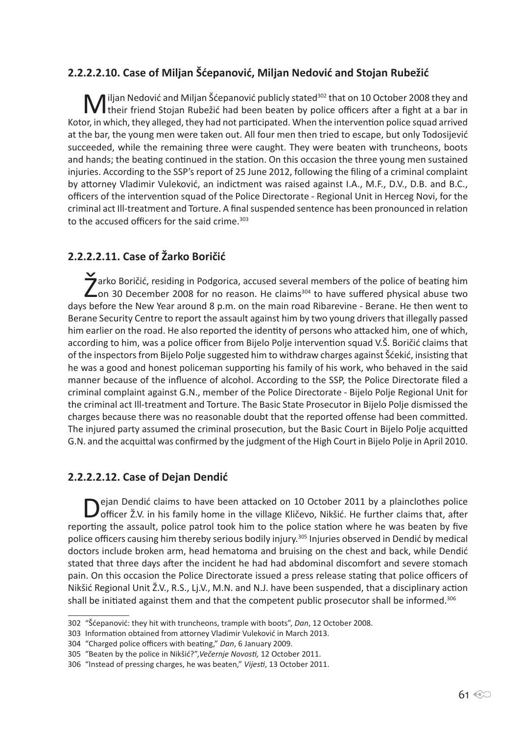# **2.2.2.2.10. Case of Miljan Šćepanović, Miljan Nedović and Stojan Rubežić**

M iljan Nedović and Miljan Šćepanović publicly stated<sup>302</sup> that on 10 October 2008 they and their friend Stojan Rubežić had been beaten by police officers after a fight at a bar in Kotor, in which, they alleged, they had not participated. When the intervention police squad arrived at the bar, the young men were taken out. All four men then tried to escape, but only Todosijević succeeded, while the remaining three were caught. They were beaten with truncheons, boots and hands; the beating continued in the station. On this occasion the three young men sustained injuries. According to the SSP's report of 25 June 2012, following the filing of a criminal complaint by attorney Vladimir Vuleković, an indictment was raised against I.A., M.F., D.V., D.B. and B.C., officers of the intervention squad of the Police Directorate - Regional Unit in Herceg Novi, for the criminal act Ill-treatment and Torture. A final suspended sentence has been pronounced in relation to the accused officers for the said crime.<sup>303</sup>

# **2.2.2.2.11. Case of Žarko Boričić**

**Z**arko Boričić, residing in Podgorica, accused several members of the police of beating him<br>
on 30 December 2008 for no reason. He claims<sup>304</sup> to have suffered physical abuse two days before the New Year around 8 p.m. on the main road Ribarevine - Berane. He then went to Berane Security Centre to report the assault against him by two young drivers that illegally passed him earlier on the road. He also reported the identity of persons who attacked him, one of which, according to him, was a police officer from Bijelo Polje intervention squad V.Š. Boričić claims that of the inspectors from Bijelo Polje suggested him to withdraw charges against Šćekić, insisting that he was a good and honest policeman supporting his family of his work, who behaved in the said manner because of the influence of alcohol. According to the SSP, the Police Directorate filed a criminal complaint against G.N., member of the Police Directorate - Bijelo Polje Regional Unit for the criminal act Ill-treatment and Torture. The Basic State Prosecutor in Bijelo Polje dismissed the charges because there was no reasonable doubt that the reported offense had been committed. The injured party assumed the criminal prosecution, but the Basic Court in Bijelo Polje acquitted G.N. and the acquittal was confirmed by the judgment of the High Court in Bijelo Polje in April 2010.

### **2.2.2.2.12. Case of Dejan Dendić**

Dejan Dendić claims to have been attacked on 10 October 2011 by a plainclothes police<br>officer Ž.V. in his family home in the village Kličevo, Nikšić. He further claims that, after reporting the assault, police patrol took him to the police station where he was beaten by five police officers causing him thereby serious bodily injury.<sup>305</sup> Injuries observed in Dendić by medical doctors include broken arm, head hematoma and bruising on the chest and back, while Dendić stated that three days after the incident he had had abdominal discomfort and severe stomach pain. On this occasion the Police Directorate issued a press release stating that police officers of Nikšić Regional Unit Ž.V., R.S., Lj.V., M.N. and N.J. have been suspended, that a disciplinary action shall be initiated against them and that the competent public prosecutor shall be informed.<sup>306</sup>

<sup>302 &</sup>quot;Šćepanović: they hit with truncheons, trample with boots", *Dan*, 12 October 2008.

<sup>303</sup> Information obtained from attorney Vladimir Vuleković in March 2013.

<sup>304 &</sup>quot;Charged police officers with beating," *Dan*, 6 January 2009.

<sup>305 &</sup>quot;Beaten by the police in Nikšić?",*Večernje Novosti,* 12 October 2011.

<sup>306 &</sup>quot;Instead of pressing charges, he was beaten," *Vijesti*, 13 October 2011.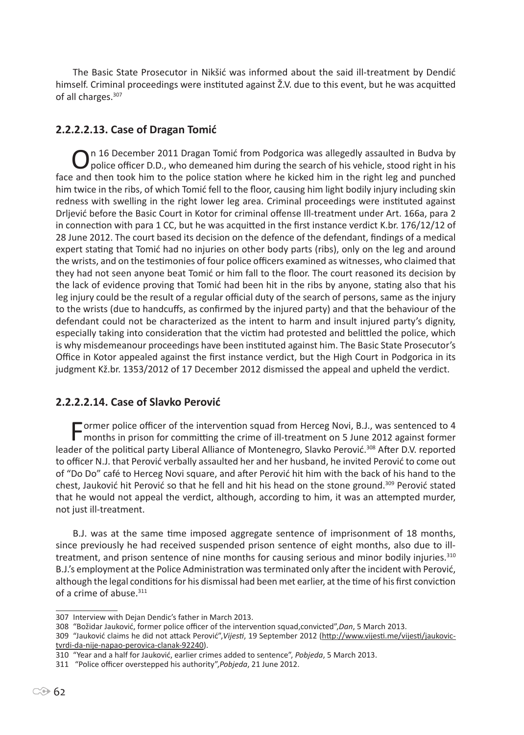The Basic State Prosecutor in Nikšić was informed about the said ill-treatment by Dendić himself. Criminal proceedings were instituted against Ž.V. due to this event, but he was acquitted of all charges.<sup>307</sup>

# **2.2.2.2.13. Case of Dragan Tomić**

On 16 December 2011 Dragan Tomić from Podgorica was allegedly assaulted in Budva by<br>police officer D.D., who demeaned him during the search of his vehicle, stood right in his face and then took him to the police station where he kicked him in the right leg and punched him twice in the ribs, of which Tomić fell to the floor, causing him light bodily injury including skin redness with swelling in the right lower leg area. Criminal proceedings were instituted against Drljević before the Basic Court in Kotor for criminal offense Ill-treatment under Art. 166a, para 2 in connection with para 1 CC, but he was acquitted in the first instance verdict K.br. 176/12/12 of 28 June 2012. The court based its decision on the defence of the defendant, findings of a medical expert stating that Tomić had no injuries on other body parts (ribs), only on the leg and around the wrists, and on the testimonies of four police officers examined as witnesses, who claimed that they had not seen anyone beat Tomić or him fall to the floor. The court reasoned its decision by the lack of evidence proving that Tomić had been hit in the ribs by anyone, stating also that his leg injury could be the result of a regular official duty of the search of persons, same as the injury to the wrists (due to handcuffs, as confirmed by the injured party) and that the behaviour of the defendant could not be characterized as the intent to harm and insult injured party's dignity, especially taking into consideration that the victim had protested and belittled the police, which is why misdemeanour proceedings have been instituted against him. The Basic State Prosecutor's Office in Kotor appealed against the first instance verdict, but the High Court in Podgorica in its judgment Kž.br. 1353/2012 of 17 December 2012 dismissed the appeal and upheld the verdict.

# **2.2.2.2.14. Case of Slavko Perović**

Former police officer of the intervention squad from Herceg Novi, B.J., was sentenced to 4<br>months in prison for committing the crime of ill-treatment on 5 June 2012 against former leader of the political party Liberal Alliance of Montenegro, Slavko Perović.<sup>308</sup> After D.V. reported to officer N.J. that Perović verbally assaulted her and her husband, he invited Perović to come out of "Do Do" café to Herceg Novi square, and after Perović hit him with the back of his hand to the chest, Jauković hit Perović so that he fell and hit his head on the stone ground.<sup>309</sup> Perović stated that he would not appeal the verdict, although, according to him, it was an attempted murder, not just ill-treatment.

B.J. was at the same time imposed aggregate sentence of imprisonment of 18 months, since previously he had received suspended prison sentence of eight months, also due to illtreatment, and prison sentence of nine months for causing serious and minor bodily injuries.<sup>310</sup> B.J.'s employment at the Police Administration was terminated only after the incident with Perović, although the legal conditions for his dismissal had been met earlier, at the time of his first conviction of a crime of abuse.<sup>311</sup>

<sup>307</sup> Interview with Dejan Dendic's father in March 2013.

<sup>308 &</sup>quot;Božidar Jauković, former police officer of the intervention squad,convicted",*Dan*, 5 March 2013.

<sup>309 &</sup>quot;Jauković claims he did not attack Perović",*Vijesti*, 19 September 2012 (http://www.vijesti.me/vijesti/jaukovictvrdi-da-nije-napao-perovica-clanak-92240).

<sup>310 &</sup>quot;Year and a half for Jauković, earlier crimes added to sentence", *Pobjeda*, 5 March 2013.

<sup>311 &</sup>quot;Police officer overstepped his authority",*Pobjeda*, 21 June 2012.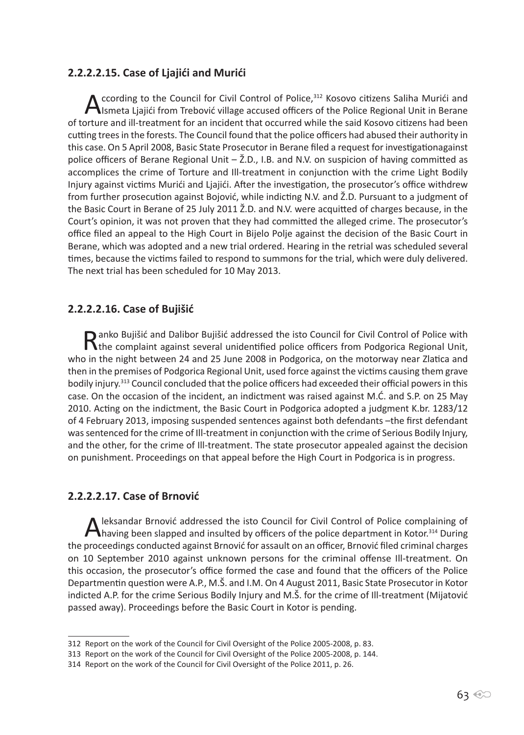### **2.2.2.2.15. Case of Ljajići and Murići**

According to the Council for Civil Control of Police,<sup>312</sup> Kosovo citizens Saliha Murići and Ismeta Ljajići from Trebović village accused officers of the Police Regional Unit in Berane of torture and ill-treatment for an incident that occurred while the said Kosovo citizens had been cutting trees in the forests. The Council found that the police officers had abused their authority in this case. On 5 April 2008, Basic State Prosecutor in Berane filed a request for investigationagainst police officers of Berane Regional Unit – Ž.D., I.B. and N.V. on suspicion of having committed as accomplices the crime of Torture and Ill-treatment in conjunction with the crime Light Bodily Injury against victims Murići and Ljajići. After the investigation, the prosecutor's office withdrew from further prosecution against Bojović, while indicting N.V. and Ž.D. Pursuant to a judgment of the Basic Court in Berane of 25 July 2011 Ž.D. and N.V. were acquitted of charges because, in the Court's opinion, it was not proven that they had committed the alleged crime. The prosecutor's office filed an appeal to the High Court in Bijelo Polje against the decision of the Basic Court in Berane, which was adopted and a new trial ordered. Hearing in the retrial was scheduled several times, because the victims failed to respond to summons for the trial, which were duly delivered. The next trial has been scheduled for 10 May 2013.

### **2.2.2.2.16. Case of Bujišić**

**Ranko Bujišić and Dalibor Bujišić addressed the isto Council for Civil Control of Police with <br>the complaint against several unidentified police officers from Podgorica Regional Unit,** who in the night between 24 and 25 June 2008 in Podgorica, on the motorway near Zlatica and then in the premises of Podgorica Regional Unit, used force against the victims causing them grave bodily injury.<sup>313</sup> Council concluded that the police officers had exceeded their official powers in this case. On the occasion of the incident, an indictment was raised against M.Ć. and S.P. on 25 May 2010. Acting on the indictment, the Basic Court in Podgorica adopted a judgment K.br. 1283/12 of 4 February 2013, imposing suspended sentences against both defendants –the first defendant was sentenced for the crime of Ill-treatment in conjunction with the crime of Serious Bodily Injury, and the other, for the crime of Ill-treatment. The state prosecutor appealed against the decision on punishment. Proceedings on that appeal before the High Court in Podgorica is in progress.

### **2.2.2.2.17. Case of Brnović**

Aleksandar Brnović addressed the isto Council for Civil Control of Police complaining of<br>having been slapped and insulted by officers of the police department in Kotor.<sup>314</sup> During the proceedings conducted against Brnović for assault on an officer, Brnović filed criminal charges on 10 September 2010 against unknown persons for the criminal offense Ill-treatment. On this occasion, the prosecutor's office formed the case and found that the officers of the Police Departmentin question were A.P., M.Š. and I.M. On 4 August 2011, Basic State Prosecutor in Kotor indicted A.P. for the crime Serious Bodily Injury and M.Š. for the crime of Ill-treatment (Mijatović passed away). Proceedings before the Basic Court in Kotor is pending.

<sup>312</sup> Report on the work of the Council for Civil Oversight of the Police 2005-2008, p. 83.

<sup>313</sup> Report on the work of the Council for Civil Oversight of the Police 2005-2008, p. 144.

<sup>314</sup> Report on the work of the Council for Civil Oversight of the Police 2011, p. 26.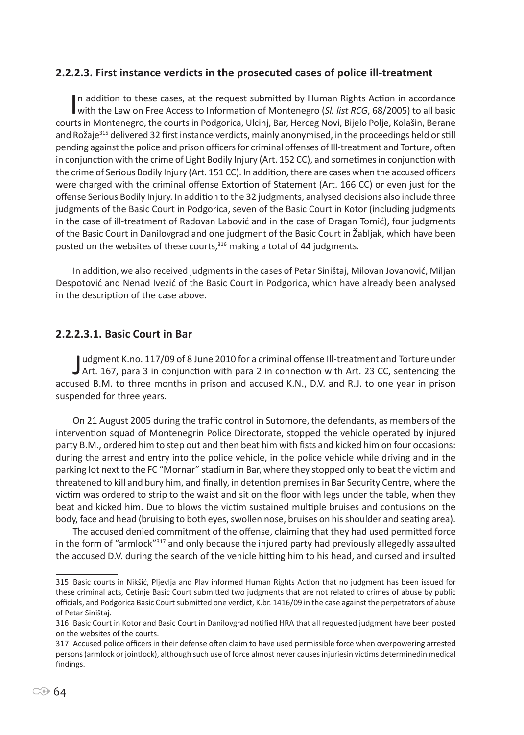#### **2.2.2.3. First instance verdicts in the prosecuted cases of police ill-treatment**

In addition to these cases, at the request submitted by Human Rights Action in accordance<br>with the Law on Free Access to Information of Montenegro (*Sl. list RCG*, 68/2005) to all basic In addition to these cases, at the request submitted by Human Rights Action in accordance courts in Montenegro, the courts in Podgorica, Ulcinj, Bar, Herceg Novi, Bijelo Polje, Kolašin, Berane and Rožaje<sup>315</sup> delivered 32 first instance verdicts, mainly anonymised, in the proceedings held or still pending against the police and prison officers for criminal offenses of Ill-treatment and Torture, often in conjunction with the crime of Light Bodily Injury (Art. 152 CC), and sometimes in conjunction with the crime of Serious Bodily Injury (Art. 151 CC). In addition, there are cases when the accused officers were charged with the criminal offense Extortion of Statement (Art. 166 CC) or even just for the offense Serious Bodily Injury. In addition to the 32 judgments, analysed decisions also include three judgments of the Basic Court in Podgorica, seven of the Basic Court in Kotor (including judgments in the case of ill-treatment of Radovan Labović and in the case of Dragan Tomić), four judgments of the Basic Court in Danilovgrad and one judgment of the Basic Court in Žabljak, which have been posted on the websites of these courts,<sup>316</sup> making a total of 44 judgments.

In addition, we also received judgments in the cases of Petar Siništaj, Milovan Jovanović, Miljan Despotović and Nenad Ivezić of the Basic Court in Podgorica, which have already been analysed in the description of the case above.

#### **2.2.2.3.1. Basic Court in Bar**

Judgment K.no. 117/09 of 8 June 2010 for a criminal offense III-treatment and Torture under<br>Art. 167, para 3 in conjunction with para 2 in connection with Art. 23 CC, sentencing the udgment K.no. 117/09 of 8 June 2010 for a criminal offense Ill-treatment and Torture under accused B.M. to three months in prison and accused K.N., D.V. and R.J. to one year in prison suspended for three years.

On 21 August 2005 during the traffic control in Sutomore, the defendants, as members of the intervention squad of Montenegrin Police Directorate, stopped the vehicle operated by injured party B.M., ordered him to step out and then beat him with fists and kicked him on four occasions: during the arrest and entry into the police vehicle, in the police vehicle while driving and in the parking lot next to the FC "Mornar" stadium in Bar, where they stopped only to beat the victim and threatened to kill and bury him, and finally, in detention premises in Bar Security Centre, where the victim was ordered to strip to the waist and sit on the floor with legs under the table, when they beat and kicked him. Due to blows the victim sustained multiple bruises and contusions on the body, face and head (bruising to both eyes, swollen nose, bruises on his shoulder and seating area).

The accused denied commitment of the offense, claiming that they had used permitted force in the form of "armlock"<sup>317</sup> and only because the injured party had previously allegedly assaulted the accused D.V. during the search of the vehicle hitting him to his head, and cursed and insulted

<sup>315</sup> Basic courts in Nikšić, Pljevlja and Plav informed Human Rights Action that no judgment has been issued for these criminal acts, Cetinje Basic Court submitted two judgments that are not related to crimes of abuse by public officials, and Podgorica Basic Court submitted one verdict, K.br. 1416/09 in the case against the perpetrators of abuse of Petar Siništaj.

<sup>316</sup> Basic Court in Kotor and Basic Court in Danilovgrad notified HRA that all requested judgment have been posted on the websites of the courts.

<sup>317</sup> Accused police officers in their defense often claim to have used permissible force when overpowering arrested persons (armlock or jointlock), although such use of force almost never causes injuriesin victims determinedin medical findings.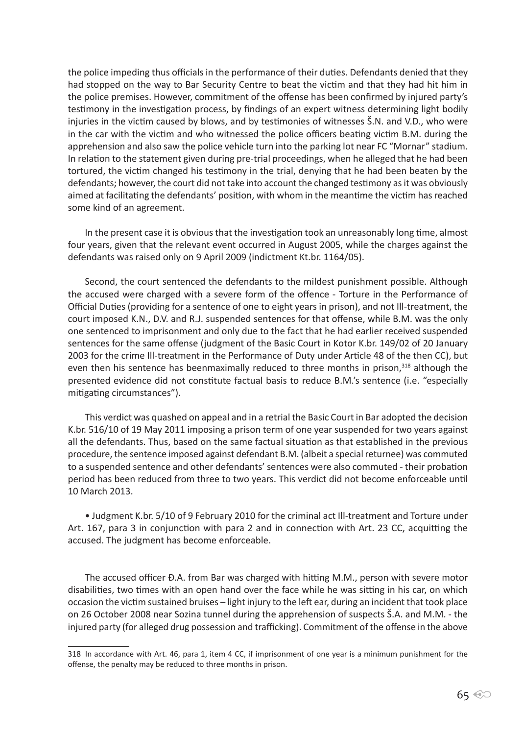the police impeding thus officials in the performance of their duties. Defendants denied that they had stopped on the way to Bar Security Centre to beat the victim and that they had hit him in the police premises. However, commitment of the offense has been confirmed by injured party's testimony in the investigation process, by findings of an expert witness determining light bodily injuries in the victim caused by blows, and by testimonies of witnesses Š.N. and V.D., who were in the car with the victim and who witnessed the police officers beating victim B.M. during the apprehension and also saw the police vehicle turn into the parking lot near FC "Mornar" stadium. In relation to the statement given during pre-trial proceedings, when he alleged that he had been tortured, the victim changed his testimony in the trial, denying that he had been beaten by the defendants; however, the court did not take into account the changed testimony as it was obviously aimed at facilitating the defendants' position, with whom in the meantime the victim has reached some kind of an agreement.

In the present case it is obvious that the investigation took an unreasonably long time, almost four years, given that the relevant event occurred in August 2005, while the charges against the defendants was raised only on 9 April 2009 (indictment Kt.br. 1164/05).

Second, the court sentenced the defendants to the mildest punishment possible. Although the accused were charged with a severe form of the offence - Torture in the Performance of Official Duties (providing for a sentence of one to eight years in prison), and not Ill-treatment, the court imposed K.N., D.V. and R.J. suspended sentences for that offense, while B.M. was the only one sentenced to imprisonment and only due to the fact that he had earlier received suspended sentences for the same offense (judgment of the Basic Court in Kotor K.br. 149/02 of 20 January 2003 for the crime Ill-treatment in the Performance of Duty under Article 48 of the then CC), but even then his sentence has beenmaximally reduced to three months in prison,<sup>318</sup> although the presented evidence did not constitute factual basis to reduce B.M.'s sentence (i.e. "especially mitigating circumstances").

This verdict was quashed on appeal and in a retrial the Basic Court in Bar adopted the decision K.br. 516/10 of 19 May 2011 imposing a prison term of one year suspended for two years against all the defendants. Thus, based on the same factual situation as that established in the previous procedure, the sentence imposed against defendant B.M. (albeit a special returnee) was commuted to a suspended sentence and other defendants' sentences were also commuted - their probation period has been reduced from three to two years. This verdict did not become enforceable until 10 March 2013.

• Judgment K.br. 5/10 of 9 February 2010 for the criminal act Ill-treatment and Torture under Art. 167, para 3 in conjunction with para 2 and in connection with Art. 23 CC, acquitting the accused. The judgment has become enforceable.

The accused officer Đ.A. from Bar was charged with hitting M.M., person with severe motor disabilities, two times with an open hand over the face while he was sitting in his car, on which occasion the victim sustained bruises – light injury to the left ear, during an incident that took place on 26 October 2008 near Sozina tunnel during the apprehension of suspects Š.A. and M.M. - the injured party (for alleged drug possession and trafficking). Commitment of the offense in the above

<sup>318</sup> In accordance with Art. 46, para 1, item 4 CC, if imprisonment of one year is a minimum punishment for the offense, the penalty may be reduced to three months in prison.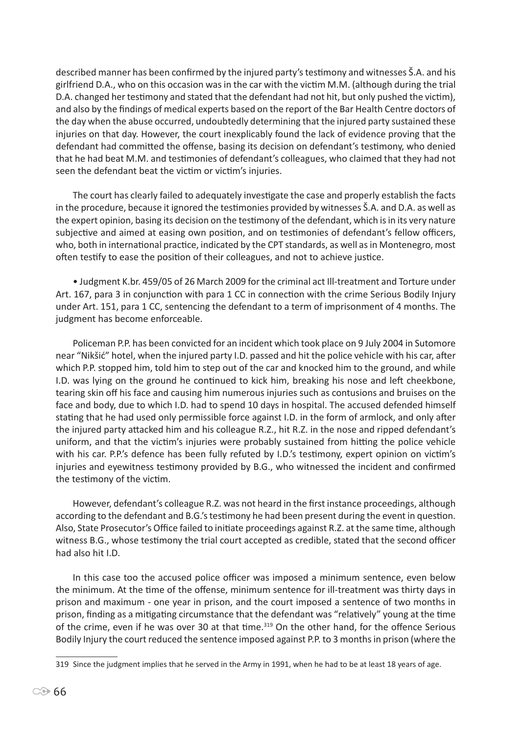described manner has been confirmed by the injured party's testimony and witnesses Š.A. and his girlfriend D.A., who on this occasion was in the car with the victim M.M. (although during the trial D.A. changed her testimony and stated that the defendant had not hit, but only pushed the victim), and also by the findings of medical experts based on the report of the Bar Health Centre doctors of the day when the abuse occurred, undoubtedly determining that the injured party sustained these injuries on that day. However, the court inexplicably found the lack of evidence proving that the defendant had committed the offense, basing its decision on defendant's testimony, who denied that he had beat M.M. and testimonies of defendant's colleagues, who claimed that they had not seen the defendant beat the victim or victim's injuries.

The court has clearly failed to adequately investigate the case and properly establish the facts in the procedure, because it ignored the testimonies provided by witnesses Š.A. and D.A. as well as the expert opinion, basing its decision on the testimony of the defendant, which is in its very nature subjective and aimed at easing own position, and on testimonies of defendant's fellow officers, who, both in international practice, indicated by the CPT standards, as well as in Montenegro, most often testify to ease the position of their colleagues, and not to achieve justice.

• Judgment K.br. 459/05 of 26 March 2009 for the criminal act Ill-treatment and Torture under Art. 167, para 3 in conjunction with para 1 CC in connection with the crime Serious Bodily Injury under Art. 151, para 1 CC, sentencing the defendant to a term of imprisonment of 4 months. The judgment has become enforceable.

Policeman P.P. has been convicted for an incident which took place on 9 July 2004 in Sutomore near "Nikšić" hotel, when the injured party I.D. passed and hit the police vehicle with his car, after which P.P. stopped him, told him to step out of the car and knocked him to the ground, and while I.D. was lying on the ground he continued to kick him, breaking his nose and left cheekbone, tearing skin off his face and causing him numerous injuries such as contusions and bruises on the face and body, due to which I.D. had to spend 10 days in hospital. The accused defended himself stating that he had used only permissible force against I.D. in the form of armlock, and only after the injured party attacked him and his colleague R.Z., hit R.Z. in the nose and ripped defendant's uniform, and that the victim's injuries were probably sustained from hitting the police vehicle with his car. P.P.'s defence has been fully refuted by I.D.'s testimony, expert opinion on victim's injuries and eyewitness testimony provided by B.G., who witnessed the incident and confirmed the testimony of the victim.

However, defendant's colleague R.Z. was not heard in the first instance proceedings, although according to the defendant and B.G.'s testimony he had been present during the event in question. Also, State Prosecutor's Office failed to initiate proceedings against R.Z. at the same time, although witness B.G., whose testimony the trial court accepted as credible, stated that the second officer had also hit I.D.

In this case too the accused police officer was imposed a minimum sentence, even below the minimum. At the time of the offense, minimum sentence for ill-treatment was thirty days in prison and maximum - one year in prison, and the court imposed a sentence of two months in prison, finding as a mitigating circumstance that the defendant was "relatively" young at the time of the crime, even if he was over 30 at that time.<sup>319</sup> On the other hand, for the offence Serious Bodily Injury the court reduced the sentence imposed against P.P. to 3 months in prison (where the

<sup>319</sup> Since the judgment implies that he served in the Army in 1991, when he had to be at least 18 years of age.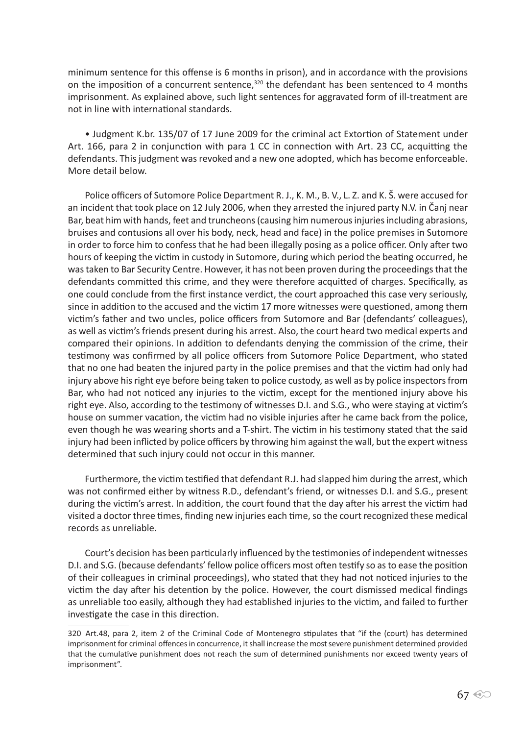minimum sentence for this offense is 6 months in prison), and in accordance with the provisions on the imposition of a concurrent sentence,<sup>320</sup> the defendant has been sentenced to 4 months imprisonment. As explained above, such light sentences for aggravated form of ill-treatment are not in line with international standards.

• Judgment K.br. 135/07 of 17 June 2009 for the criminal act Extortion of Statement under Art. 166, para 2 in conjunction with para 1 CC in connection with Art. 23 CC, acquitting the defendants. This judgment was revoked and a new one adopted, which has become enforceable. More detail below.

Police officers of Sutomore Police Department R. J., K. M., B. V., L. Z. and K. Š. were accused for an incident that took place on 12 July 2006, when they arrested the injured party N.V. in Čanj near Bar, beat him with hands, feet and truncheons (causing him numerous injuries including abrasions, bruises and contusions all over his body, neck, head and face) in the police premises in Sutomore in order to force him to confess that he had been illegally posing as a police officer. Only after two hours of keeping the victim in custody in Sutomore, during which period the beating occurred, he was taken to Bar Security Centre. However, it has not been proven during the proceedings that the defendants committed this crime, and they were therefore acquitted of charges. Specifically, as one could conclude from the first instance verdict, the court approached this case very seriously, since in addition to the accused and the victim 17 more witnesses were questioned, among them victim's father and two uncles, police officers from Sutomore and Bar (defendants' colleagues), as well as victim's friends present during his arrest. Also, the court heard two medical experts and compared their opinions. In addition to defendants denying the commission of the crime, their testimony was confirmed by all police officers from Sutomore Police Department, who stated that no one had beaten the injured party in the police premises and that the victim had only had injury above his right eye before being taken to police custody, as well as by police inspectors from Bar, who had not noticed any injuries to the victim, except for the mentioned injury above his right eye. Also, according to the testimony of witnesses D.I. and S.G., who were staying at victim's house on summer vacation, the victim had no visible injuries after he came back from the police, even though he was wearing shorts and a T-shirt. The victim in his testimony stated that the said injury had been inflicted by police officers by throwing him against the wall, but the expert witness determined that such injury could not occur in this manner.

Furthermore, the victim testified that defendant R.J. had slapped him during the arrest, which was not confirmed either by witness R.D., defendant's friend, or witnesses D.I. and S.G., present during the victim's arrest. In addition, the court found that the day after his arrest the victim had visited a doctor three times, finding new injuries each time, so the court recognized these medical records as unreliable.

Court's decision has been particularly influenced by the testimonies of independent witnesses D.I. and S.G. (because defendants' fellow police officers most often testify so as to ease the position of their colleagues in criminal proceedings), who stated that they had not noticed injuries to the victim the day after his detention by the police. However, the court dismissed medical findings as unreliable too easily, although they had established injuries to the victim, and failed to further investigate the case in this direction.

<sup>320</sup> Art.48, para 2, item 2 of the Criminal Code of Montenegro stipulates that "if the (court) has determined imprisonment for criminal offences in concurrence, it shall increase the most severe punishment determined provided that the cumulative punishment does not reach the sum of determined punishments nor exceed twenty years of imprisonment".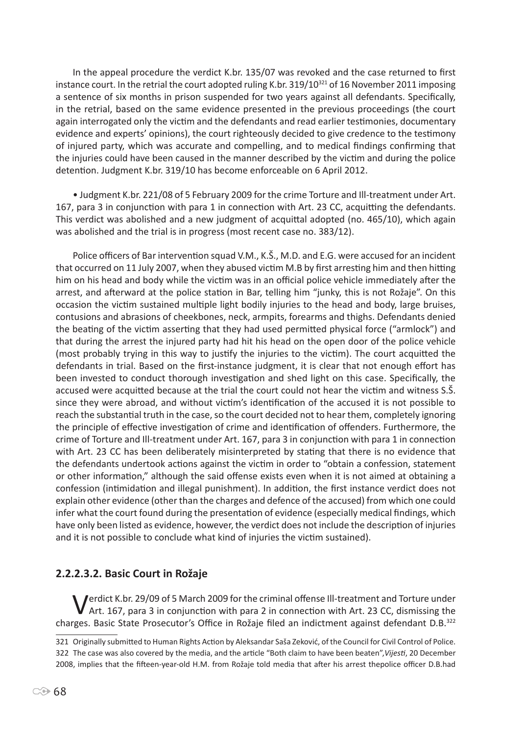In the appeal procedure the verdict K.br. 135/07 was revoked and the case returned to first instance court. In the retrial the court adopted ruling K.br. 319/10<sup>321</sup> of 16 November 2011 imposing a sentence of six months in prison suspended for two years against all defendants. Specifically, in the retrial, based on the same evidence presented in the previous proceedings (the court again interrogated only the victim and the defendants and read earlier testimonies, documentary evidence and experts' opinions), the court righteously decided to give credence to the testimony of injured party, which was accurate and compelling, and to medical findings confirming that the injuries could have been caused in the manner described by the victim and during the police detention. Judgment K.br. 319/10 has become enforceable on 6 April 2012.

• Judgment K.br. 221/08 of 5 February 2009 for the crime Torture and Ill-treatment under Art. 167, para 3 in conjunction with para 1 in connection with Art. 23 CC, acquitting the defendants. This verdict was abolished and a new judgment of acquittal adopted (no. 465/10), which again was abolished and the trial is in progress (most recent case no. 383/12).

Police officers of Bar intervention squad V.M., K.Š., M.D. and E.G. were accused for an incident that occurred on 11 July 2007, when they abused victim M.B by first arresting him and then hitting him on his head and body while the victim was in an official police vehicle immediately after the arrest, and afterward at the police station in Bar, telling him "junky, this is not Rožaje". On this occasion the victim sustained multiple light bodily injuries to the head and body, large bruises, contusions and abrasions of cheekbones, neck, armpits, forearms and thighs. Defendants denied the beating of the victim asserting that they had used permitted physical force ("armlock") and that during the arrest the injured party had hit his head on the open door of the police vehicle (most probably trying in this way to justify the injuries to the victim). The court acquitted the defendants in trial. Based on the first-instance judgment, it is clear that not enough effort has been invested to conduct thorough investigation and shed light on this case. Specifically, the accused were acquitted because at the trial the court could not hear the victim and witness S.Š. since they were abroad, and without victim's identification of the accused it is not possible to reach the substantial truth in the case, so the court decided not to hear them, completely ignoring the principle of effective investigation of crime and identification of offenders. Furthermore, the crime of Torture and Ill-treatment under Art. 167, para 3 in conjunction with para 1 in connection with Art. 23 CC has been deliberately misinterpreted by stating that there is no evidence that the defendants undertook actions against the victim in order to "obtain a confession, statement or other information," although the said offense exists even when it is not aimed at obtaining a confession (intimidation and illegal punishment). In addition, the first instance verdict does not explain other evidence (other than the charges and defence of the accused) from which one could infer what the court found during the presentation of evidence (especially medical findings, which have only been listed as evidence, however, the verdict does not include the description of injuries and it is not possible to conclude what kind of injuries the victim sustained).

# **2.2.2.3.2. Basic Court in Rožaje**

Verdict K.br. 29/09 of 5 March 2009 for the criminal offense Ill-treatment and Torture under<br>Art. 167, para 3 in conjunction with para 2 in connection with Art. 23 CC, dismissing the charges. Basic State Prosecutor's Office in Rožaje filed an indictment against defendant D.B.<sup>322</sup>

<sup>321</sup> Originally submitted to Human Rights Action by Aleksandar Saša Zeković, of the Council for Civil Control of Police. 322 The case was also covered by the media, and the article "Both claim to have been beaten",*Vijesti*, 20 December 2008, implies that the fifteen-year-old H.M. from Rožaje told media that after his arrest thepolice officer D.B.had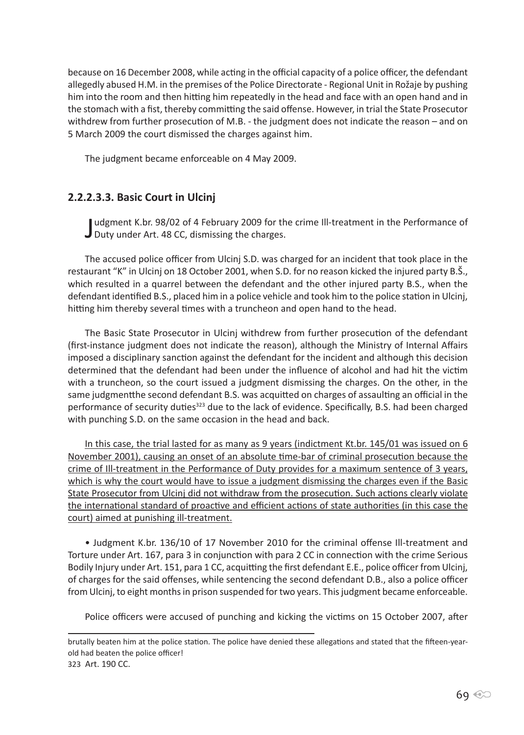because on 16 December 2008, while acting in the official capacity of a police officer, the defendant allegedly abused H.M. in the premises of the Police Directorate - Regional Unit in Rožaje by pushing him into the room and then hitting him repeatedly in the head and face with an open hand and in the stomach with a fist, thereby committing the said offense. However, in trial the State Prosecutor withdrew from further prosecution of M.B. - the judgment does not indicate the reason – and on 5 March 2009 the court dismissed the charges against him.

The judgment became enforceable on 4 May 2009.

# **2.2.2.3.3. Basic Court in Ulcinj**

Judgment K.br. 98/02 of 4 February 2009 for th<br>Duty under Art. 48 CC, dismissing the charges. udgment K.br. 98/02 of 4 February 2009 for the crime Ill-treatment in the Performance of

The accused police officer from Ulcinj S.D. was charged for an incident that took place in the restaurant "K" in Ulcinj on 18 October 2001, when S.D. for no reason kicked the injured party B.Š., which resulted in a quarrel between the defendant and the other injured party B.S., when the defendant identified B.S., placed him in a police vehicle and took him to the police station in Ulcinj, hitting him thereby several times with a truncheon and open hand to the head.

The Basic State Prosecutor in Ulcinj withdrew from further prosecution of the defendant (first-instance judgment does not indicate the reason), although the Ministry of Internal Affairs imposed a disciplinary sanction against the defendant for the incident and although this decision determined that the defendant had been under the influence of alcohol and had hit the victim with a truncheon, so the court issued a judgment dismissing the charges. On the other, in the same judgmentthe second defendant B.S. was acquitted on charges of assaulting an official in the performance of security duties<sup>323</sup> due to the lack of evidence. Specifically, B.S. had been charged with punching S.D. on the same occasion in the head and back.

In this case, the trial lasted for as many as 9 years (indictment Kt.br. 145/01 was issued on 6 November 2001), causing an onset of an absolute time-bar of criminal prosecution because the crime of Ill-treatment in the Performance of Duty provides for a maximum sentence of 3 years, which is why the court would have to issue a judgment dismissing the charges even if the Basic State Prosecutor from Ulcinj did not withdraw from the prosecution. Such actions clearly violate the international standard of proactive and efficient actions of state authorities (in this case the court) aimed at punishing ill-treatment.

• Judgment K.br. 136/10 of 17 November 2010 for the criminal offense Ill-treatment and Torture under Art. 167, para 3 in conjunction with para 2 CC in connection with the crime Serious Bodily Injury under Art. 151, para 1 CC, acquitting the first defendant E.E., police officer from Ulcinj, of charges for the said offenses, while sentencing the second defendant D.B., also a police officer from Ulcinj, to eight months in prison suspended for two years. This judgment became enforceable.

Police officers were accused of punching and kicking the victims on 15 October 2007, after

brutally beaten him at the police station. The police have denied these allegations and stated that the fifteen-yearold had beaten the police officer! 323 Art. 190 CC.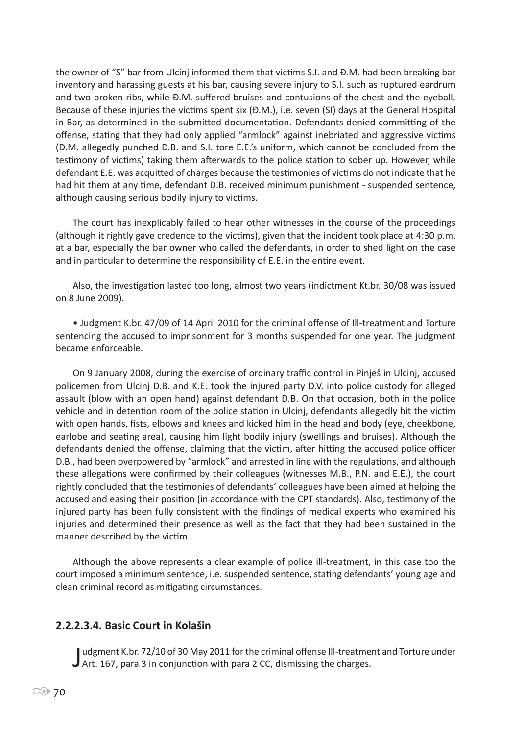the owner of "S" bar from Ulcinj informed them that victims S.I. and Đ.M. had been breaking bar inventory and harassing guests at his bar, causing severe injury to S.I. such as ruptured eardrum and two broken ribs, while Đ.M. suffered bruises and contusions of the chest and the eyeball. Because of these injuries the victims spent six (Đ.M.), i.e. seven (SI) days at the General Hospital in Bar, as determined in the submitted documentation. Defendants denied committing of the offense, stating that they had only applied "armlock" against inebriated and aggressive victims (Đ.M. allegedly punched D.B. and S.I. tore E.E.'s uniform, which cannot be concluded from the testimony of victims) taking them afterwards to the police station to sober up. However, while defendant E.E. was acquitted of charges because the testimonies of victims do not indicate that he had hit them at any time, defendant D.B. received minimum punishment - suspended sentence, although causing serious bodily injury to victims.

The court has inexplicably failed to hear other witnesses in the course of the proceedings (although it rightly gave credence to the victims), given that the incident took place at 4:30 p.m. at a bar, especially the bar owner who called the defendants, in order to shed light on the case and in particular to determine the responsibility of E.E. in the entire event.

Also, the investigation lasted too long, almost two years (indictment Kt.br. 30/08 was issued on 8 June 2009).

• Judgment K.br. 47/09 of 14 April 2010 for the criminal offense of Ill-treatment and Torture sentencing the accused to imprisonment for 3 months suspended for one year. The judgment became enforceable.

On 9 January 2008, during the exercise of ordinary traffic control in Pinješ in Ulcinj, accused policemen from Ulcinj D.B. and K.E. took the injured party D.V. into police custody for alleged assault (blow with an open hand) against defendant D.B. On that occasion, both in the police vehicle and in detention room of the police station in Ulcinj, defendants allegedly hit the victim with open hands, fists, elbows and knees and kicked him in the head and body (eye, cheekbone, earlobe and seating area), causing him light bodily injury (swellings and bruises). Although the defendants denied the offense, claiming that the victim, after hitting the accused police officer D.B., had been overpowered by "armlock" and arrested in line with the regulations, and although these allegations were confirmed by their colleagues (witnesses M.B., P.N. and E.E.), the court rightly concluded that the testimonies of defendants' colleagues have been aimed at helping the accused and easing their position (in accordance with the CPT standards). Also, testimony of the injured party has been fully consistent with the findings of medical experts who examined his injuries and determined their presence as well as the fact that they had been sustained in the manner described by the victim.

Although the above represents a clear example of police ill-treatment, in this case too the court imposed a minimum sentence, i.e. suspended sentence, stating defendants' young age and clean criminal record as mitigating circumstances.

#### **2.2.2.3.4. Basic Court in Kolašin**

Judgment K.br. 72/10 of 30 May 2011 for the criminal offense Ill-treatme<br>J Art. 167, para 3 in conjunction with para 2 CC, dismissing the charges. udgment K.br. 72/10 of 30 May 2011 for the criminal offense Ill-treatment and Torture under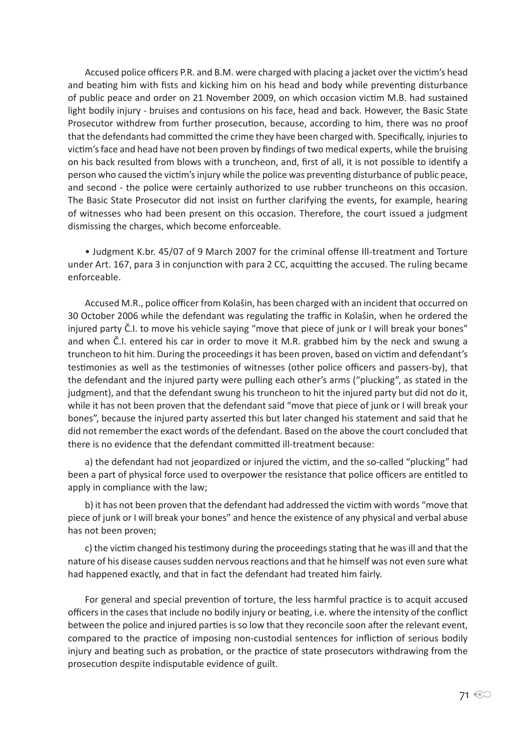Accused police officers P.R. and B.M. were charged with placing a jacket over the victim's head and beating him with fists and kicking him on his head and body while preventing disturbance of public peace and order on 21 November 2009, on which occasion victim M.B. had sustained light bodily injury - bruises and contusions on his face, head and back. However, the Basic State Prosecutor withdrew from further prosecution, because, according to him, there was no proof that the defendants had committed the crime they have been charged with. Specifically, injuries to victim's face and head have not been proven by findings of two medical experts, while the bruising on his back resulted from blows with a truncheon, and, first of all, it is not possible to identify a person who caused the victim's injury while the police was preventing disturbance of public peace, and second - the police were certainly authorized to use rubber truncheons on this occasion. The Basic State Prosecutor did not insist on further clarifying the events, for example, hearing of witnesses who had been present on this occasion. Therefore, the court issued a judgment dismissing the charges, which become enforceable.

• Judgment K.br. 45/07 of 9 March 2007 for the criminal offense Ill-treatment and Torture under Art. 167, para 3 in conjunction with para 2 CC, acquitting the accused. The ruling became enforceable.

Accused M.R., police officer from Kolašin, has been charged with an incident that occurred on 30 October 2006 while the defendant was regulating the traffic in Kolašin, when he ordered the injured party Č.I. to move his vehicle saying "move that piece of junk or I will break your bones" and when Č.I. entered his car in order to move it M.R. grabbed him by the neck and swung a truncheon to hit him. During the proceedings it has been proven, based on victim and defendant's testimonies as well as the testimonies of witnesses (other police officers and passers-by), that the defendant and the injured party were pulling each other's arms ("plucking", as stated in the judgment), and that the defendant swung his truncheon to hit the injured party but did not do it, while it has not been proven that the defendant said "move that piece of junk or I will break your bones", because the injured party asserted this but later changed his statement and said that he did not remember the exact words of the defendant. Based on the above the court concluded that there is no evidence that the defendant committed ill-treatment because:

a) the defendant had not jeopardized or injured the victim, and the so-called "plucking" had been a part of physical force used to overpower the resistance that police officers are entitled to apply in compliance with the law;

b) it has not been proven that the defendant had addressed the victim with words "move that piece of junk or I will break your bones" and hence the existence of any physical and verbal abuse has not been proven;

c) the victim changed his testimony during the proceedings stating that he was ill and that the nature of his disease causes sudden nervous reactions and that he himself was not even sure what had happened exactly, and that in fact the defendant had treated him fairly.

For general and special prevention of torture, the less harmful practice is to acquit accused officers in the cases that include no bodily injury or beating, i.e. where the intensity of the conflict between the police and injured parties is so low that they reconcile soon after the relevant event, compared to the practice of imposing non-custodial sentences for infliction of serious bodily injury and beating such as probation, or the practice of state prosecutors withdrawing from the prosecution despite indisputable evidence of guilt.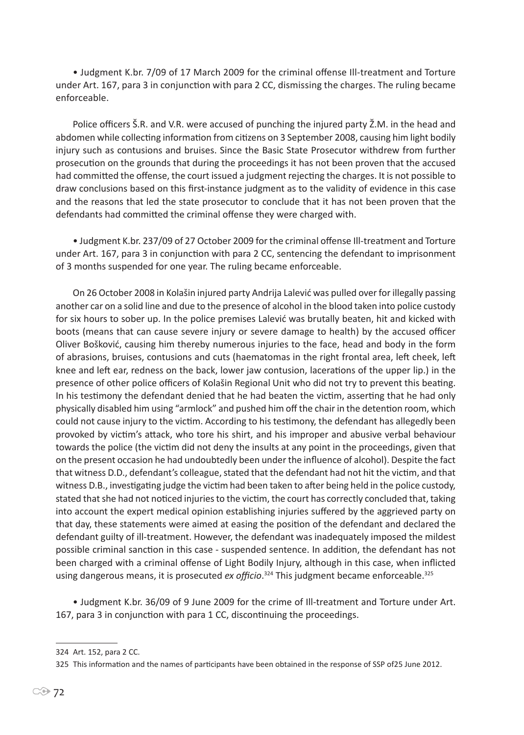• Judgment K.br. 7/09 of 17 March 2009 for the criminal offense Ill-treatment and Torture under Art. 167, para 3 in conjunction with para 2 CC, dismissing the charges. The ruling became enforceable.

Police officers Š.R. and V.R. were accused of punching the injured party Ž.M. in the head and abdomen while collecting information from citizens on 3 September 2008, causing him light bodily injury such as contusions and bruises. Since the Basic State Prosecutor withdrew from further prosecution on the grounds that during the proceedings it has not been proven that the accused had committed the offense, the court issued a judgment rejecting the charges. It is not possible to draw conclusions based on this first-instance judgment as to the validity of evidence in this case and the reasons that led the state prosecutor to conclude that it has not been proven that the defendants had committed the criminal offense they were charged with.

• Judgment K.br. 237/09 of 27 October 2009 for the criminal offense Ill-treatment and Torture under Art. 167, para 3 in conjunction with para 2 CC, sentencing the defendant to imprisonment of 3 months suspended for one year. The ruling became enforceable.

On 26 October 2008 in Kolašin injured party Andrija Lalević was pulled over for illegally passing another car on a solid line and due to the presence of alcohol in the blood taken into police custody for six hours to sober up. In the police premises Lalević was brutally beaten, hit and kicked with boots (means that can cause severe injury or severe damage to health) by the accused officer Oliver Bošković, causing him thereby numerous injuries to the face, head and body in the form of abrasions, bruises, contusions and cuts (haematomas in the right frontal area, left cheek, left knee and left ear, redness on the back, lower jaw contusion, lacerations of the upper lip.) in the presence of other police officers of Kolašin Regional Unit who did not try to prevent this beating. In his testimony the defendant denied that he had beaten the victim, asserting that he had only physically disabled him using "armlock" and pushed him off the chair in the detention room, which could not cause injury to the victim. According to his testimony, the defendant has allegedly been provoked by victim's attack, who tore his shirt, and his improper and abusive verbal behaviour towards the police (the victim did not deny the insults at any point in the proceedings, given that on the present occasion he had undoubtedly been under the influence of alcohol). Despite the fact that witness D.D., defendant's colleague, stated that the defendant had not hit the victim, and that witness D.B., investigating judge the victim had been taken to after being held in the police custody, stated that she had not noticed injuries to the victim, the court has correctly concluded that, taking into account the expert medical opinion establishing injuries suffered by the aggrieved party on that day, these statements were aimed at easing the position of the defendant and declared the defendant guilty of ill-treatment. However, the defendant was inadequately imposed the mildest possible criminal sanction in this case - suspended sentence. In addition, the defendant has not been charged with a criminal offense of Light Bodily Injury, although in this case, when inflicted using dangerous means, it is prosecuted *ex officio*.<sup>324</sup> This judgment became enforceable.<sup>325</sup>

• Judgment K.br. 36/09 of 9 June 2009 for the crime of Ill-treatment and Torture under Art. 167, para 3 in conjunction with para 1 CC, discontinuing the proceedings.

<sup>324</sup> Art. 152, para 2 CC.

<sup>325</sup> This information and the names of participants have been obtained in the response of SSP of25 June 2012.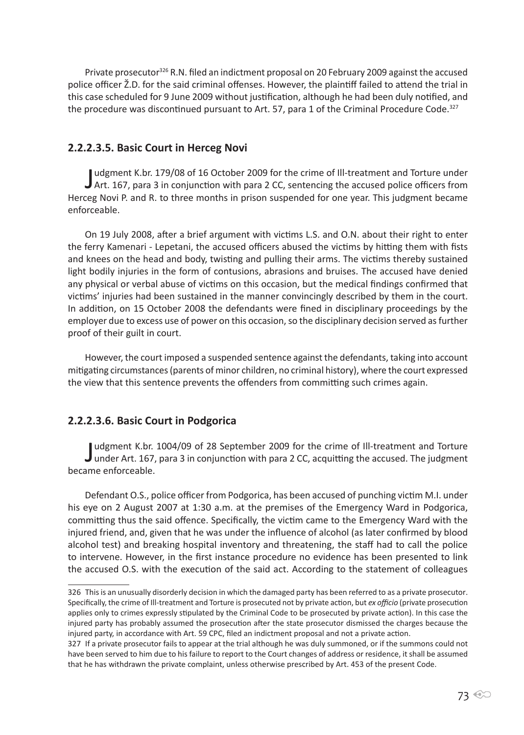Private prosecutor<sup>326</sup> R.N. filed an indictment proposal on 20 February 2009 against the accused police officer Ž.D. for the said criminal offenses. However, the plaintiff failed to attend the trial in this case scheduled for 9 June 2009 without justification, although he had been duly notified, and the procedure was discontinued pursuant to Art. 57, para 1 of the Criminal Procedure Code.<sup>327</sup>

#### **2.2.2.3.5. Basic Court in Herceg Novi**

Judgment K.br. 179/08 of 16 October 2009 for the crime of Ill-treatment and Torture under<br>Art. 167, para 3 in conjunction with para 2 CC, sentencing the accused police officers from udgment K.br. 179/08 of 16 October 2009 for the crime of Ill-treatment and Torture under Herceg Novi P. and R. to three months in prison suspended for one year. This judgment became enforceable.

On 19 July 2008, after a brief argument with victims L.S. and O.N. about their right to enter the ferry Kamenari - Lepetani, the accused officers abused the victims by hitting them with fists and knees on the head and body, twisting and pulling their arms. The victims thereby sustained light bodily injuries in the form of contusions, abrasions and bruises. The accused have denied any physical or verbal abuse of victims on this occasion, but the medical findings confirmed that victims' injuries had been sustained in the manner convincingly described by them in the court. In addition, on 15 October 2008 the defendants were fined in disciplinary proceedings by the employer due to excess use of power on this occasion, so the disciplinary decision served as further proof of their guilt in court.

However, the court imposed a suspended sentence against the defendants, taking into account mitigating circumstances (parents of minor children, no criminal history), where the court expressed the view that this sentence prevents the offenders from committing such crimes again.

### **2.2.2.3.6. Basic Court in Podgorica**

Judgment K.br. 1004/09 of 28 September 2009 for the crime of Ill-treatment and Torture<br>under Art. 167, para 3 in conjunction with para 2 CC, acquitting the accused. The judgment under Art. 167, para 3 in conjunction with para 2 CC, acquitting the accused. The judgment became enforceable.

Defendant O.S., police officer from Podgorica, has been accused of punching victim M.I. under his eye on 2 August 2007 at 1:30 a.m. at the premises of the Emergency Ward in Podgorica, committing thus the said offence. Specifically, the victim came to the Emergency Ward with the injured friend, and, given that he was under the influence of alcohol (as later confirmed by blood alcohol test) and breaking hospital inventory and threatening, the staff had to call the police to intervene. However, in the first instance procedure no evidence has been presented to link the accused O.S. with the execution of the said act. According to the statement of colleagues

<sup>326</sup> This is an unusually disorderly decision in which the damaged party has been referred to as a private prosecutor. Specifically, the crime of Ill-treatment and Torture is prosecuted not by private action, but *ex officio* (private prosecution applies only to crimes expressly stipulated by the Criminal Code to be prosecuted by private action). In this case the injured party has probably assumed the prosecution after the state prosecutor dismissed the charges because the injured party, in accordance with Art. 59 CPC, filed an indictment proposal and not a private action.

<sup>327</sup> If a private prosecutor fails to appear at the trial although he was duly summoned, or if the summons could not have been served to him due to his failure to report to the Court changes of address or residence, it shall be assumed that he has withdrawn the private complaint, unless otherwise prescribed by Art. 453 of the present Code.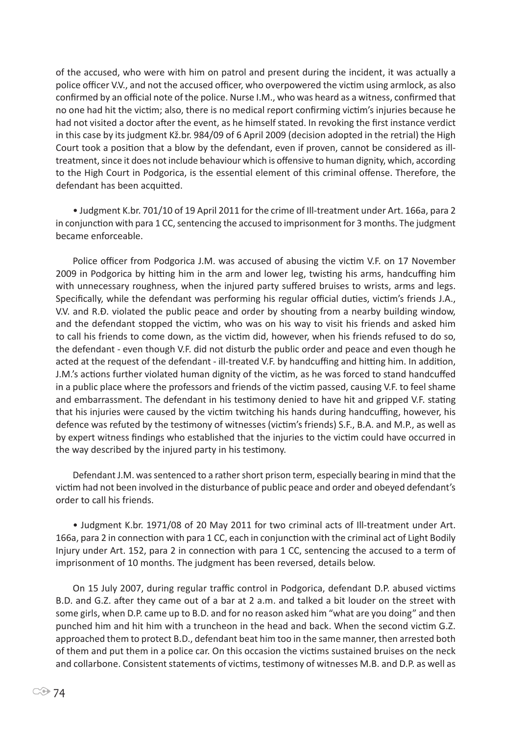of the accused, who were with him on patrol and present during the incident, it was actually a police officer V.V., and not the accused officer, who overpowered the victim using armlock, as also confirmed by an official note of the police. Nurse I.M., who was heard as a witness, confirmed that no one had hit the victim; also, there is no medical report confirming victim's injuries because he had not visited a doctor after the event, as he himself stated. In revoking the first instance verdict in this case by its judgment Kž.br. 984/09 of 6 April 2009 (decision adopted in the retrial) the High Court took a position that a blow by the defendant, even if proven, cannot be considered as illtreatment, since it does not include behaviour which is offensive to human dignity, which, according to the High Court in Podgorica, is the essential element of this criminal offense. Therefore, the defendant has been acquitted.

• Judgment K.br. 701/10 of 19 April 2011 for the crime of Ill-treatment under Art. 166a, para 2 in conjunction with para 1 CC, sentencing the accused to imprisonment for 3 months. The judgment became enforceable.

Police officer from Podgorica J.M. was accused of abusing the victim V.F. on 17 November 2009 in Podgorica by hitting him in the arm and lower leg, twisting his arms, handcuffing him with unnecessary roughness, when the injured party suffered bruises to wrists, arms and legs. Specifically, while the defendant was performing his regular official duties, victim's friends J.A., V.V. and R.Đ. violated the public peace and order by shouting from a nearby building window, and the defendant stopped the victim, who was on his way to visit his friends and asked him to call his friends to come down, as the victim did, however, when his friends refused to do so, the defendant - even though V.F. did not disturb the public order and peace and even though he acted at the request of the defendant - ill-treated V.F. by handcuffing and hitting him. In addition, J.M.'s actions further violated human dignity of the victim, as he was forced to stand handcuffed in a public place where the professors and friends of the victim passed, causing V.F. to feel shame and embarrassment. The defendant in his testimony denied to have hit and gripped V.F. stating that his injuries were caused by the victim twitching his hands during handcuffing, however, his defence was refuted by the testimony of witnesses (victim's friends) S.F., B.A. and M.P., as well as by expert witness findings who established that the injuries to the victim could have occurred in the way described by the injured party in his testimony.

Defendant J.M. was sentenced to a rather short prison term, especially bearing in mind that the victim had not been involved in the disturbance of public peace and order and obeyed defendant's order to call his friends.

• Judgment K.br. 1971/08 of 20 May 2011 for two criminal acts of Ill-treatment under Art. 166a, para 2 in connection with para 1 CC, each in conjunction with the criminal act of Light Bodily Injury under Art. 152, para 2 in connection with para 1 CC, sentencing the accused to a term of imprisonment of 10 months. The judgment has been reversed, details below.

On 15 July 2007, during regular traffic control in Podgorica, defendant D.P. abused victims B.D. and G.Z. after they came out of a bar at 2 a.m. and talked a bit louder on the street with some girls, when D.P. came up to B.D. and for no reason asked him "what are you doing" and then punched him and hit him with a truncheon in the head and back. When the second victim G.Z. approached them to protect B.D., defendant beat him too in the same manner, then arrested both of them and put them in a police car. On this occasion the victims sustained bruises on the neck and collarbone. Consistent statements of victims, testimony of witnesses M.B. and D.P. as well as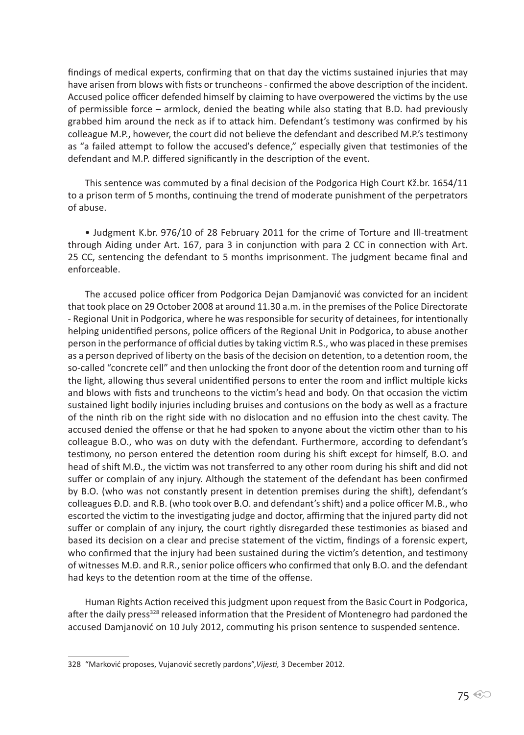findings of medical experts, confirming that on that day the victims sustained injuries that may have arisen from blows with fists or truncheons - confirmed the above description of the incident. Accused police officer defended himself by claiming to have overpowered the victims by the use of permissible force – armlock, denied the beating while also stating that B.D. had previously grabbed him around the neck as if to attack him. Defendant's testimony was confirmed by his colleague M.P., however, the court did not believe the defendant and described M.P.'s testimony as "a failed attempt to follow the accused's defence," especially given that testimonies of the defendant and M.P. differed significantly in the description of the event.

This sentence was commuted by a final decision of the Podgorica High Court Kž.br. 1654/11 to a prison term of 5 months, continuing the trend of moderate punishment of the perpetrators of abuse.

• Judgment K.br. 976/10 of 28 February 2011 for the crime of Torture and Ill-treatment through Aiding under Art. 167, para 3 in conjunction with para 2 CC in connection with Art. 25 CC, sentencing the defendant to 5 months imprisonment. The judgment became final and enforceable.

The accused police officer from Podgorica Dejan Damjanović was convicted for an incident that took place on 29 October 2008 at around 11.30 a.m. in the premises of the Police Directorate - Regional Unit in Podgorica, where he was responsible for security of detainees, for intentionally helping unidentified persons, police officers of the Regional Unit in Podgorica, to abuse another person in the performance of official duties by taking victim R.S., who was placed in these premises as a person deprived of liberty on the basis of the decision on detention, to a detention room, the so-called "concrete cell" and then unlocking the front door of the detention room and turning off the light, allowing thus several unidentified persons to enter the room and inflict multiple kicks and blows with fists and truncheons to the victim's head and body. On that occasion the victim sustained light bodily injuries including bruises and contusions on the body as well as a fracture of the ninth rib on the right side with no dislocation and no effusion into the chest cavity. The accused denied the offense or that he had spoken to anyone about the victim other than to his colleague B.O., who was on duty with the defendant. Furthermore, according to defendant's testimony, no person entered the detention room during his shift except for himself, B.O. and head of shift M.Đ., the victim was not transferred to any other room during his shift and did not suffer or complain of any injury. Although the statement of the defendant has been confirmed by B.O. (who was not constantly present in detention premises during the shift), defendant's colleagues Đ.D. and R.B. (who took over B.O. and defendant's shift) and a police officer M.B., who escorted the victim to the investigating judge and doctor, affirming that the injured party did not suffer or complain of any injury, the court rightly disregarded these testimonies as biased and based its decision on a clear and precise statement of the victim, findings of a forensic expert, who confirmed that the injury had been sustained during the victim's detention, and testimony of witnesses M.Đ. and R.R., senior police officers who confirmed that only B.O. and the defendant had keys to the detention room at the time of the offense.

Human Rights Action received this judgment upon request from the Basic Court in Podgorica, after the daily press<sup>328</sup> released information that the President of Montenegro had pardoned the accused Damjanović on 10 July 2012, commuting his prison sentence to suspended sentence.

<sup>328 &</sup>quot;Marković proposes, Vujanović secretly pardons",*Vijesti,* 3 December 2012.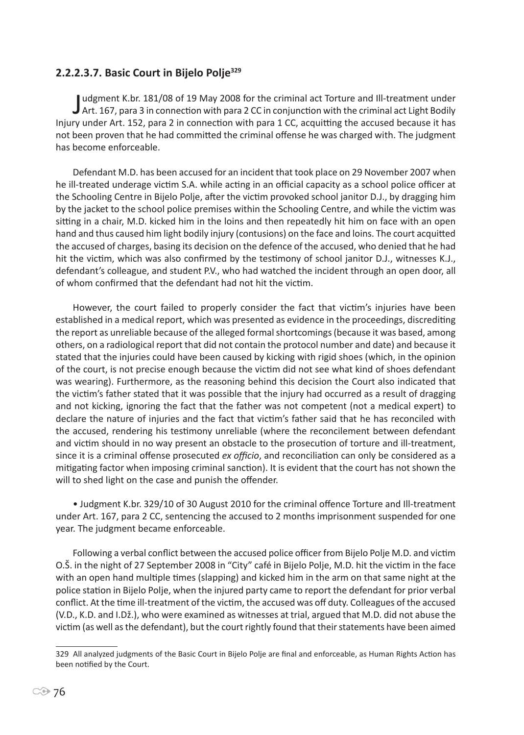### **2.2.2.3.7. Basic Court in Bijelo Polje<sup>329</sup>**

Judgment K.br. 181/08 of 19 May 2008 for the criminal act Torture and Ill-treatment under<br>Art. 167, para 3 in connection with para 2 CC in conjunction with the criminal act Light Bodily udgment K.br. 181/08 of 19 May 2008 for the criminal act Torture and Ill-treatment under Injury under Art. 152, para 2 in connection with para 1 CC, acquitting the accused because it has not been proven that he had committed the criminal offense he was charged with. The judgment has become enforceable.

Defendant M.D. has been accused for an incident that took place on 29 November 2007 when he ill-treated underage victim S.A. while acting in an official capacity as a school police officer at the Schooling Centre in Bijelo Polje, after the victim provoked school janitor D.J., by dragging him by the jacket to the school police premises within the Schooling Centre, and while the victim was sitting in a chair, M.D. kicked him in the loins and then repeatedly hit him on face with an open hand and thus caused him light bodily injury (contusions) on the face and loins. The court acquitted the accused of charges, basing its decision on the defence of the accused, who denied that he had hit the victim, which was also confirmed by the testimony of school janitor D.J., witnesses K.J., defendant's colleague, and student P.V., who had watched the incident through an open door, all of whom confirmed that the defendant had not hit the victim.

However, the court failed to properly consider the fact that victim's injuries have been established in a medical report, which was presented as evidence in the proceedings, discrediting the report as unreliable because of the alleged formal shortcomings (because it was based, among others, on a radiological report that did not contain the protocol number and date) and because it stated that the injuries could have been caused by kicking with rigid shoes (which, in the opinion of the court, is not precise enough because the victim did not see what kind of shoes defendant was wearing). Furthermore, as the reasoning behind this decision the Court also indicated that the victim's father stated that it was possible that the injury had occurred as a result of dragging and not kicking, ignoring the fact that the father was not competent (not a medical expert) to declare the nature of injuries and the fact that victim's father said that he has reconciled with the accused, rendering his testimony unreliable (where the reconcilement between defendant and victim should in no way present an obstacle to the prosecution of torture and ill-treatment, since it is a criminal offense prosecuted *ex officio*, and reconciliation can only be considered as a mitigating factor when imposing criminal sanction). It is evident that the court has not shown the will to shed light on the case and punish the offender.

• Judgment K.br. 329/10 of 30 August 2010 for the criminal offence Torture and Ill-treatment under Art. 167, para 2 CC, sentencing the accused to 2 months imprisonment suspended for one year. The judgment became enforceable.

Following a verbal conflict between the accused police officer from Bijelo Polje M.D. and victim O.Š. in the night of 27 September 2008 in "City" café in Bijelo Polje, M.D. hit the victim in the face with an open hand multiple times (slapping) and kicked him in the arm on that same night at the police station in Bijelo Polje, when the injured party came to report the defendant for prior verbal conflict. At the time ill-treatment of the victim, the accused was off duty. Colleagues of the accused (V.D., K.D. and I.Dž.), who were examined as witnesses at trial, argued that M.D. did not abuse the victim (as well as the defendant), but the court rightly found that their statements have been aimed

<sup>329</sup> All analyzed judgments of the Basic Court in Bijelo Polje are final and enforceable, as Human Rights Action has been notified by the Court.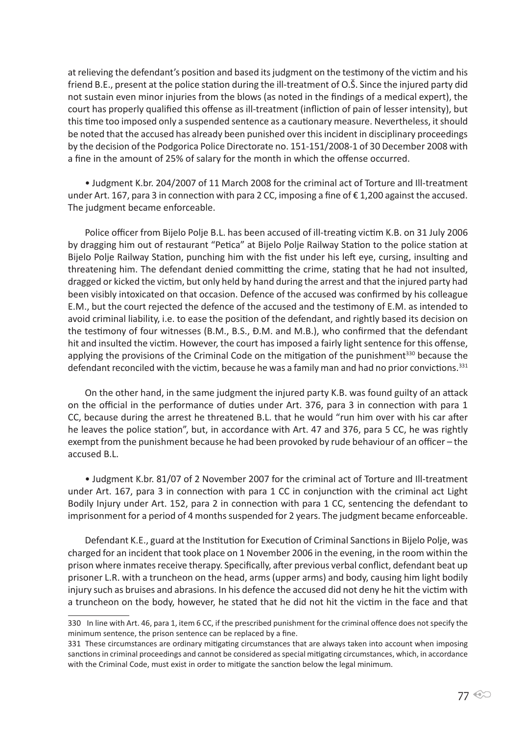at relieving the defendant's position and based its judgment on the testimony of the victim and his friend B.E., present at the police station during the ill-treatment of O.Š. Since the injured party did not sustain even minor injuries from the blows (as noted in the findings of a medical expert), the court has properly qualified this offense as ill-treatment (infliction of pain of lesser intensity), but this time too imposed only a suspended sentence as a cautionary measure. Nevertheless, it should be noted that the accused has already been punished over this incident in disciplinary proceedings by the decision of the Podgorica Police Directorate no. 151-151/2008-1 of 30 December 2008 with a fine in the amount of 25% of salary for the month in which the offense occurred.

• Judgment K.br. 204/2007 of 11 March 2008 for the criminal act of Torture and Ill-treatment under Art. 167, para 3 in connection with para 2 CC, imposing a fine of € 1,200 against the accused. The judgment became enforceable.

Police officer from Bijelo Polje B.L. has been accused of ill-treating victim K.B. on 31 July 2006 by dragging him out of restaurant "Petica" at Bijelo Polje Railway Station to the police station at Bijelo Polje Railway Station, punching him with the fist under his left eye, cursing, insulting and threatening him. The defendant denied committing the crime, stating that he had not insulted, dragged or kicked the victim, but only held by hand during the arrest and that the injured party had been visibly intoxicated on that occasion. Defence of the accused was confirmed by his colleague E.M., but the court rejected the defence of the accused and the testimony of E.M. as intended to avoid criminal liability, i.e. to ease the position of the defendant, and rightly based its decision on the testimony of four witnesses (B.M., B.S., Đ.M. and M.B.), who confirmed that the defendant hit and insulted the victim. However, the court has imposed a fairly light sentence for this offense, applying the provisions of the Criminal Code on the mitigation of the punishment<sup>330</sup> because the defendant reconciled with the victim, because he was a family man and had no prior convictions.<sup>331</sup>

On the other hand, in the same judgment the injured party K.B. was found guilty of an attack on the official in the performance of duties under Art. 376, para 3 in connection with para 1 CC, because during the arrest he threatened B.L. that he would "run him over with his car after he leaves the police station", but, in accordance with Art. 47 and 376, para 5 CC, he was rightly exempt from the punishment because he had been provoked by rude behaviour of an officer – the accused B.L.

• Judgment K.br. 81/07 of 2 November 2007 for the criminal act of Torture and Ill-treatment under Art. 167, para 3 in connection with para 1 CC in conjunction with the criminal act Light Bodily Injury under Art. 152, para 2 in connection with para 1 CC, sentencing the defendant to imprisonment for a period of 4 months suspended for 2 years. The judgment became enforceable.

Defendant K.E., guard at the Institution for Execution of Criminal Sanctions in Bijelo Polje, was charged for an incident that took place on 1 November 2006 in the evening, in the room within the prison where inmates receive therapy. Specifically, after previous verbal conflict, defendant beat up prisoner L.R. with a truncheon on the head, arms (upper arms) and body, causing him light bodily injury such as bruises and abrasions. In his defence the accused did not deny he hit the victim with a truncheon on the body, however, he stated that he did not hit the victim in the face and that

<sup>330</sup> In line with Art. 46, para 1, item 6 CC, if the prescribed punishment for the criminal offence does not specify the minimum sentence, the prison sentence can be replaced by a fine.

<sup>331</sup> These circumstances are ordinary mitigating circumstances that are always taken into account when imposing sanctions in criminal proceedings and cannot be considered as special mitigating circumstances, which, in accordance with the Criminal Code, must exist in order to mitigate the sanction below the legal minimum.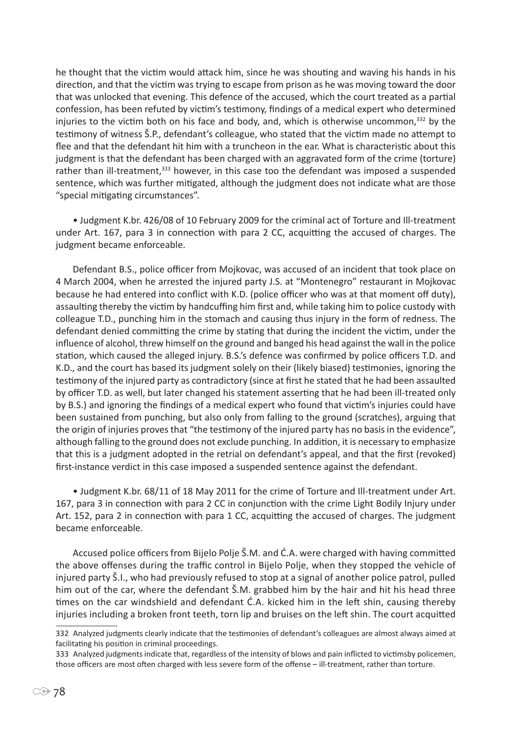he thought that the victim would attack him, since he was shouting and waving his hands in his direction, and that the victim was trying to escape from prison as he was moving toward the door that was unlocked that evening. This defence of the accused, which the court treated as a partial confession, has been refuted by victim's testimony, findings of a medical expert who determined injuries to the victim both on his face and body, and, which is otherwise uncommon, $332$  by the testimony of witness Š.P., defendant's colleague, who stated that the victim made no attempt to flee and that the defendant hit him with a truncheon in the ear. What is characteristic about this judgment is that the defendant has been charged with an aggravated form of the crime (torture) rather than ill-treatment,<sup>333</sup> however, in this case too the defendant was imposed a suspended sentence, which was further mitigated, although the judgment does not indicate what are those "special mitigating circumstances".

• Judgment K.br. 426/08 of 10 February 2009 for the criminal act of Torture and Ill-treatment under Art. 167, para 3 in connection with para 2 CC, acquitting the accused of charges. The judgment became enforceable.

Defendant B.S., police officer from Mojkovac, was accused of an incident that took place on 4 March 2004, when he arrested the injured party J.S. at "Montenegro" restaurant in Mojkovac because he had entered into conflict with K.D. (police officer who was at that moment off duty), assaulting thereby the victim by handcuffing him first and, while taking him to police custody with colleague T.D., punching him in the stomach and causing thus injury in the form of redness. The defendant denied committing the crime by stating that during the incident the victim, under the influence of alcohol, threw himself on the ground and banged his head against the wall in the police station, which caused the alleged injury. B.S.'s defence was confirmed by police officers T.D. and K.D., and the court has based its judgment solely on their (likely biased) testimonies, ignoring the testimony of the injured party as contradictory (since at first he stated that he had been assaulted by officer T.D. as well, but later changed his statement asserting that he had been ill-treated only by B.S.) and ignoring the findings of a medical expert who found that victim's injuries could have been sustained from punching, but also only from falling to the ground (scratches), arguing that the origin of injuries proves that "the testimony of the injured party has no basis in the evidence", although falling to the ground does not exclude punching. In addition, it is necessary to emphasize that this is a judgment adopted in the retrial on defendant's appeal, and that the first (revoked) first-instance verdict in this case imposed a suspended sentence against the defendant.

• Judgment K.br. 68/11 of 18 May 2011 for the crime of Torture and Ill-treatment under Art. 167, para 3 in connection with para 2 CC in conjunction with the crime Light Bodily Injury under Art. 152, para 2 in connection with para 1 CC, acquitting the accused of charges. The judgment became enforceable.

Accused police officers from Bijelo Polje Š.M. and Ć.A. were charged with having committed the above offenses during the traffic control in Bijelo Polje, when they stopped the vehicle of injured party Š.I., who had previously refused to stop at a signal of another police patrol, pulled him out of the car, where the defendant Š.M. grabbed him by the hair and hit his head three times on the car windshield and defendant Ć.A. kicked him in the left shin, causing thereby injuries including a broken front teeth, torn lip and bruises on the left shin. The court acquitted

<sup>332</sup> Analyzed judgments clearly indicate that the testimonies of defendant's colleagues are almost always aimed at facilitating his position in criminal proceedings.

<sup>333</sup> Analyzed judgments indicate that, regardless of the intensity of blows and pain inflicted to victimsby policemen, those officers are most often charged with less severe form of the offense – ill-treatment, rather than torture.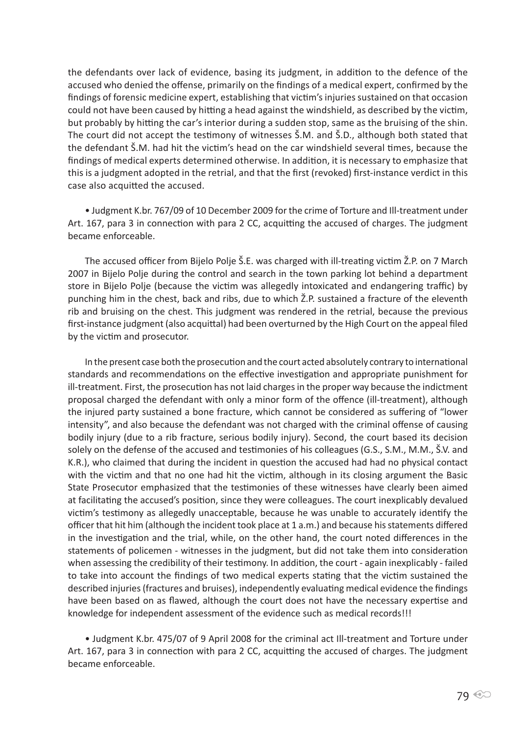the defendants over lack of evidence, basing its judgment, in addition to the defence of the accused who denied the offense, primarily on the findings of a medical expert, confirmed by the findings of forensic medicine expert, establishing that victim's injuries sustained on that occasion could not have been caused by hitting a head against the windshield, as described by the victim, but probably by hitting the car's interior during a sudden stop, same as the bruising of the shin. The court did not accept the testimony of witnesses Š.M. and Š.D., although both stated that the defendant Š.M. had hit the victim's head on the car windshield several times, because the findings of medical experts determined otherwise. In addition, it is necessary to emphasize that this is a judgment adopted in the retrial, and that the first (revoked) first-instance verdict in this case also acquitted the accused.

• Judgment K.br. 767/09 of 10 December 2009 for the crime of Torture and Ill-treatment under Art. 167, para 3 in connection with para 2 CC, acquitting the accused of charges. The judgment became enforceable.

The accused officer from Bijelo Polje Š.E. was charged with ill-treating victim Ž.P. on 7 March 2007 in Bijelo Polje during the control and search in the town parking lot behind a department store in Bijelo Polje (because the victim was allegedly intoxicated and endangering traffic) by punching him in the chest, back and ribs, due to which Ž.P. sustained a fracture of the eleventh rib and bruising on the chest. This judgment was rendered in the retrial, because the previous first-instance judgment (also acquittal) had been overturned by the High Court on the appeal filed by the victim and prosecutor.

In the present case both the prosecution and the court acted absolutely contrary to international standards and recommendations on the effective investigation and appropriate punishment for ill-treatment. First, the prosecution has not laid charges in the proper way because the indictment proposal charged the defendant with only a minor form of the offence (ill-treatment), although the injured party sustained a bone fracture, which cannot be considered as suffering of "lower intensity", and also because the defendant was not charged with the criminal offense of causing bodily injury (due to a rib fracture, serious bodily injury). Second, the court based its decision solely on the defense of the accused and testimonies of his colleagues (G.S., S.M., M.M., Š.V. and K.R.), who claimed that during the incident in question the accused had had no physical contact with the victim and that no one had hit the victim, although in its closing argument the Basic State Prosecutor emphasized that the testimonies of these witnesses have clearly been aimed at facilitating the accused's position, since they were colleagues. The court inexplicably devalued victim's testimony as allegedly unacceptable, because he was unable to accurately identify the officer that hit him (although the incident took place at 1 a.m.) and because his statements differed in the investigation and the trial, while, on the other hand, the court noted differences in the statements of policemen - witnesses in the judgment, but did not take them into consideration when assessing the credibility of their testimony. In addition, the court - again inexplicably - failed to take into account the findings of two medical experts stating that the victim sustained the described injuries (fractures and bruises), independently evaluating medical evidence the findings have been based on as flawed, although the court does not have the necessary expertise and knowledge for independent assessment of the evidence such as medical records!!!

• Judgment K.br. 475/07 of 9 April 2008 for the criminal act Ill-treatment and Torture under Art. 167, para 3 in connection with para 2 CC, acquitting the accused of charges. The judgment became enforceable.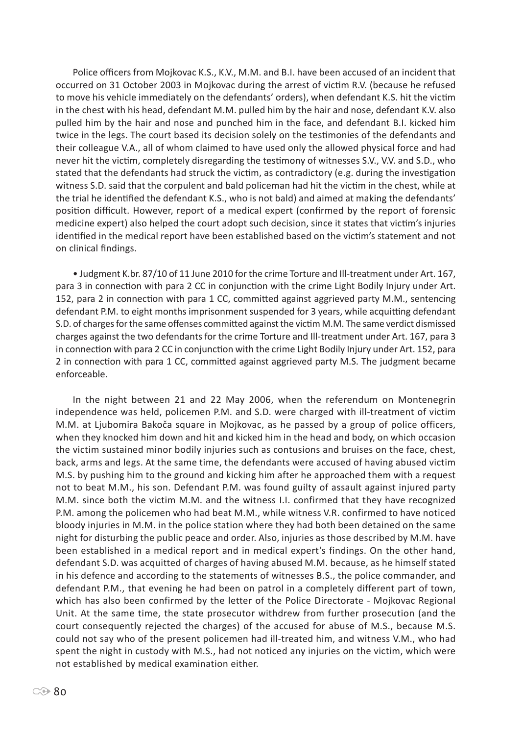Police officers from Mojkovac K.S., K.V., M.M. and B.I. have been accused of an incident that occurred on 31 October 2003 in Mojkovac during the arrest of victim R.V. (because he refused to move his vehicle immediately on the defendants' orders), when defendant K.S. hit the victim in the chest with his head, defendant M.M. pulled him by the hair and nose, defendant K.V. also pulled him by the hair and nose and punched him in the face, and defendant B.I. kicked him twice in the legs. The court based its decision solely on the testimonies of the defendants and their colleague V.A., all of whom claimed to have used only the allowed physical force and had never hit the victim, completely disregarding the testimony of witnesses S.V., V.V. and S.D., who stated that the defendants had struck the victim, as contradictory (e.g. during the investigation witness S.D. said that the corpulent and bald policeman had hit the victim in the chest, while at the trial he identified the defendant K.S., who is not bald) and aimed at making the defendants' position difficult. However, report of a medical expert (confirmed by the report of forensic medicine expert) also helped the court adopt such decision, since it states that victim's injuries identified in the medical report have been established based on the victim's statement and not on clinical findings.

• Judgment K.br. 87/10 of 11 June 2010 for the crime Torture and Ill-treatment under Art. 167, para 3 in connection with para 2 CC in conjunction with the crime Light Bodily Injury under Art. 152, para 2 in connection with para 1 CC, committed against aggrieved party M.M., sentencing defendant P.M. to eight months imprisonment suspended for 3 years, while acquitting defendant S.D. of charges for the same offenses committed against the victim M.M. The same verdict dismissed charges against the two defendants for the crime Torture and Ill-treatment under Art. 167, para 3 in connection with para 2 CC in conjunction with the crime Light Bodily Injury under Art. 152, para 2 in connection with para 1 CC, committed against aggrieved party M.S. The judgment became enforceable.

In the night between 21 and 22 May 2006, when the referendum on Montenegrin independence was held, policemen P.M. and S.D. were charged with ill-treatment of victim M.M. at Ljubomira Bakoča square in Mojkovac, as he passed by a group of police officers, when they knocked him down and hit and kicked him in the head and body, on which occasion the victim sustained minor bodily injuries such as contusions and bruises on the face, chest, back, arms and legs. At the same time, the defendants were accused of having abused victim M.S. by pushing him to the ground and kicking him after he approached them with a request not to beat M.M., his son. Defendant P.M. was found guilty of assault against injured party M.M. since both the victim M.M. and the witness I.I. confirmed that they have recognized P.M. among the policemen who had beat M.M., while witness V.R. confirmed to have noticed bloody injuries in M.M. in the police station where they had both been detained on the same night for disturbing the public peace and order. Also, injuries as those described by M.M. have been established in a medical report and in medical expert's findings. On the other hand, defendant S.D. was acquitted of charges of having abused M.M. because, as he himself stated in his defence and according to the statements of witnesses B.S., the police commander, and defendant P.M., that evening he had been on patrol in a completely different part of town, which has also been confirmed by the letter of the Police Directorate - Mojkovac Regional Unit. At the same time, the state prosecutor withdrew from further prosecution (and the court consequently rejected the charges) of the accused for abuse of M.S., because M.S. could not say who of the present policemen had ill-treated him, and witness V.M., who had spent the night in custody with M.S., had not noticed any injuries on the victim, which were not established by medical examination either.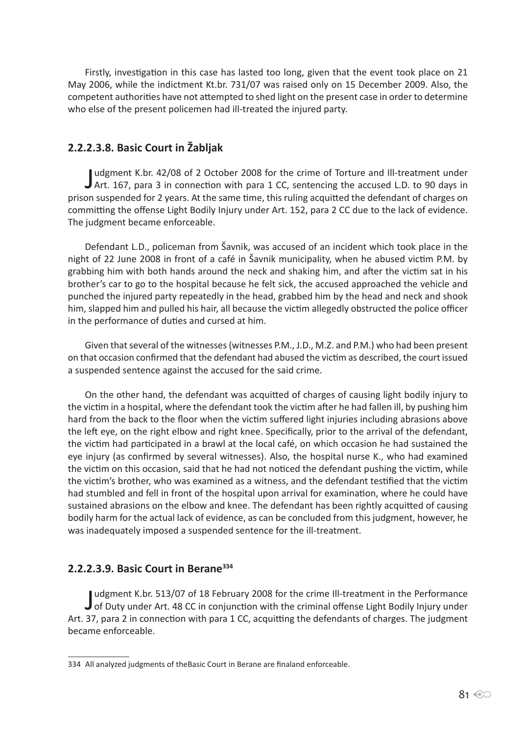Firstly, investigation in this case has lasted too long, given that the event took place on 21 May 2006, while the indictment Kt.br. 731/07 was raised only on 15 December 2009. Also, the competent authorities have not attempted to shed light on the present case in order to determine who else of the present policemen had ill-treated the injured party.

# **2.2.2.3.8. Basic Court in Žabljak**

Judgment K.br. 42/08 of 2 October 2008 for the crime of Torture and Ill-treatment under<br>Art. 167, para 3 in connection with para 1 CC, sentencing the accused L.D. to 90 days in udgment K.br. 42/08 of 2 October 2008 for the crime of Torture and Ill-treatment under prison suspended for 2 years. At the same time, this ruling acquitted the defendant of charges on committing the offense Light Bodily Injury under Art. 152, para 2 CC due to the lack of evidence. The judgment became enforceable.

Defendant L.D., policeman from Šavnik, was accused of an incident which took place in the night of 22 June 2008 in front of a café in Šavnik municipality, when he abused victim P.M. by grabbing him with both hands around the neck and shaking him, and after the victim sat in his brother's car to go to the hospital because he felt sick, the accused approached the vehicle and punched the injured party repeatedly in the head, grabbed him by the head and neck and shook him, slapped him and pulled his hair, all because the victim allegedly obstructed the police officer in the performance of duties and cursed at him.

Given that several of the witnesses (witnesses P.M., J.D., M.Z. and P.M.) who had been present on that occasion confirmed that the defendant had abused the victim as described, the court issued a suspended sentence against the accused for the said crime.

On the other hand, the defendant was acquitted of charges of causing light bodily injury to the victim in a hospital, where the defendant took the victim after he had fallen ill, by pushing him hard from the back to the floor when the victim suffered light injuries including abrasions above the left eye, on the right elbow and right knee. Specifically, prior to the arrival of the defendant, the victim had participated in a brawl at the local café, on which occasion he had sustained the eye injury (as confirmed by several witnesses). Also, the hospital nurse K., who had examined the victim on this occasion, said that he had not noticed the defendant pushing the victim, while the victim's brother, who was examined as a witness, and the defendant testified that the victim had stumbled and fell in front of the hospital upon arrival for examination, where he could have sustained abrasions on the elbow and knee. The defendant has been rightly acquitted of causing bodily harm for the actual lack of evidence, as can be concluded from this judgment, however, he was inadequately imposed a suspended sentence for the ill-treatment.

### **2.2.2.3.9. Basic Court in Berane<sup>334</sup>**

Judgment K.br. 513/07 of 18 February 2008 for the crime Ill-treatment in the Performance<br>of Duty under Art. 48 CC in conjunction with the criminal offense Light Bodily Injury under udgment K.br. 513/07 of 18 February 2008 for the crime Ill-treatment in the Performance Art. 37, para 2 in connection with para 1 CC, acquitting the defendants of charges. The judgment became enforceable.

<sup>334</sup> All analyzed judgments of theBasic Court in Berane are finaland enforceable.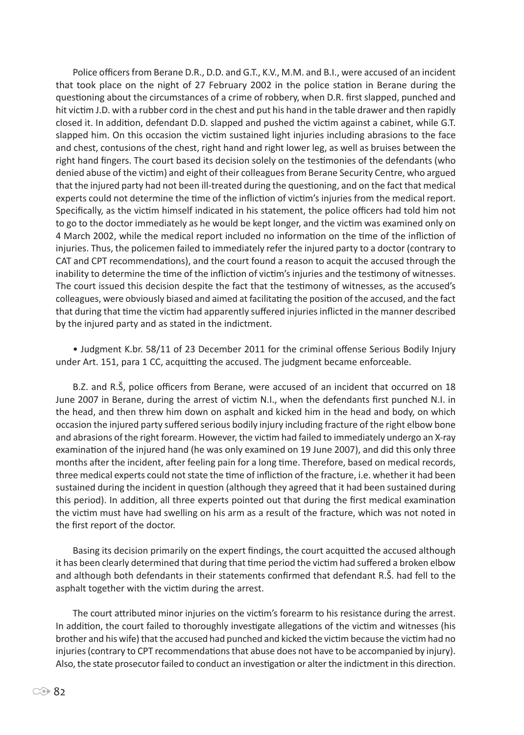Police officers from Berane D.R., D.D. and G.T., K.V., M.M. and B.I., were accused of an incident that took place on the night of 27 February 2002 in the police station in Berane during the questioning about the circumstances of a crime of robbery, when D.R. first slapped, punched and hit victim J.D. with a rubber cord in the chest and put his hand in the table drawer and then rapidly closed it. In addition, defendant D.D. slapped and pushed the victim against a cabinet, while G.T. slapped him. On this occasion the victim sustained light injuries including abrasions to the face and chest, contusions of the chest, right hand and right lower leg, as well as bruises between the right hand fingers. The court based its decision solely on the testimonies of the defendants (who denied abuse of the victim) and eight of their colleagues from Berane Security Centre, who argued that the injured party had not been ill-treated during the questioning, and on the fact that medical experts could not determine the time of the infliction of victim's injuries from the medical report. Specifically, as the victim himself indicated in his statement, the police officers had told him not to go to the doctor immediately as he would be kept longer, and the victim was examined only on 4 March 2002, while the medical report included no information on the time of the infliction of injuries. Thus, the policemen failed to immediately refer the injured party to a doctor (contrary to CAT and CPT recommendations), and the court found a reason to acquit the accused through the inability to determine the time of the infliction of victim's injuries and the testimony of witnesses. The court issued this decision despite the fact that the testimony of witnesses, as the accused's colleagues, were obviously biased and aimed at facilitating the position of the accused, and the fact that during that time the victim had apparently suffered injuries inflicted in the manner described by the injured party and as stated in the indictment.

• Judgment K.br. 58/11 of 23 December 2011 for the criminal offense Serious Bodily Injury under Art. 151, para 1 CC, acquitting the accused. The judgment became enforceable.

B.Z. and R.Š, police officers from Berane, were accused of an incident that occurred on 18 June 2007 in Berane, during the arrest of victim N.I., when the defendants first punched N.I. in the head, and then threw him down on asphalt and kicked him in the head and body, on which occasion the injured party suffered serious bodily injury including fracture of the right elbow bone and abrasions of the right forearm. However, the victim had failed to immediately undergo an X-ray examination of the injured hand (he was only examined on 19 June 2007), and did this only three months after the incident, after feeling pain for a long time. Therefore, based on medical records, three medical experts could not state the time of infliction of the fracture, i.e. whether it had been sustained during the incident in question (although they agreed that it had been sustained during this period). In addition, all three experts pointed out that during the first medical examination the victim must have had swelling on his arm as a result of the fracture, which was not noted in the first report of the doctor.

Basing its decision primarily on the expert findings, the court acquitted the accused although it has been clearly determined that during that time period the victim had suffered a broken elbow and although both defendants in their statements confirmed that defendant R.Š. had fell to the asphalt together with the victim during the arrest.

The court attributed minor injuries on the victim's forearm to his resistance during the arrest. In addition, the court failed to thoroughly investigate allegations of the victim and witnesses (his brother and his wife) that the accused had punched and kicked the victim because the victim had no injuries (contrary to CPT recommendations that abuse does not have to be accompanied by injury). Also, the state prosecutor failed to conduct an investigation or alter the indictment in this direction.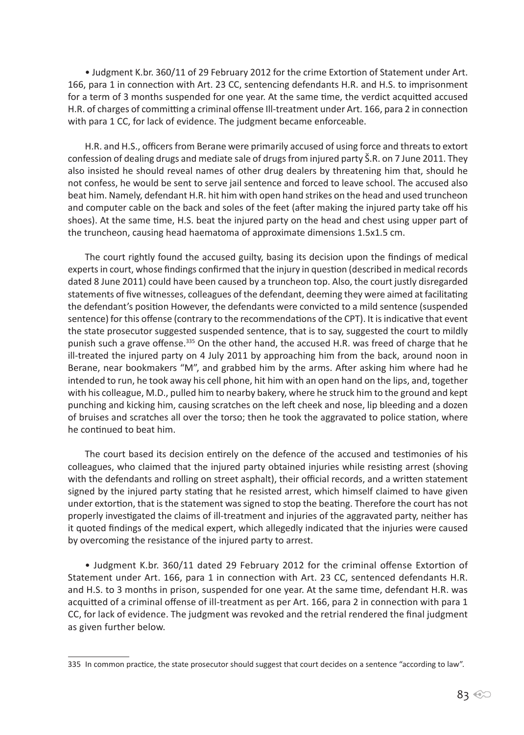• Judgment K.br. 360/11 of 29 February 2012 for the crime Extortion of Statement under Art. 166, para 1 in connection with Art. 23 CC, sentencing defendants H.R. and H.S. to imprisonment for a term of 3 months suspended for one year. At the same time, the verdict acquitted accused H.R. of charges of committing a criminal offense Ill-treatment under Art. 166, para 2 in connection with para 1 CC, for lack of evidence. The judgment became enforceable.

H.R. and H.S., officers from Berane were primarily accused of using force and threats to extort confession of dealing drugs and mediate sale of drugs from injured party Š.R. on 7 June 2011. They also insisted he should reveal names of other drug dealers by threatening him that, should he not confess, he would be sent to serve jail sentence and forced to leave school. The accused also beat him. Namely, defendant H.R. hit him with open hand strikes on the head and used truncheon and computer cable on the back and soles of the feet (after making the injured party take off his shoes). At the same time, H.S. beat the injured party on the head and chest using upper part of the truncheon, causing head haematoma of approximate dimensions 1.5x1.5 cm.

The court rightly found the accused guilty, basing its decision upon the findings of medical experts in court, whose findings confirmed that the injury in question (described in medical records dated 8 June 2011) could have been caused by a truncheon top. Also, the court justly disregarded statements of five witnesses, colleagues of the defendant, deeming they were aimed at facilitating the defendant's position However, the defendants were convicted to a mild sentence (suspended sentence) for this offense (contrary to the recommendations of the CPT). It is indicative that event the state prosecutor suggested suspended sentence, that is to say, suggested the court to mildly punish such a grave offense.<sup>335</sup> On the other hand, the accused H.R. was freed of charge that he ill-treated the injured party on 4 July 2011 by approaching him from the back, around noon in Berane, near bookmakers "M", and grabbed him by the arms. After asking him where had he intended to run, he took away his cell phone, hit him with an open hand on the lips, and, together with his colleague, M.D., pulled him to nearby bakery, where he struck him to the ground and kept punching and kicking him, causing scratches on the left cheek and nose, lip bleeding and a dozen of bruises and scratches all over the torso; then he took the aggravated to police station, where he continued to beat him.

The court based its decision entirely on the defence of the accused and testimonies of his colleagues, who claimed that the injured party obtained injuries while resisting arrest (shoving with the defendants and rolling on street asphalt), their official records, and a written statement signed by the injured party stating that he resisted arrest, which himself claimed to have given under extortion, that is the statement was signed to stop the beating. Therefore the court has not properly investigated the claims of ill-treatment and injuries of the aggravated party, neither has it quoted findings of the medical expert, which allegedly indicated that the injuries were caused by overcoming the resistance of the injured party to arrest.

• Judgment K.br. 360/11 dated 29 February 2012 for the criminal offense Extortion of Statement under Art. 166, para 1 in connection with Art. 23 CC, sentenced defendants H.R. and H.S. to 3 months in prison, suspended for one year. At the same time, defendant H.R. was acquitted of a criminal offense of ill-treatment as per Art. 166, para 2 in connection with para 1 CC, for lack of evidence. The judgment was revoked and the retrial rendered the final judgment as given further below.

<sup>335</sup> In common practice, the state prosecutor should suggest that court decides on a sentence "according to law".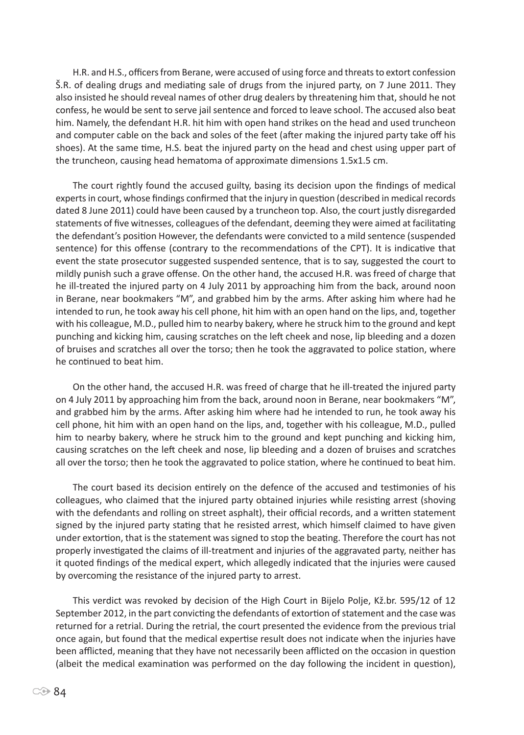H.R. and H.S., officers from Berane, were accused of using force and threats to extort confession Š.R. of dealing drugs and mediating sale of drugs from the injured party, on 7 June 2011. They also insisted he should reveal names of other drug dealers by threatening him that, should he not confess, he would be sent to serve jail sentence and forced to leave school. The accused also beat him. Namely, the defendant H.R. hit him with open hand strikes on the head and used truncheon and computer cable on the back and soles of the feet (after making the injured party take off his shoes). At the same time, H.S. beat the injured party on the head and chest using upper part of the truncheon, causing head hematoma of approximate dimensions 1.5x1.5 cm.

The court rightly found the accused guilty, basing its decision upon the findings of medical experts in court, whose findings confirmed that the injury in question (described in medical records dated 8 June 2011) could have been caused by a truncheon top. Also, the court justly disregarded statements of five witnesses, colleagues of the defendant, deeming they were aimed at facilitating the defendant's position However, the defendants were convicted to a mild sentence (suspended sentence) for this offense (contrary to the recommendations of the CPT). It is indicative that event the state prosecutor suggested suspended sentence, that is to say, suggested the court to mildly punish such a grave offense. On the other hand, the accused H.R. was freed of charge that he ill-treated the injured party on 4 July 2011 by approaching him from the back, around noon in Berane, near bookmakers "M", and grabbed him by the arms. After asking him where had he intended to run, he took away his cell phone, hit him with an open hand on the lips, and, together with his colleague, M.D., pulled him to nearby bakery, where he struck him to the ground and kept punching and kicking him, causing scratches on the left cheek and nose, lip bleeding and a dozen of bruises and scratches all over the torso; then he took the aggravated to police station, where he continued to beat him.

On the other hand, the accused H.R. was freed of charge that he ill-treated the injured party on 4 July 2011 by approaching him from the back, around noon in Berane, near bookmakers "M", and grabbed him by the arms. After asking him where had he intended to run, he took away his cell phone, hit him with an open hand on the lips, and, together with his colleague, M.D., pulled him to nearby bakery, where he struck him to the ground and kept punching and kicking him, causing scratches on the left cheek and nose, lip bleeding and a dozen of bruises and scratches all over the torso; then he took the aggravated to police station, where he continued to beat him.

The court based its decision entirely on the defence of the accused and testimonies of his colleagues, who claimed that the injured party obtained injuries while resisting arrest (shoving with the defendants and rolling on street asphalt), their official records, and a written statement signed by the injured party stating that he resisted arrest, which himself claimed to have given under extortion, that is the statement was signed to stop the beating. Therefore the court has not properly investigated the claims of ill-treatment and injuries of the aggravated party, neither has it quoted findings of the medical expert, which allegedly indicated that the injuries were caused by overcoming the resistance of the injured party to arrest.

This verdict was revoked by decision of the High Court in Bijelo Polje, Kž.br. 595/12 of 12 September 2012, in the part convicting the defendants of extortion of statement and the case was returned for a retrial. During the retrial, the court presented the evidence from the previous trial once again, but found that the medical expertise result does not indicate when the injuries have been afflicted, meaning that they have not necessarily been afflicted on the occasion in question (albeit the medical examination was performed on the day following the incident in question),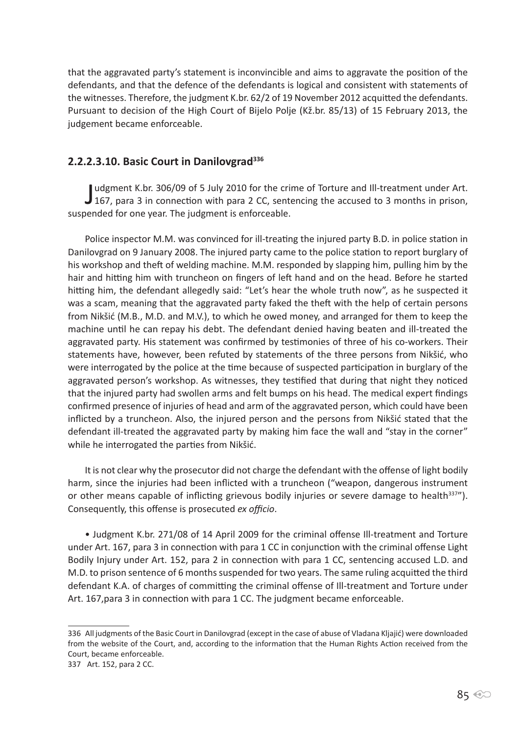that the aggravated party's statement is inconvincible and aims to aggravate the position of the defendants, and that the defence of the defendants is logical and consistent with statements of the witnesses. Therefore, the judgment K.br. 62/2 of 19 November 2012 acquitted the defendants. Pursuant to decision of the High Court of Bijelo Polje (Kž.br. 85/13) of 15 February 2013, the judgement became enforceable.

#### **2.2.2.3.10. Basic Court in Danilovgrad<sup>336</sup>**

Judgment K.br. 306/09 of 5 July 2010 for the crime of Torture and Ill-treatment under Art.<br>167, para 3 in connection with para 2 CC, sentencing the accused to 3 months in prison, udgment K.br. 306/09 of 5 July 2010 for the crime of Torture and Ill-treatment under Art. suspended for one year. The judgment is enforceable.

Police inspector M.M. was convinced for ill-treating the injured party B.D. in police station in Danilovgrad on 9 January 2008. The injured party came to the police station to report burglary of his workshop and theft of welding machine. M.M. responded by slapping him, pulling him by the hair and hitting him with truncheon on fingers of left hand and on the head. Before he started hitting him, the defendant allegedly said: "Let's hear the whole truth now", as he suspected it was a scam, meaning that the aggravated party faked the theft with the help of certain persons from Nikšić (M.B., M.D. and M.V.), to which he owed money, and arranged for them to keep the machine until he can repay his debt. The defendant denied having beaten and ill-treated the aggravated party. His statement was confirmed by testimonies of three of his co-workers. Their statements have, however, been refuted by statements of the three persons from Nikšić, who were interrogated by the police at the time because of suspected participation in burglary of the aggravated person's workshop. As witnesses, they testified that during that night they noticed that the injured party had swollen arms and felt bumps on his head. The medical expert findings confirmed presence of injuries of head and arm of the aggravated person, which could have been inflicted by a truncheon. Also, the injured person and the persons from Nikšić stated that the defendant ill-treated the aggravated party by making him face the wall and "stay in the corner" while he interrogated the parties from Nikšić.

It is not clear why the prosecutor did not charge the defendant with the offense of light bodily harm, since the injuries had been inflicted with a truncheon ("weapon, dangerous instrument or other means capable of inflicting grievous bodily injuries or severe damage to health<sup>337"</sup>). Consequently, this offense is prosecuted *ex officio*.

• Judgment K.br. 271/08 of 14 April 2009 for the criminal offense Ill-treatment and Torture under Art. 167, para 3 in connection with para 1 CC in conjunction with the criminal offense Light Bodily Injury under Art. 152, para 2 in connection with para 1 CC, sentencing accused L.D. and M.D. to prison sentence of 6 months suspended for two years. The same ruling acquitted the third defendant K.A. of charges of committing the criminal offense of Ill-treatment and Torture under Art. 167,para 3 in connection with para 1 CC. The judgment became enforceable.

<sup>336</sup> All judgments of the Basic Court in Danilovgrad (except in the case of abuse of Vladana Kljajić) were downloaded from the website of the Court, and, according to the information that the Human Rights Action received from the Court, became enforceable.

<sup>337</sup> Art. 152, para 2 CC.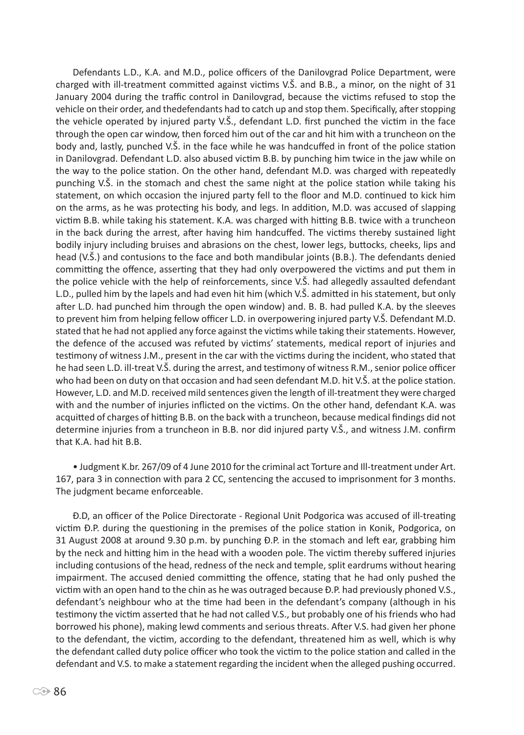Defendants L.D., K.A. and M.D., police officers of the Danilovgrad Police Department, were charged with ill-treatment committed against victims V.Š. and B.B., a minor, on the night of 31 January 2004 during the traffic control in Danilovgrad, because the victims refused to stop the vehicle on their order, and thedefendants had to catch up and stop them. Specifically, after stopping the vehicle operated by injured party V.Š., defendant L.D. first punched the victim in the face through the open car window, then forced him out of the car and hit him with a truncheon on the body and, lastly, punched V.Š. in the face while he was handcuffed in front of the police station in Danilovgrad. Defendant L.D. also abused victim B.B. by punching him twice in the jaw while on the way to the police station. On the other hand, defendant M.D. was charged with repeatedly punching V.Š. in the stomach and chest the same night at the police station while taking his statement, on which occasion the injured party fell to the floor and M.D. continued to kick him on the arms, as he was protecting his body, and legs. In addition, M.D. was accused of slapping victim B.B. while taking his statement. K.A. was charged with hitting B.B. twice with a truncheon in the back during the arrest, after having him handcuffed. The victims thereby sustained light bodily injury including bruises and abrasions on the chest, lower legs, buttocks, cheeks, lips and head (V.Š.) and contusions to the face and both mandibular joints (B.B.). The defendants denied committing the offence, asserting that they had only overpowered the victims and put them in the police vehicle with the help of reinforcements, since V.Š. had allegedly assaulted defendant L.D., pulled him by the lapels and had even hit him (which V.Š. admitted in his statement, but only after L.D. had punched him through the open window) and. B. B. had pulled K.A. by the sleeves to prevent him from helping fellow officer L.D. in overpowering injured party V.Š. Defendant M.D. stated that he had not applied any force against the victims while taking their statements. However, the defence of the accused was refuted by victims' statements, medical report of injuries and testimony of witness J.M., present in the car with the victims during the incident, who stated that he had seen L.D. ill-treat V.Š. during the arrest, and testimony of witness R.M., senior police officer who had been on duty on that occasion and had seen defendant M.D. hit V.Š. at the police station. However, L.D. and M.D. received mild sentences given the length of ill-treatment they were charged with and the number of injuries inflicted on the victims. On the other hand, defendant K.A. was acquitted of charges of hitting B.B. on the back with a truncheon, because medical findings did not determine injuries from a truncheon in B.B. nor did injured party V.Š., and witness J.M. confirm that K.A. had hit B.B.

• Judgment K.br. 267/09 of 4 June 2010 for the criminal act Torture and Ill-treatment under Art. 167, para 3 in connection with para 2 CC, sentencing the accused to imprisonment for 3 months. The judgment became enforceable.

Đ.D, an officer of the Police Directorate - Regional Unit Podgorica was accused of ill-treating victim Đ.P. during the questioning in the premises of the police station in Konik, Podgorica, on 31 August 2008 at around 9.30 p.m. by punching Đ.P. in the stomach and left ear, grabbing him by the neck and hitting him in the head with a wooden pole. The victim thereby suffered injuries including contusions of the head, redness of the neck and temple, split eardrums without hearing impairment. The accused denied committing the offence, stating that he had only pushed the victim with an open hand to the chin as he was outraged because Đ.P. had previously phoned V.S., defendant's neighbour who at the time had been in the defendant's company (although in his testimony the victim asserted that he had not called V.S., but probably one of his friends who had borrowed his phone), making lewd comments and serious threats. After V.S. had given her phone to the defendant, the victim, according to the defendant, threatened him as well, which is why the defendant called duty police officer who took the victim to the police station and called in the defendant and V.S. to make a statement regarding the incident when the alleged pushing occurred.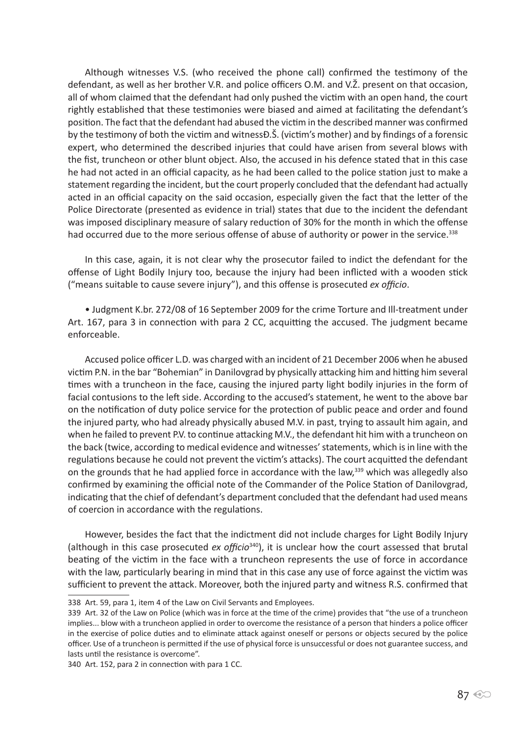Although witnesses V.S. (who received the phone call) confirmed the testimony of the defendant, as well as her brother V.R. and police officers O.M. and V.Ž. present on that occasion, all of whom claimed that the defendant had only pushed the victim with an open hand, the court rightly established that these testimonies were biased and aimed at facilitating the defendant's position. The fact that the defendant had abused the victim in the described manner was confirmed by the testimony of both the victim and witnessĐ.Š. (victim's mother) and by findings of a forensic expert, who determined the described injuries that could have arisen from several blows with the fist, truncheon or other blunt object. Also, the accused in his defence stated that in this case he had not acted in an official capacity, as he had been called to the police station just to make a statement regarding the incident, but the court properly concluded that the defendant had actually acted in an official capacity on the said occasion, especially given the fact that the letter of the Police Directorate (presented as evidence in trial) states that due to the incident the defendant was imposed disciplinary measure of salary reduction of 30% for the month in which the offense had occurred due to the more serious offense of abuse of authority or power in the service.<sup>338</sup>

In this case, again, it is not clear why the prosecutor failed to indict the defendant for the offense of Light Bodily Injury too, because the injury had been inflicted with a wooden stick ("means suitable to cause severe injury"), and this offense is prosecuted *ex officio*.

• Judgment K.br. 272/08 of 16 September 2009 for the crime Torture and Ill-treatment under Art. 167, para 3 in connection with para 2 CC, acquitting the accused. The judgment became enforceable.

Accused police officer L.D. was charged with an incident of 21 December 2006 when he abused victim P.N. in the bar "Bohemian" in Danilovgrad by physically attacking him and hitting him several times with a truncheon in the face, causing the injured party light bodily injuries in the form of facial contusions to the left side. According to the accused's statement, he went to the above bar on the notification of duty police service for the protection of public peace and order and found the injured party, who had already physically abused M.V. in past, trying to assault him again, and when he failed to prevent P.V. to continue attacking M.V., the defendant hit him with a truncheon on the back (twice, according to medical evidence and witnesses' statements, which is in line with the regulations because he could not prevent the victim's attacks). The court acquitted the defendant on the grounds that he had applied force in accordance with the law,<sup>339</sup> which was allegedly also confirmed by examining the official note of the Commander of the Police Station of Danilovgrad, indicating that the chief of defendant's department concluded that the defendant had used means of coercion in accordance with the regulations.

However, besides the fact that the indictment did not include charges for Light Bodily Injury (although in this case prosecuted *ex officio*340), it is unclear how the court assessed that brutal beating of the victim in the face with a truncheon represents the use of force in accordance with the law, particularly bearing in mind that in this case any use of force against the victim was sufficient to prevent the attack. Moreover, both the injured party and witness R.S. confirmed that

<sup>338</sup> Art. 59, para 1, item 4 of the Law on Civil Servants and Employees.

<sup>339</sup> Art. 32 of the Law on Police (which was in force at the time of the crime) provides that "the use of a truncheon implies... blow with a truncheon applied in order to overcome the resistance of a person that hinders a police officer in the exercise of police duties and to eliminate attack against oneself or persons or objects secured by the police officer. Use of a truncheon is permitted if the use of physical force is unsuccessful or does not guarantee success, and lasts until the resistance is overcome".

<sup>340</sup> Art. 152, para 2 in connection with para 1 CC.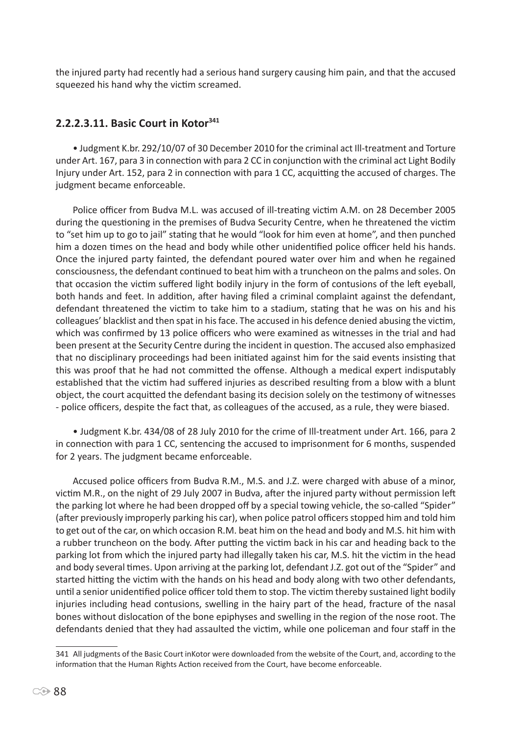the injured party had recently had a serious hand surgery causing him pain, and that the accused squeezed his hand why the victim screamed.

# **2.2.2.3.11. Basic Court in Kotor<sup>341</sup>**

• Judgment K.br. 292/10/07 of 30 December 2010 for the criminal act Ill-treatment and Torture under Art. 167, para 3 in connection with para 2 CC in conjunction with the criminal act Light Bodily Injury under Art. 152, para 2 in connection with para 1 CC, acquitting the accused of charges. The judgment became enforceable.

Police officer from Budva M.L. was accused of ill-treating victim A.M. on 28 December 2005 during the questioning in the premises of Budva Security Centre, when he threatened the victim to "set him up to go to jail" stating that he would "look for him even at home", and then punched him a dozen times on the head and body while other unidentified police officer held his hands. Once the injured party fainted, the defendant poured water over him and when he regained consciousness, the defendant continued to beat him with a truncheon on the palms and soles. On that occasion the victim suffered light bodily injury in the form of contusions of the left eyeball, both hands and feet. In addition, after having filed a criminal complaint against the defendant, defendant threatened the victim to take him to a stadium, stating that he was on his and his colleagues' blacklist and then spat in his face. The accused in his defence denied abusing the victim, which was confirmed by 13 police officers who were examined as witnesses in the trial and had been present at the Security Centre during the incident in question. The accused also emphasized that no disciplinary proceedings had been initiated against him for the said events insisting that this was proof that he had not committed the offense. Although a medical expert indisputably established that the victim had suffered injuries as described resulting from a blow with a blunt object, the court acquitted the defendant basing its decision solely on the testimony of witnesses - police officers, despite the fact that, as colleagues of the accused, as a rule, they were biased.

• Judgment K.br. 434/08 of 28 July 2010 for the crime of Ill-treatment under Art. 166, para 2 in connection with para 1 CC, sentencing the accused to imprisonment for 6 months, suspended for 2 years. The judgment became enforceable.

Accused police officers from Budva R.M., M.S. and J.Z. were charged with abuse of a minor, victim M.R., on the night of 29 July 2007 in Budva, after the injured party without permission left the parking lot where he had been dropped off by a special towing vehicle, the so-called "Spider" (after previously improperly parking his car), when police patrol officers stopped him and told him to get out of the car, on which occasion R.M. beat him on the head and body and M.S. hit him with a rubber truncheon on the body. After putting the victim back in his car and heading back to the parking lot from which the injured party had illegally taken his car, M.S. hit the victim in the head and body several times. Upon arriving at the parking lot, defendant J.Z. got out of the "Spider" and started hitting the victim with the hands on his head and body along with two other defendants, until a senior unidentified police officer told them to stop. The victim thereby sustained light bodily injuries including head contusions, swelling in the hairy part of the head, fracture of the nasal bones without dislocation of the bone epiphyses and swelling in the region of the nose root. The defendants denied that they had assaulted the victim, while one policeman and four staff in the

<sup>341</sup> All judgments of the Basic Court inKotor were downloaded from the website of the Court, and, according to the information that the Human Rights Action received from the Court, have become enforceable.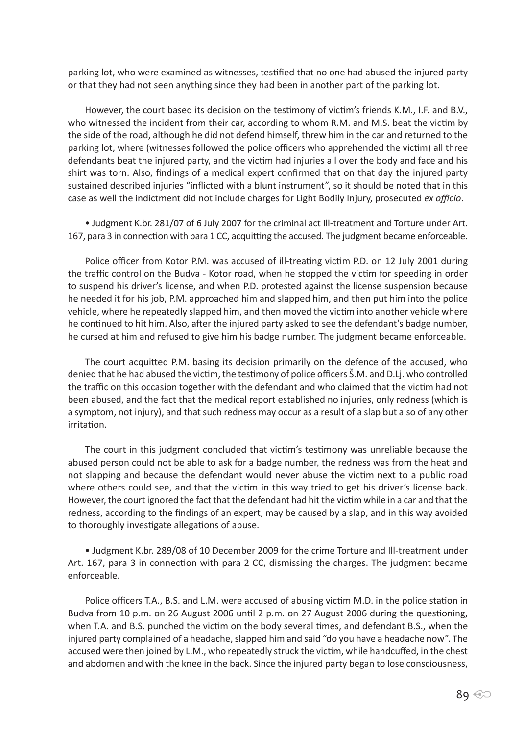parking lot, who were examined as witnesses, testified that no one had abused the injured party or that they had not seen anything since they had been in another part of the parking lot.

However, the court based its decision on the testimony of victim's friends K.M., I.F. and B.V., who witnessed the incident from their car, according to whom R.M. and M.S. beat the victim by the side of the road, although he did not defend himself, threw him in the car and returned to the parking lot, where (witnesses followed the police officers who apprehended the victim) all three defendants beat the injured party, and the victim had injuries all over the body and face and his shirt was torn. Also, findings of a medical expert confirmed that on that day the injured party sustained described injuries "inflicted with a blunt instrument", so it should be noted that in this case as well the indictment did not include charges for Light Bodily Injury, prosecuted *ex officio*.

• Judgment K.br. 281/07 of 6 July 2007 for the criminal act Ill-treatment and Torture under Art. 167, para 3 in connection with para 1 CC, acquitting the accused. The judgment became enforceable.

Police officer from Kotor P.M. was accused of ill-treating victim P.D. on 12 July 2001 during the traffic control on the Budva - Kotor road, when he stopped the victim for speeding in order to suspend his driver's license, and when P.D. protested against the license suspension because he needed it for his job, P.M. approached him and slapped him, and then put him into the police vehicle, where he repeatedly slapped him, and then moved the victim into another vehicle where he continued to hit him. Also, after the injured party asked to see the defendant's badge number, he cursed at him and refused to give him his badge number. The judgment became enforceable.

The court acquitted P.M. basing its decision primarily on the defence of the accused, who denied that he had abused the victim, the testimony of police officers Š.M. and D.Lj. who controlled the traffic on this occasion together with the defendant and who claimed that the victim had not been abused, and the fact that the medical report established no injuries, only redness (which is a symptom, not injury), and that such redness may occur as a result of a slap but also of any other irritation.

The court in this judgment concluded that victim's testimony was unreliable because the abused person could not be able to ask for a badge number, the redness was from the heat and not slapping and because the defendant would never abuse the victim next to a public road where others could see, and that the victim in this way tried to get his driver's license back. However, the court ignored the fact that the defendant had hit the victim while in a car and that the redness, according to the findings of an expert, may be caused by a slap, and in this way avoided to thoroughly investigate allegations of abuse.

• Judgment K.br. 289/08 of 10 December 2009 for the crime Torture and Ill-treatment under Art. 167, para 3 in connection with para 2 CC, dismissing the charges. The judgment became enforceable.

Police officers T.A., B.S. and L.M. were accused of abusing victim M.D. in the police station in Budva from 10 p.m. on 26 August 2006 until 2 p.m. on 27 August 2006 during the questioning, when T.A. and B.S. punched the victim on the body several times, and defendant B.S., when the injured party complained of a headache, slapped him and said "do you have a headache now". The accused were then joined by L.M., who repeatedly struck the victim, while handcuffed, in the chest and abdomen and with the knee in the back. Since the injured party began to lose consciousness,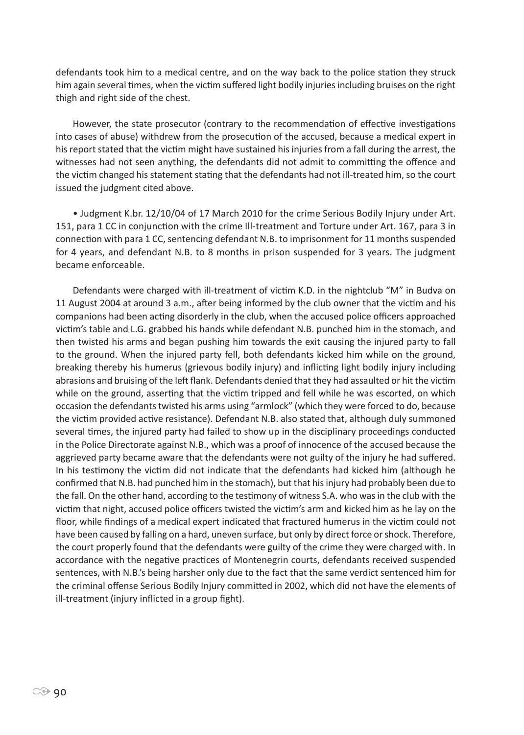defendants took him to a medical centre, and on the way back to the police station they struck him again several times, when the victim suffered light bodily injuries including bruises on the right thigh and right side of the chest.

However, the state prosecutor (contrary to the recommendation of effective investigations into cases of abuse) withdrew from the prosecution of the accused, because a medical expert in his report stated that the victim might have sustained his injuries from a fall during the arrest, the witnesses had not seen anything, the defendants did not admit to committing the offence and the victim changed his statement stating that the defendants had not ill-treated him, so the court issued the judgment cited above.

• Judgment K.br. 12/10/04 of 17 March 2010 for the crime Serious Bodily Injury under Art. 151, para 1 CC in conjunction with the crime Ill-treatment and Torture under Art. 167, para 3 in connection with para 1 CC, sentencing defendant N.B. to imprisonment for 11 months suspended for 4 years, and defendant N.B. to 8 months in prison suspended for 3 years. The judgment became enforceable.

Defendants were charged with ill-treatment of victim K.D. in the nightclub "M" in Budva on 11 August 2004 at around 3 a.m., after being informed by the club owner that the victim and his companions had been acting disorderly in the club, when the accused police officers approached victim's table and L.G. grabbed his hands while defendant N.B. punched him in the stomach, and then twisted his arms and began pushing him towards the exit causing the injured party to fall to the ground. When the injured party fell, both defendants kicked him while on the ground, breaking thereby his humerus (grievous bodily injury) and inflicting light bodily injury including abrasions and bruising of the left flank. Defendants denied that they had assaulted or hit the victim while on the ground, asserting that the victim tripped and fell while he was escorted, on which occasion the defendants twisted his arms using "armlock" (which they were forced to do, because the victim provided active resistance). Defendant N.B. also stated that, although duly summoned several times, the injured party had failed to show up in the disciplinary proceedings conducted in the Police Directorate against N.B., which was a proof of innocence of the accused because the aggrieved party became aware that the defendants were not guilty of the injury he had suffered. In his testimony the victim did not indicate that the defendants had kicked him (although he confirmed that N.B. had punched him in the stomach), but that his injury had probably been due to the fall. On the other hand, according to the testimony of witness S.A. who was in the club with the victim that night, accused police officers twisted the victim's arm and kicked him as he lay on the floor, while findings of a medical expert indicated that fractured humerus in the victim could not have been caused by falling on a hard, uneven surface, but only by direct force or shock. Therefore, the court properly found that the defendants were guilty of the crime they were charged with. In accordance with the negative practices of Montenegrin courts, defendants received suspended sentences, with N.B.'s being harsher only due to the fact that the same verdict sentenced him for the criminal offense Serious Bodily Injury committed in 2002, which did not have the elements of ill-treatment (injury inflicted in a group fight).